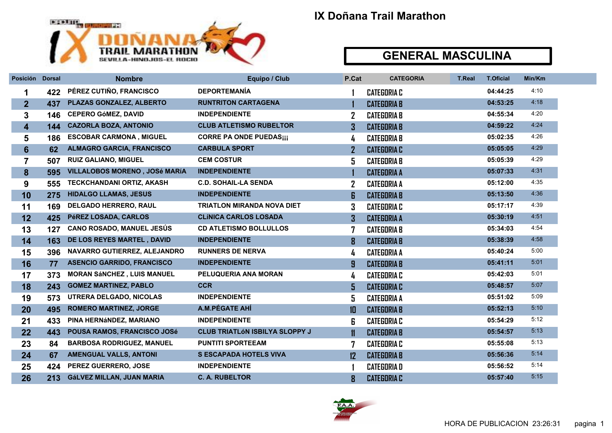

| Posición       | <b>Dorsal</b> | <b>Nombre</b>                     | Equipo / Club                         | P.Cat         | <b>CATEGORIA</b>   | <b>T.Real</b> | <b>T.Oficial</b> | Min/Km |  |
|----------------|---------------|-----------------------------------|---------------------------------------|---------------|--------------------|---------------|------------------|--------|--|
| 1              | 422           | PÉREZ CUTIÑO, FRANCISCO           | <b>DEPORTEMANIA</b>                   |               | <b>CATEGORIA C</b> |               | 04:44:25         | 4:10   |  |
| $\overline{2}$ | 437           | PLAZAS GONZALEZ, ALBERTO          | <b>RUNTRITON CARTAGENA</b>            |               | <b>CATEGORIA B</b> |               | 04:53:25         | 4:18   |  |
| 3              | 146           | <b>CEPERO GÓMEZ, DAVID</b>        | <b>INDEPENDIENTE</b>                  |               | <b>CATEGORIA B</b> |               | 04:55:34         | 4:20   |  |
| 4              | 144           | <b>CAZORLA BOZA, ANTONIO</b>      | <b>CLUB ATLETISMO RUBELTOR</b>        | 3             | <b>CATEGORIA B</b> |               | 04:59:22         | 4:24   |  |
| 5              | 186           | <b>ESCOBAR CARMONA, MIGUEL</b>    | <b>CORRE PA ONDE PUEDASIII</b>        | 4             | <b>CATEGORIA B</b> |               | 05:02:35         | 4:26   |  |
| 6              | 62            | <b>ALMAGRO GARCIA, FRANCISCO</b>  | <b>CARBULA SPORT</b>                  |               | <b>CATEGORIA C</b> |               | 05:05:05         | 4:29   |  |
| $\overline{7}$ | 507           | <b>RUIZ GALIANO, MIGUEL</b>       | <b>CEM COSTUR</b>                     | 5             | <b>CATEGORIA B</b> |               | 05:05:39         | 4:29   |  |
| 8              | 595           | VILLALOBOS MORENO, JOSé MARÍA     | <b>INDEPENDIENTE</b>                  |               | <b>CATEGORIA A</b> |               | 05:07:33         | 4:31   |  |
| 9              | 555           | <b>TECKCHANDANI ORTIZ, AKASH</b>  | <b>C.D. SOHAIL-LA SENDA</b>           | $\mathbf{Z}$  | <b>CATEGORIA A</b> |               | 05:12:00         | 4:35   |  |
| 10             | 275           | <b>HIDALGO LLAMAS, JESUS</b>      | <b>INDEPENDIENTE</b>                  | 6             | <b>CATEGORIA B</b> |               | 05:13:50         | 4:36   |  |
| 11             | 169           | <b>DELGADO HERRERO, RAUL</b>      | <b>TRIATLON MIRANDA NOVA DIET</b>     | 3             | <b>CATEGORIA C</b> |               | 05:17:17         | 4:39   |  |
| 12             | 425           | PéREZ LOSADA, CARLOS              | <b>CLÍNICA CARLOS LOSADA</b>          | 3             | <b>CATEGORIA A</b> |               | 05:30:19         | 4:51   |  |
| 13             | 127           | <b>CANO ROSADO, MANUEL JESÚS</b>  | <b>CD ATLETISMO BOLLULLOS</b>         | 7             | <b>CATEGORIA B</b> |               | 05:34:03         | 4:54   |  |
| 14             | 163           | DE LOS REYES MARTEL, DAVID        | <b>INDEPENDIENTE</b>                  | 8             | <b>CATEGORIA B</b> |               | 05:38:39         | 4:58   |  |
| 15             | 396           | NAVARRO GUTIERREZ, ALEJANDRO      | <b>RUNNERS DE NERVA</b>               | 4             | <b>CATEGORIA A</b> |               | 05:40:24         | 5:00   |  |
| 16             | 77            | <b>ASENCIO GARRIDO, FRANCISCO</b> | <b>INDEPENDIENTE</b>                  | 9             | <b>CATEGORIA B</b> |               | 05:41:11         | 5:01   |  |
| 17             | 373           | <b>MORAN SÁNCHEZ, LUIS MANUEL</b> | PELUQUERIA ANA MORAN                  | 4             | <b>CATEGORIA C</b> |               | 05:42:03         | 5:01   |  |
| 18             | 243           | <b>GOMEZ MARTINEZ, PABLO</b>      | <b>CCR</b>                            | 5             | <b>CATEGORIA C</b> |               | 05:48:57         | 5:07   |  |
| 19             | 573           | UTRERA DELGADO, NICOLAS           | <b>INDEPENDIENTE</b>                  | 5             | <b>CATEGORIA A</b> |               | 05:51:02         | 5:09   |  |
| 20             | 495           | <b>ROMERO MARTINEZ, JORGE</b>     | A.M.PÉGATE AHÍ                        | $1\Box$       | <b>CATEGORIA B</b> |               | 05:52:13         | 5:10   |  |
| 21             | 433           | PINA HERNÁNDEZ, MARIANO           | <b>INDEPENDIENTE</b>                  | 6             | <b>CATEGORIA C</b> |               | 05:54:29         | 5:12   |  |
| 22             | 443           | POUSA RAMOS, FRANCISCO JOSé       | <b>CLUB TRIATLÓN ISBILYA SLOPPY J</b> | $\mathbf{11}$ | <b>CATEGORIA B</b> |               | 05:54:57         | 5:13   |  |
| 23             | 84            | <b>BARBOSA RODRIGUEZ, MANUEL</b>  | <b>PUNTITI SPORTEEAM</b>              |               | <b>CATEGORIA C</b> |               | 05:55:08         | 5:13   |  |
| 24             | 67            | <b>AMENGUAL VALLS, ANTONI</b>     | <b>S ESCAPADA HOTELS VIVA</b>         | 12            | <b>CATEGORIA B</b> |               | 05:56:36         | 5:14   |  |
| 25             | 424           | PEREZ GUERRERO, JOSE              | <b>INDEPENDIENTE</b>                  |               | <b>CATEGORIAD</b>  |               | 05:56:52         | 5:14   |  |
| 26             | 213           | GáLVEZ MILLAN, JUAN MARIA         | <b>C. A. RUBELTOR</b>                 | 8             | <b>CATEGORIA C</b> |               | 05:57:40         | 5:15   |  |

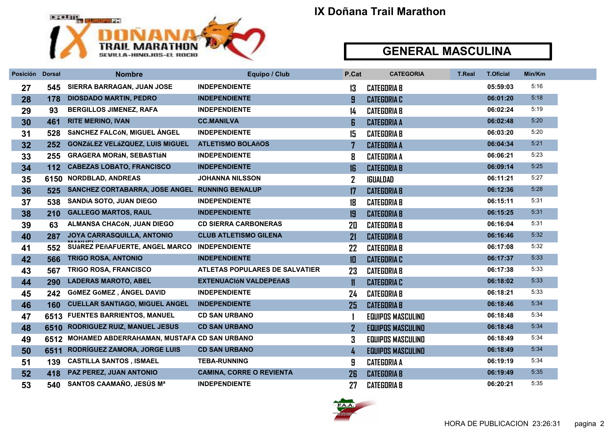

| Posición | <b>Dorsal</b> | <b>Nombre</b>                                  | Equipo / Club                         | P.Cat         | <b>CATEGORIA</b>         | <b>T.Real</b> | <b>T.Oficial</b> | Min/Km |
|----------|---------------|------------------------------------------------|---------------------------------------|---------------|--------------------------|---------------|------------------|--------|
| 27       | 545           | SIERRA BARRAGAN, JUAN JOSE                     | <b>INDEPENDIENTE</b>                  | 13            | <b>CATEGORIA B</b>       |               | 05:59:03         | 5:16   |
| 28       | 178           | <b>DIOSDADO MARTIN, PEDRO</b>                  | <b>INDEPENDIENTE</b>                  | 9             | <b>CATEGORIA C</b>       |               | 06:01:20         | 5:18   |
| 29       | 93            | <b>BERGILLOS JIMENEZ, RAFA</b>                 | <b>INDEPENDIENTE</b>                  | 14            | <b>CATEGORIA B</b>       |               | 06:02:24         | 5:19   |
| 30       | 461           | <b>RITE MERINO, IVAN</b>                       | <b>CC.MANILVA</b>                     | 6             | <b>CATEGORIA A</b>       |               | 06:02:48         | 5:20   |
| 31       | 528           | SÁNCHEZ FALCÓN, MIGUEL ÁNGEL                   | <b>INDEPENDIENTE</b>                  | 15            | <b>CATEGORIA B</b>       |               | 06:03:20         | 5:20   |
| 32       | 252           | <b>GONZÁLEZ VELÁZQUEZ, LUIS MIGUEL</b>         | <b>ATLETISMO BOLAñOS</b>              | 7             | <b>CATEGORIA A</b>       |               | 06:04:34         | 5:21   |
| 33       | 255           | <b>GRAGERA MORÁN, SEBASTIÁN</b>                | <b>INDEPENDIENTE</b>                  | 8             | <b>CATEGORIA A</b>       |               | 06:06:21         | 5:23   |
| 34       | 112           | <b>CABEZAS LOBATO, FRANCISCO</b>               | <b>INDEPENDIENTE</b>                  | 16            | <b>CATEGORIA B</b>       |               | 06:09:14         | 5:25   |
| 35       | 6150          | <b>NORDBLAD, ANDREAS</b>                       | <b>JOHANNA NILSSON</b>                | $\mathbf{Z}$  | IGUALDAD                 |               | 06:11:21         | 5:27   |
| 36       | 525           | SANCHEZ CORTABARRA, JOSE ANGEL RUNNING BENALUP |                                       | $\mathbf{17}$ | <b>CATEGORIA B</b>       |               | 06:12:36         | 5:28   |
| 37       | 538           | <b>SANDÍA SOTO, JUAN DIEGO</b>                 | <b>INDEPENDIENTE</b>                  | 18            | <b>CATEGORIA B</b>       |               | 06:15:11         | 5:31   |
| 38       | 210           | <b>GALLEGO MARTOS, RAUL</b>                    | <b>INDEPENDIENTE</b>                  | 19            | <b>CATEGORIA B</b>       |               | 06:15:25         | 5:31   |
| 39       | 63            | ALMANSA CHACÓN, JUAN DIEGO                     | <b>CD SIERRA CARBONERAS</b>           | 20            | <b>CATEGORIA B</b>       |               | 06:16:04         | 5:31   |
| 40       | 287           | JOYA CARRASQUILLA, ANTONIO                     | <b>CLUB ATLETISMO GILENA</b>          | 21            | <b>CATEGORIA B</b>       |               | 06:16:46         | 5:32   |
| 41       | 552           | <b>SUÁREZ PEÑAFUERTE, ANGEL MARCO</b>          | <b>INDEPENDIENTE</b>                  | 22            | <b>CATEGORIA B</b>       |               | 06:17:08         | 5:32   |
| 42       | 566           | <b>TRIGO ROSA, ANTONIO</b>                     | <b>INDEPENDIENTE</b>                  | 10            | <b>CATEGORIA C</b>       |               | 06:17:37         | 5:33   |
| 43       | 567           | TRIGO ROSA, FRANCISCO                          | <b>ATLETAS POPULARES DE SALVATIER</b> | 23            | <b>CATEGORIA B</b>       |               | 06:17:38         | 5:33   |
| 44       | 290           | <b>LADERAS MAROTO, ABEL</b>                    | <b>EXTENUACIÓN VALDEPEñAS</b>         | $\mathbf{11}$ | <b>CATEGORIA C</b>       |               | 06:18:02         | 5:33   |
| 45       | 242           | GÓMEZ GÓMEZ, ÁNGEL DAVID                       | <b>INDEPENDIENTE</b>                  | 24            | <b>CATEGORIA B</b>       |               | 06:18:21         | 5:33   |
| 46       | 160           | <b>CUELLAR SANTIAGO, MIGUEL ANGEL</b>          | <b>INDEPENDIENTE</b>                  | 25            | <b>CATEGORIA B</b>       |               | 06:18:46         | 5:34   |
| 47       | 6513          | <b>FUENTES BARRIENTOS, MANUEL</b>              | <b>CD SAN URBANO</b>                  |               | <b>EQUIPOS MASCULINO</b> |               | 06:18:48         | 5:34   |
| 48       | 6510          | <b>RODRIGUEZ RUIZ, MANUEL JESUS</b>            | <b>CD SAN URBANO</b>                  | $\mathbf{Z}$  | <b>EQUIPOS MASCULINO</b> |               | 06:18:48         | 5:34   |
| 49       | 6512          | MOHAMED ABDERRAHAMAN, MUSTAFA CD SAN URBANO    |                                       | 3             | <b>EQUIPOS MASCULINO</b> |               | 06:18:49         | 5:34   |
| 50       | 6511          | RODRIGUEZ ZAMORA, JORGE LUIS                   | <b>CD SAN URBANO</b>                  | 4             | <b>EQUIPOS MASCULINO</b> |               | 06:18:49         | 5:34   |
| 51       | 139           | <b>CASTILLA SANTOS, ISMAEL</b>                 | <b>TEBA-RUNNING</b>                   | 9             | <b>CATEGORIA A</b>       |               | 06:19:19         | 5:34   |
| 52       | 418           | PAZ PEREZ, JUAN ANTONIO                        | <b>CAMINA, CORRE O REVIENTA</b>       | 26            | <b>CATEGORIA B</b>       |               | 06:19:49         | 5:35   |
| 53       | 540           | SANTOS CAAMAÑO, JESÚS Mª                       | <b>INDEPENDIENTE</b>                  | 27            | <b>CATEGORIA B</b>       |               | 06:20:21         | 5:35   |

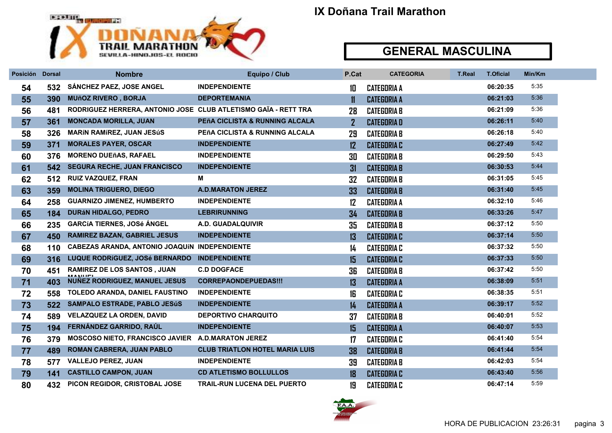

| Posición | <b>Dorsal</b> | <b>Nombre</b>                                                  | Equipo / Club                         | P.Cat          | <b>CATEGORIA</b>   | <b>T.Real</b> | <b>T.Oficial</b> | Min/Km |
|----------|---------------|----------------------------------------------------------------|---------------------------------------|----------------|--------------------|---------------|------------------|--------|
| 54       | 532           | SÁNCHEZ PAEZ, JOSE ANGEL                                       | <b>INDEPENDIENTE</b>                  | 10             | <b>CATEGORIA A</b> |               | 06:20:35         | 5:35   |
| 55       | 390           | <b>MUñOZ RIVERO, BORJA</b>                                     | <b>DEPORTEMANIA</b>                   | $\mathbf{11}$  | <b>CATEGORIA A</b> |               | 06:21:03         | 5:36   |
| 56       | 481           | RODRIGUEZ HERRERA, ANTONIO JOSE CLUB ATLETISMO GAÏA - RETT TRA |                                       | 28             | <b>CATEGORIA B</b> |               | 06:21:09         | 5:36   |
| 57       | 361           | <b>MONCADA MORILLA, JUAN</b>                                   | PEñA CICLISTA & RUNNING ALCALA        | $\overline{2}$ | <b>CATEGORIAD</b>  |               | 06:26:11         | 5:40   |
| 58       | 326           | <b>MARÍN RAMÍREZ, JUAN JESÚS</b>                               | PEñA CICLISTA & RUNNING ALCALA        | 29             | <b>CATEGORIA B</b> |               | 06:26:18         | 5:40   |
| 59       | 371           | <b>MORALES PAYER, OSCAR</b>                                    | <b>INDEPENDIENTE</b>                  | 12             | <b>CATEGORIA C</b> |               | 06:27:49         | 5:42   |
| 60       | 376           | <b>MORENO DUEñAS, RAFAEL</b>                                   | <b>INDEPENDIENTE</b>                  | 30             | <b>CATEGORIA B</b> |               | 06:29:50         | 5:43   |
| 61       | 542           | <b>SEGURA RECHE, JUAN FRANCISCO</b>                            | <b>INDEPENDIENTE</b>                  | 31             | <b>CATEGORIA B</b> |               | 06:30:53         | 5.44   |
| 62       | 512           | <b>RUIZ VAZQUEZ, FRAN</b>                                      | М                                     | 32             | <b>CATEGORIA B</b> |               | 06:31:05         | 5:45   |
| 63       | 359           | <b>MOLINA TRIGUERO, DIEGO</b>                                  | <b>A.D.MARATON JEREZ</b>              | 33             | <b>CATEGORIA B</b> |               | 06:31:40         | 5:45   |
| 64       | 258           | <b>GUARNIZO JIMENEZ, HUMBERTO</b>                              | <b>INDEPENDIENTE</b>                  | 12             | <b>CATEGORIA A</b> |               | 06:32:10         | 5:46   |
| 65       | 184           | <b>DURÁN HIDALGO, PEDRO</b>                                    | <b>LEBRIRUNNING</b>                   | 34             | <b>CATEGORIA B</b> |               | 06:33:26         | 5:47   |
| 66       | 235           | <b>GARCÍA TIERNES, JOSé ÁNGEL</b>                              | A.D. GUADALQUIVIR                     | 35             | <b>CATEGORIA B</b> |               | 06:37:12         | 5:50   |
| 67       | 450           | <b>RAMIREZ BAZAN, GABRIEL JESUS</b>                            | <b>INDEPENDIENTE</b>                  | 13             | <b>CATEGORIA C</b> |               | 06:37:14         | 5:50   |
| 68       | 110           | <b>CABEZAS ARANDA, ANTONIO JOAQUÍN INDEPENDIENTE</b>           |                                       | 14             | <b>CATEGORIA C</b> |               | 06:37:32         | 5:50   |
| 69       | 316           | LUQUE RODRÍGUEZ, JOSé BERNARDO                                 | <b>INDEPENDIENTE</b>                  | 15             | <b>CATEGORIA C</b> |               | 06:37:33         | 5:50   |
| 70       | 451           | <b>RAMIREZ DE LOS SANTOS, JUAN</b>                             | <b>C.D DOGFACE</b>                    | 36             | <b>CATEGORIA B</b> |               | 06:37:42         | 5:50   |
| 71       | 403           | <b>NUÑEZ RODRIGUEZ, MANUEL JESUS</b>                           | <b>CORREPAONDEPUEDAS!!!</b>           | 13             | <b>CATEGORIA A</b> |               | 06:38:09         | 5:51   |
| 72       | 558           | TOLEDO ARANDA, DANIEL FAUSTINO                                 | <b>INDEPENDIENTE</b>                  | 16             | <b>CATEGORIA C</b> |               | 06:38:35         | 5:51   |
| 73       | 522           | <b>SAMPALO ESTRADE, PABLO JESÚS</b>                            | <b>INDEPENDIENTE</b>                  | 14             | <b>CATEGORIA A</b> |               | 06:39:17         | 5:52   |
| 74       | 589           | <b>VELAZQUEZ LA ORDEN, DAVID</b>                               | <b>DEPORTIVO CHARQUITO</b>            | 37             | <b>CATEGORIA B</b> |               | 06:40:01         | 5:52   |
| 75       | 194           | FERNÁNDEZ GARRIDO, RAÚL                                        | <b>INDEPENDIENTE</b>                  | 15             | <b>CATEGORIA A</b> |               | 06:40:07         | 5:53   |
| 76       | 379           | MOSCOSO NIETO, FRANCISCO JAVIER A.D.MARATON JEREZ              |                                       | 17             | <b>CATEGORIA C</b> |               | 06:41:40         | 5:54   |
| 77       | 489           | ROMAN CABRERA, JUAN PABLO                                      | <b>CLUB TRIATLON HOTEL MARIA LUIS</b> | 38             | <b>CATEGORIA B</b> |               | 06:41:44         | 5:54   |
| 78       | 577           | <b>VALLEJO PEREZ, JUAN</b>                                     | <b>INDEPENDIENTE</b>                  | 39             | <b>CATEGORIA B</b> |               | 06:42:03         | 5:54   |
| 79       | 141           | <b>CASTILLO CAMPON, JUAN</b>                                   | <b>CD ATLETISMO BOLLULLOS</b>         | 18             | <b>CATEGORIA C</b> |               | 06:43:40         | 5:56   |
| 80       | 432           | PICON REGIDOR, CRISTOBAL JOSE                                  | <b>TRAIL-RUN LUCENA DEL PUERTO</b>    | 19             | <b>CATEGORIA C</b> |               | 06:47:14         | 5:59   |

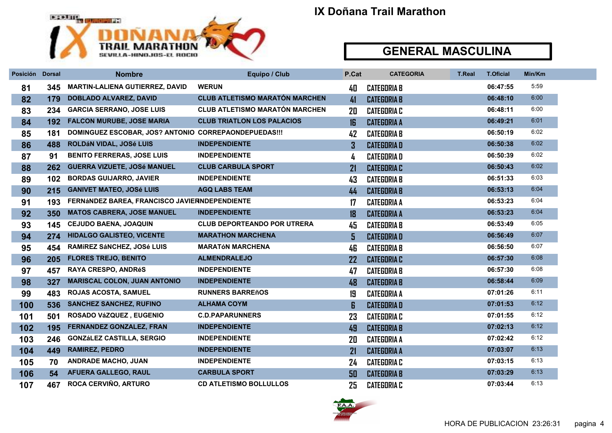

| Posición | <b>Dorsal</b> | <b>Nombre</b>                                        | Equipo / Club                         | P.Cat        | <b>CATEGORIA</b>   | <b>T.Real</b> | <b>T.Oficial</b> | Min/Km |
|----------|---------------|------------------------------------------------------|---------------------------------------|--------------|--------------------|---------------|------------------|--------|
| 81       | 345           | <b>MARTIN-LALIENA GUTIERREZ, DAVID</b>               | <b>WERUN</b>                          | 40           | <b>CATEGORIA B</b> |               | 06:47:55         | 5:59   |
| 82       | 179           | <b>DOBLADO ALVAREZ, DAVID</b>                        | <b>CLUB ATLETISMO MARATÓN MARCHEN</b> | 41           | <b>CATEGORIA B</b> |               | 06:48:10         | 6:00   |
| 83       | 234           | <b>GARCIA SERRANO, JOSE LUIS</b>                     | <b>CLUB ATLETISMO MARATÓN MARCHEN</b> | 20           | <b>CATEGORIA C</b> |               | 06:48:11         | 6:00   |
| 84       | 192           | <b>FALCON MURUBE, JOSE MARIA</b>                     | <b>CLUB TRIATLON LOS PALACIOS</b>     | 16           | <b>CATEGORIA A</b> |               | 06:49:21         | 6:01   |
| 85       | 181           | DOMINGUEZ ESCOBAR, JOS? ANTONIO CORREPAONDEPUEDAS!!! |                                       | 42           | <b>CATEGORIA B</b> |               | 06:50:19         | 6:02   |
| 86       | 488           | ROLDÁN VIDAL, JOSé LUIS                              | <b>INDEPENDIENTE</b>                  | $\mathbf{3}$ | <b>CATEGORIAD</b>  |               | 06:50:38         | 6:02   |
| 87       | 91            | <b>BENITO FERRERAS, JOSE LUIS</b>                    | <b>INDEPENDIENTE</b>                  | 4            | <b>CATEGORIA D</b> |               | 06:50:39         | 6:02   |
| 88       | 262           | <b>GUERRA VIZUETE, JOSé MANUEL</b>                   | <b>CLUB CARBULA SPORT</b>             | 21           | <b>CATEGORIA C</b> |               | 06:50:43         | 6:02   |
| 89       | 102           | <b>BORDAS GUIJARRO, JAVIER</b>                       | <b>INDEPENDIENTE</b>                  | 43           | <b>CATEGORIA B</b> |               | 06:51:33         | 6:03   |
| 90       | 215           | <b>GANIVET MATEO, JOSé LUIS</b>                      | <b>AGQ LABS TEAM</b>                  | 44           | <b>CATEGORIA B</b> |               | 06:53:13         | 6:04   |
| 91       | 193           | FERNÁNDEZ BAREA, FRANCISCO JAVIERNDEPENDIENTE        |                                       | 17           | <b>CATEGORIA A</b> |               | 06:53:23         | 6:04   |
| 92       | 350           | <b>MATOS CABRERA, JOSE MANUEL</b>                    | <b>INDEPENDIENTE</b>                  | 18           | <b>CATEGORIA A</b> |               | 06:53:23         | 6:04   |
| 93       | 145           | <b>CEJUDO BAENA, JOAQUIN</b>                         | <b>CLUB DEPORTEANDO POR UTRERA</b>    | 45           | <b>CATEGORIA B</b> |               | 06:53:49         | 6:05   |
| 94       | 274           | <b>HIDALGO GALISTEO, VICENTE</b>                     | <b>MARATHON MARCHENA</b>              | 5            | <b>CATEGORIAD</b>  |               | 06:56:49         | 6:07   |
| 95       | 454           | RAMÍREZ SÁNCHEZ, JOSé LUIS                           | <b>MARATÓN MARCHENA</b>               | 46           | <b>CATEGORIA B</b> |               | 06:56:50         | 6:07   |
| 96       | 205           | <b>FLORES TREJO, BENITO</b>                          | <b>ALMENDRALEJO</b>                   | 22           | <b>CATEGORIA C</b> |               | 06:57:30         | 6:08   |
| 97       | 457           | <b>RAYA CRESPO, ANDRéS</b>                           | <b>INDEPENDIENTE</b>                  | 47           | <b>CATEGORIA B</b> |               | 06:57:30         | 6:08   |
| 98       | 327           | <b>MARISCAL COLON, JUAN ANTONIO</b>                  | <b>INDEPENDIENTE</b>                  | 48           | <b>CATEGORIA B</b> |               | 06:58:44         | 6:09   |
| 99       | 483           | <b>ROJAS ACOSTA, SAMUEL</b>                          | <b>RUNNERS BARREñOS</b>               | 19           | <b>CATEGORIA A</b> |               | 07:01:26         | 6:11   |
| 100      | 536           | <b>SANCHEZ SANCHEZ, RUFINO</b>                       | <b>ALHAMA COYM</b>                    | 6            | <b>CATEGORIAD</b>  |               | 07:01:53         | 6:12   |
| 101      | 501           | ROSADO VáZQUEZ, EUGENIO                              | <b>C.D.PAPARUNNERS</b>                | 23           | <b>CATEGORIA C</b> |               | 07:01:55         | 6:12   |
| 102      | 195           | FERNANDEZ GONZALEZ, FRAN                             | <b>INDEPENDIENTE</b>                  | 49           | <b>CATEGORIA B</b> |               | 07:02:13         | 6:12   |
| 103      | 246           | <b>GONZÁLEZ CASTILLA, SERGIO</b>                     | <b>INDEPENDIENTE</b>                  | 20           | <b>CATEGORIA A</b> |               | 07:02:42         | 6:12   |
| 104      | 449           | <b>RAMIREZ, PEDRO</b>                                | <b>INDEPENDIENTE</b>                  | 21           | <b>CATEGORIA A</b> |               | 07:03:07         | 6:13   |
| 105      | 70            | <b>ANDRADE MACHO, JUAN</b>                           | <b>INDEPENDIENTE</b>                  | 24           | <b>CATEGORIA C</b> |               | 07:03:15         | 6:13   |
| 106      | 54            | <b>AFUERA GALLEGO, RAUL</b>                          | <b>CARBULA SPORT</b>                  | 50           | <b>CATEGORIA B</b> |               | 07:03:29         | 6:13   |
| 107      | 467           | ROCA CERVIÑO, ARTURO                                 | <b>CD ATLETISMO BOLLULLOS</b>         | 25           | <b>CATEGORIA C</b> |               | 07:03:44         | 6:13   |

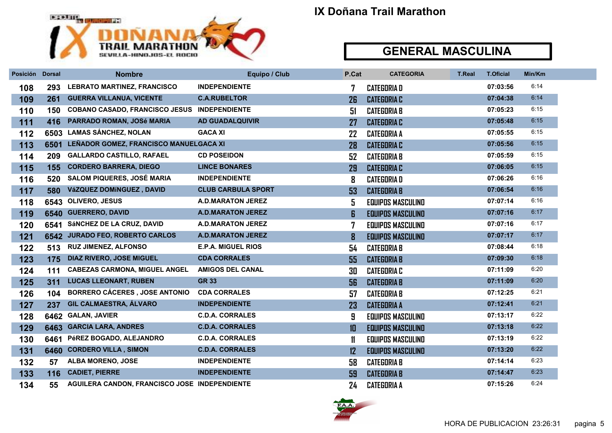

| Posición Dorsal |      | <b>Nombre</b>                                       | Equipo / Club             | P.Cat         | <b>CATEGORIA</b>         | <b>T.Real</b> | <b>T.Oficial</b> | Min/Km |
|-----------------|------|-----------------------------------------------------|---------------------------|---------------|--------------------------|---------------|------------------|--------|
| 108             | 293  | <b>LEBRATO MARTINEZ, FRANCISCO</b>                  | <b>INDEPENDIENTE</b>      | 7             | <b>CATEGORIA D</b>       |               | 07:03:56         | 6:14   |
| 109             | 261  | <b>GUERRA VILLANUA, VICENTE</b>                     | <b>C.A.RUBELTOR</b>       | 26            | <b>CATEGORIA C</b>       |               | 07:04:38         | 6:14   |
| 110             | 150  | <b>COBANO CASADO, FRANCISCO JESUS INDEPENDIENTE</b> |                           | 51            | <b>CATEGORIA B</b>       |               | 07:05:23         | 6:15   |
| 111             | 416  | PARRADO ROMAN, JOSé MARIA                           | <b>AD GUADALQUIVIR</b>    | 27            | <b>CATEGORIA C</b>       |               | 07:05:48         | 6:15   |
| 112             | 6503 | <b>LAMAS SÁNCHEZ, NOLAN</b>                         | <b>GACA XI</b>            | 22            | <b>CATEGORIA A</b>       |               | 07:05:55         | 6:15   |
| 113             | 6501 | LEÑADOR GOMEZ, FRANCISCO MANUELGACA XI              |                           | 28            | <b>CATEGORIA C</b>       |               | 07:05:56         | 6:15   |
| 114             | 209  | <b>GALLARDO CASTILLO, RAFAEL</b>                    | <b>CD POSEIDON</b>        | 52            | <b>CATEGORIA B</b>       |               | 07:05:59         | 6:15   |
| 115             | 155  | <b>CORDERO BARRERA, DIEGO</b>                       | <b>LINCE BONARES</b>      | 29            | <b>CATEGORIA C</b>       |               | 07:06:05         | 6:15   |
| 116             | 520  | <b>SALOM PIQUERES, JOSÉ MARIA</b>                   | <b>INDEPENDIENTE</b>      | 8             | <b>CATEGORIAD</b>        |               | 07:06:26         | 6:16   |
| 117             | 580  | VáZQUEZ DOMíNGUEZ, DAVID                            | <b>CLUB CARBULA SPORT</b> | 53            | <b>CATEGORIA B</b>       |               | 07:06:54         | 6:16   |
| 118             | 6543 | <b>OLIVERO, JESUS</b>                               | <b>A.D.MARATON JEREZ</b>  | 5             | <b>EQUIPOS MASCULINO</b> |               | 07:07:14         | 6:16   |
| 119             | 6540 | <b>GUERRERO, DAVID</b>                              | <b>A.D.MARATON JEREZ</b>  | $\mathbf{g}$  | <b>EQUIPOS MASCULINO</b> |               | 07:07:16         | 6:17   |
| 120             | 6541 | SÁNCHEZ DE LA CRUZ, DAVID                           | <b>A.D.MARATON JEREZ</b>  | 7             | EQUIPOS MASCULINO        |               | 07:07:16         | 6:17   |
| 121             |      | 6542 JURADO FEO, ROBERTO CARLOS                     | <b>A.D.MARATON JEREZ</b>  | 8             | <b>EQUIPOS MASCULINO</b> |               | 07:07:17         | 6:17   |
| 122             | 513  | <b>RUZ JIMENEZ, ALFONSO</b>                         | <b>E.P.A. MIGUEL RIOS</b> | 54            | <b>CATEGORIA B</b>       |               | 07:08:44         | 6:18   |
| 123             | 175  | <b>DIAZ RIVERO, JOSE MIGUEL</b>                     | <b>CDA CORRALES</b>       | 55            | <b>CATEGORIA B</b>       |               | 07:09:30         | 6:18   |
| 124             | 111  | <b>CABEZAS CARMONA, MIGUEL ANGEL</b>                | <b>AMIGOS DEL CANAL</b>   | 30            | <b>CATEGORIA C</b>       |               | 07:11:09         | 6:20   |
| 125             | 311  | <b>LUCAS LLEONART, RUBEN</b>                        | <b>GR 33</b>              | 56            | <b>CATEGORIA B</b>       |               | 07:11:09         | 6:20   |
| 126             | 104  | <b>BORRERO CÁCERES, JOSE ANTONIO</b>                | <b>CDA CORRALES</b>       | 57            | <b>CATEGORIA B</b>       |               | 07:12:25         | 6:21   |
| 127             | 237  | GIL CALMAESTRA, ÁLVARO                              | <b>INDEPENDIENTE</b>      | 23            | <b>CATEGORIA A</b>       |               | 07:12:41         | 6:21   |
| 128             | 6462 | <b>GALAN, JAVIER</b>                                | <b>C.D.A. CORRALES</b>    | 9             | <b>EQUIPOS MASCULINO</b> |               | 07:13:17         | 6:22   |
| 129             |      | 6463 GARCIA LARA, ANDRES                            | <b>C.D.A. CORRALES</b>    | 10            | <b>EQUIPOS MASCULINO</b> |               | 07:13:18         | 6:22   |
| 130             |      | 6461 PéREZ BOGADO, ALEJANDRO                        | <b>C.D.A. CORRALES</b>    | $\mathbf{11}$ | <b>EQUIPOS MASCULINO</b> |               | 07:13:19         | 6:22   |
| 131             | 6460 | <b>CORDERO VILLA, SIMON</b>                         | <b>C.D.A. CORRALES</b>    | 12            | <b>EQUIPOS MASCULINO</b> |               | 07:13:20         | 6:22   |
| 132             | 57   | <b>ALBA MORENO, JOSE</b>                            | <b>INDEPENDIENTE</b>      | 58            | <b>CATEGORIA B</b>       |               | 07:14:14         | 6:23   |
| 133             | 116  | <b>CADIET, PIERRE</b>                               | <b>INDEPENDIENTE</b>      | 59            | <b>CATEGORIA B</b>       |               | 07:14:47         | 6:23   |
| 134             | 55   | AGUILERA CANDON, FRANCISCO JOSE INDEPENDIENTE       |                           | 24            | <b>CATEGORIA A</b>       |               | 07:15:26         | 6:24   |

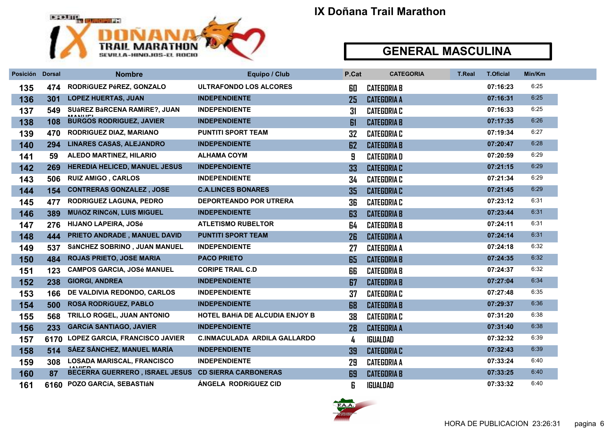

| Posición Dorsal |     | <b>Nombre</b>                                        | Equipo / Club                         | P.Cat | <b>CATEGORIA</b>   | <b>T.Real</b> | <b>T.Oficial</b> | Min/Km |
|-----------------|-----|------------------------------------------------------|---------------------------------------|-------|--------------------|---------------|------------------|--------|
| 135             | 474 | RODRÍGUEZ PéREZ, GONZALO                             | ULTRAFONDO LOS ALCORES                | 60    | <b>CATEGORIA B</b> |               | 07:16:23         | 6:25   |
| 136             | 301 | <b>LOPEZ HUERTAS, JUAN</b>                           | <b>INDEPENDIENTE</b>                  | 25    | <b>CATEGORIA A</b> |               | 07:16:31         | 6:25   |
| 137             | 549 | SUÁREZ BÁRCENA RAMÍRE?, JUAN                         | <b>INDEPENDIENTE</b>                  | 31    | <b>CATEGORIA C</b> |               | 07:16:33         | 6:25   |
| 138             | 108 | <b>BURGOS RODRIGUEZ, JAVIER</b>                      | <b>INDEPENDIENTE</b>                  | 61    | <b>CATEGORIA B</b> |               | 07:17:35         | 6:26   |
| 139             | 470 | <b>RODRIGUEZ DIAZ, MARIANO</b>                       | <b>PUNTITI SPORT TEAM</b>             | 32    | <b>CATEGORIA C</b> |               | 07:19:34         | 6:27   |
| 140             | 294 | <b>LINARES CASAS, ALEJANDRO</b>                      | <b>INDEPENDIENTE</b>                  | 62    | <b>CATEGORIA B</b> |               | 07:20:47         | 6:28   |
| 141             | 59  | <b>ALEDO MARTINEZ, HILARIO</b>                       | <b>ALHAMA COYM</b>                    | 9     | <b>CATEGORIAD</b>  |               | 07:20:59         | 6:29   |
| 142             | 269 | <b>HEREDIA HELICED, MANUEL JESUS</b>                 | <b>INDEPENDIENTE</b>                  | 33    | <b>CATEGORIA C</b> |               | 07:21:15         | 6:29   |
| 143             | 506 | <b>RUIZ AMIGO, CARLOS</b>                            | <b>INDEPENDIENTE</b>                  | 34    | <b>CATEGORIA C</b> |               | 07:21:34         | 6:29   |
| 144             | 154 | <b>CONTRERAS GONZALEZ, JOSE</b>                      | <b>C.A.LINCES BONARES</b>             | 35    | <b>CATEGORIA C</b> |               | 07:21:45         | 6:29   |
| 145             | 477 | <b>RODRIGUEZ LAGUNA, PEDRO</b>                       | <b>DEPORTEANDO POR UTRERA</b>         | 36    | <b>CATEGORIA C</b> |               | 07:23:12         | 6:31   |
| 146             | 389 | <b>MUñOZ RINCóN, LUIS MIGUEL</b>                     | <b>INDEPENDIENTE</b>                  | 63    | <b>CATEGORIA B</b> |               | 07:23:44         | 6:31   |
| 147             | 276 | <b>HIJANO LAPEIRA, JOSé</b>                          | <b>ATLETISMO RUBELTOR</b>             | 64    | <b>CATEGORIA B</b> |               | 07:24:11         | 6:31   |
| 148             | 444 | PRIETO ANDRADE, MANUEL DAVID                         | <b>PUNTITI SPORT TEAM</b>             | 26    | <b>CATEGORIA A</b> |               | 07:24:14         | 6:31   |
| 149             | 537 | SÁNCHEZ SOBRINO, JUAN MANUEL                         | <b>INDEPENDIENTE</b>                  | 27    | <b>CATEGORIA A</b> |               | 07:24:18         | 6:32   |
| 150             | 484 | <b>ROJAS PRIETO, JOSE MARIA</b>                      | <b>PACO PRIETO</b>                    | 65    | <b>CATEGORIA B</b> |               | 07:24:35         | 6:32   |
| 151             | 123 | <b>CAMPOS GARCIA, JOSé MANUEL</b>                    | <b>CORIPE TRAIL C.D</b>               | 66    | <b>CATEGORIA B</b> |               | 07:24:37         | 6:32   |
| 152             | 238 | <b>GIORGI, ANDREA</b>                                | <b>INDEPENDIENTE</b>                  | 67    | <b>CATEGORIA B</b> |               | 07:27:04         | 6:34   |
| 153             | 166 | DE VALDIVIA REDONDO, CARLOS                          | <b>INDEPENDIENTE</b>                  | 37    | <b>CATEGORIA C</b> |               | 07:27:48         | 6:35   |
| 154             | 500 | <b>ROSA RODRÍGUEZ, PABLO</b>                         | <b>INDEPENDIENTE</b>                  | 68    | <b>CATEGORIA B</b> |               | 07:29:37         | 6:36   |
| 155             | 568 | TRILLO ROGEL, JUAN ANTONIO                           | <b>HOTEL BAHÍA DE ALCUDIA ENJOY B</b> | 38    | <b>CATEGORIA C</b> |               | 07:31:20         | 6:38   |
| 156             | 233 | <b>GARCÍA SANTIAGO, JAVIER</b>                       | <b>INDEPENDIENTE</b>                  | 28    | <b>CATEGORIA A</b> |               | 07:31:40         | 6:38   |
| 157             |     | 6170 LOPEZ GARCIA, FRANCISCO JAVIER                  | <b>C.INMACULADA ARDILA GALLARDO</b>   | 4     | <b>IGUALDAD</b>    |               | 07:32:32         | 6:39   |
| 158             | 514 | SÁEZ SÁNCHEZ, MANUEL MARÍA                           | <b>INDEPENDIENTE</b>                  | 39    | <b>CATEGORIA C</b> |               | 07:32:43         | 6:39   |
| 159             | 308 | <b>LOSADA MARISCAL, FRANCISCO</b><br>1 A 3 7 1 1 1 1 | <b>INDEPENDIENTE</b>                  | 29    | <b>CATEGORIA A</b> |               | 07:33:24         | 6:40   |
| 160             | 87  | BECERRA GUERRERO, ISRAEL JESUS CD SIERRA CARBONERAS  |                                       | 69    | <b>CATEGORIA B</b> |               | 07:33:25         | 6:40   |
| 161             |     | 6160 POZO GARCÍA, SEBASTIÁN                          | ANGELA RODRÍGUEZ CID                  | 6     | <b>IGUALDAD</b>    |               | 07:33:32         | 6:40   |

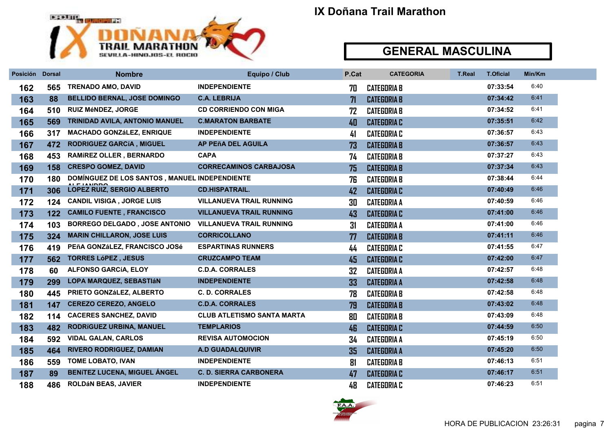

| Posición | <b>Dorsal</b> | <b>Nombre</b>                                 | Equipo / Club                     | P.Cat | <b>CATEGORIA</b>   | <b>T.Real</b> | <b>T.Oficial</b> | Min/Km |
|----------|---------------|-----------------------------------------------|-----------------------------------|-------|--------------------|---------------|------------------|--------|
| 162      | 565           | <b>TRENADO AMO, DAVID</b>                     | <b>INDEPENDIENTE</b>              | 70    | <b>CATEGORIA B</b> |               | 07:33:54         | 6:40   |
| 163      | 88            | <b>BELLIDO BERNAL, JOSE DOMINGO</b>           | <b>C.A. LEBRIJA</b>               | 71    | <b>CATEGORIA B</b> |               | 07:34:42         | 6:41   |
| 164      | 510           | <b>RUIZ MÉNDEZ, JORGE</b>                     | <b>CD CORRIENDO CON MIGA</b>      | 72    | <b>CATEGORIA B</b> |               | 07:34:52         | 6:41   |
| 165      | 569           | TRINIDAD AVILA, ANTONIO MANUEL                | <b>C.MARATON BARBATE</b>          | 40    | <b>CATEGORIA C</b> |               | 07:35:51         | 6:42   |
| 166      | 317           | <b>MACHADO GONZáLEZ, ENRIQUE</b>              | <b>INDEPENDIENTE</b>              | 41    | <b>CATEGORIA C</b> |               | 07:36:57         | 6:43   |
| 167      | 472           | RODRIGUEZ GARCÍA, MIGUEL                      | AP PEñA DEL AGUILA                | 73    | <b>CATEGORIA B</b> |               | 07:36:57         | 6:43   |
| 168      | 453           | <b>RAMÍREZ OLLER, BERNARDO</b>                | <b>CAPA</b>                       | 74    | <b>CATEGORIA B</b> |               | 07:37:27         | 6:43   |
| 169      | 158           | <b>CRESPO GOMEZ, DAVID</b>                    | <b>CORRECAMINOS CARBAJOSA</b>     | 75    | <b>CATEGORIA B</b> |               | 07:37:34         | 6:43   |
| 170      | 180           | DOMÍNGUEZ DE LOS SANTOS, MANUEL INDEPENDIENTE |                                   | 76    | <b>CATEGORIA B</b> |               | 07:38:44         | 6:44   |
| 171      | 306           | <b>LOPEZ RUIZ, SERGIO ALBERTO</b>             | <b>CD.HISPATRAIL.</b>             | 42    | <b>CATEGORIA C</b> |               | 07:40:49         | 6:46   |
| 172      | 124           | <b>CANDIL VISIGA, JORGE LUIS</b>              | <b>VILLANUEVA TRAIL RUNNING</b>   | 30    | <b>CATEGORIA A</b> |               | 07:40:59         | 6:46   |
| 173      | 122           | <b>CAMILO FUENTE, FRANCISCO</b>               | <b>VILLANUEVA TRAIL RUNNING</b>   | 43    | <b>CATEGORIA C</b> |               | 07:41:00         | 6:46   |
| 174      | 103           | <b>BORREGO DELGADO, JOSE ANTONIO</b>          | <b>VILLANUEVA TRAIL RUNNING</b>   | 31    | <b>CATEGORIA A</b> |               | 07:41:00         | 6:46   |
| 175      | 324           | <b>MARIN CHILLARON, JOSE LUIS</b>             | <b>CORRICOLLANO</b>               | 77    | <b>CATEGORIA B</b> |               | 07:41:11         | 6:46   |
| 176      | 419           | PEñA GONZáLEZ, FRANCISCO JOSé                 | <b>ESPARTINAS RUNNERS</b>         | 44    | <b>CATEGORIA C</b> |               | 07:41:55         | 6:47   |
| 177      | 562           | <b>TORRES LÓPEZ, JESUS</b>                    | <b>CRUZCAMPO TEAM</b>             | 45    | <b>CATEGORIA C</b> |               | 07:42:00         | 6:47   |
| 178      | 60            | <b>ALFONSO GARCÍA, ELOY</b>                   | <b>C.D.A. CORRALES</b>            | 32    | <b>CATEGORIA A</b> |               | 07:42:57         | 6:48   |
| 179      | 299           | <b>LOPA MARQUEZ, SEBASTIÁN</b>                | <b>INDEPENDIENTE</b>              | 33    | <b>CATEGORIA A</b> |               | 07:42:58         | 6:48   |
| 180      | 445           | PRIETO GONZÁLEZ, ALBERTO                      | <b>C. D. CORRALES</b>             | 78    | <b>CATEGORIA B</b> |               | 07:42:58         | 6:48   |
| 181      | 147           | <b>CEREZO CEREZO, ANGELO</b>                  | <b>C.D.A. CORRALES</b>            | 79    | <b>CATEGORIA B</b> |               | 07:43:02         | 6:48   |
| 182      | 114           | <b>CACERES SANCHEZ, DAVID</b>                 | <b>CLUB ATLETISMO SANTA MARTA</b> | 80    | <b>CATEGORIA B</b> |               | 07:43:09         | 6:48   |
| 183      | 482           | RODRÍGUEZ URBINA, MANUEL                      | <b>TEMPLARIOS</b>                 | 46    | <b>CATEGORIA C</b> |               | 07:44:59         | 6:50   |
| 184      | 592           | <b>VIDAL GALAN, CARLOS</b>                    | <b>REVISA AUTOMOCION</b>          | 34    | <b>CATEGORIA A</b> |               | 07:45:19         | 6:50   |
| 185      | 464           | <b>RIVERO RODRIGUEZ, DAMIAN</b>               | <b>A.D GUADALQUIVIR</b>           | 35    | <b>CATEGORIA A</b> |               | 07:45:20         | 6:50   |
| 186      | 559           | <b>TOME LOBATO, IVAN</b>                      | <b>INDEPENDIENTE</b>              | 81    | <b>CATEGORIA B</b> |               | 07:46:13         | 6:51   |
| 187      | 89            | <b>BENITEZ LUCENA, MIGUEL ANGEL</b>           | <b>C. D. SIERRA CARBONERA</b>     | 47    | <b>CATEGORIA C</b> |               | 07:46:17         | 6:51   |
| 188      | 486           | <b>ROLDÁN BEAS, JAVIER</b>                    | <b>INDEPENDIENTE</b>              | 48    | <b>CATEGORIA C</b> |               | 07:46:23         | 6:51   |

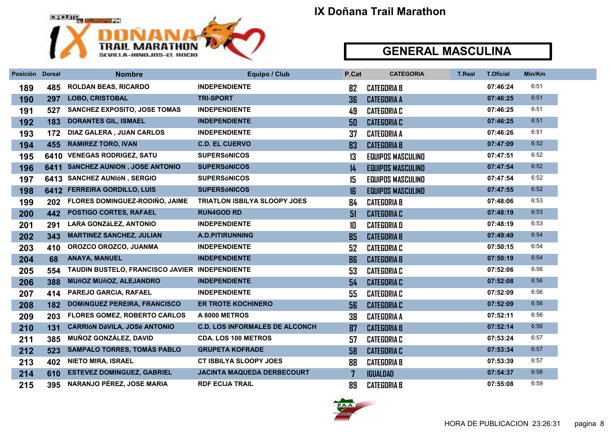

| Posición Dorsal |     | <b>Nombre</b>                                  | Equipo / Club                         | P.Cat          | <b>CATEGORIA</b>         | <b>T.Real</b> | <b>T.Oficial</b> | Min/Km |
|-----------------|-----|------------------------------------------------|---------------------------------------|----------------|--------------------------|---------------|------------------|--------|
| 189             | 485 | <b>ROLDAN BEAS, RICARDO</b>                    | <b>INDEPENDIENTE</b>                  | 82             | <b>CATEGORIA B</b>       |               | 07:46:24         | 6:51   |
| 190             | 297 | <b>LOBO, CRISTOBAL</b>                         | <b>TRI-SPORT</b>                      | 36             | <b>CATEGORIA A</b>       |               | 07:46:25         | 6:51   |
| 191             | 527 | <b>SANCHEZ EXPOSITO, JOSE TOMAS</b>            | <b>INDEPENDIENTE</b>                  | 49             | <b>CATEGORIA C</b>       |               | 07:46:25         | 6:51   |
| 192             | 183 | <b>DORANTES GIL, ISMAEL</b>                    | <b>INDEPENDIENTE</b>                  | 50             | <b>CATEGORIA C</b>       |               | 07:46:25         | 6:51   |
| 193             | 172 | <b>DIAZ GALERA, JUAN CARLOS</b>                | <b>INDEPENDIENTE</b>                  | 37             | <b>CATEGORIA A</b>       |               | 07:46:26         | 6:51   |
| 194             | 455 | <b>RAMIREZ TORO, IVAN</b>                      | <b>C.D. EL CUERVO</b>                 | 83             | <b>CATEGORIA B</b>       |               | 07:47:09         | 6:52   |
| 195             |     | 6410 VENEGAS RODRIGEZ, SATU                    | <b>SUPERSÓNICOS</b>                   | 13             | <b>EQUIPOS MASCULINO</b> |               | 07:47:51         | 6:52   |
| 196             |     | 6411 SÁNCHEZ AUNION, JOSE ANTONIO              | <b>SUPERSÓNICOS</b>                   | 14             | <b>EQUIPOS MASCULINO</b> |               | 07:47:54         | 6:52   |
| 197             |     | 6413 SANCHEZ AUNIÓN, SERGIO                    | <b>SUPERSÓNICOS</b>                   | 15             | <b>EQUIPOS MASCULINO</b> |               | 07:47:54         | 6:52   |
| 198             |     | 6412 FERREIRA GORDILLO, LUIS                   | <b>SUPERSÓNICOS</b>                   | 16             | <b>EQUIPOS MASCULINO</b> |               | 07:47:55         | 6:52   |
| 199             | 202 | FLORES DOMINGUEZ-RODIÑO, JAIME                 | <b>TRIATLON ISBILYA SLOOPY JOES</b>   | 84             | <b>CATEGORIA B</b>       |               | 07:48:06         | 6:53   |
| 200             | 442 | POSTIGO CORTES, RAFAEL                         | <b>RUN4GOD RD</b>                     | 51             | <b>CATEGORIA C</b>       |               | 07:48:19         | 6:53   |
| 201             | 291 | <b>LARA GONZáLEZ, ANTONIO</b>                  | <b>INDEPENDIENTE</b>                  | 10             | <b>CATEGORIA D</b>       |               | 07:48:19         | 6:53   |
| 202             | 343 | <b>MARTINEZ SANCHEZ, JULIAN</b>                | A.D.PITIRUNNING                       | 85             | <b>CATEGORIA B</b>       |               | 07:49:49         | 6:54   |
| 203             | 410 | OROZCO OROZCO, JUANMA                          | <b>INDEPENDIENTE</b>                  | 52             | <b>CATEGORIA C</b>       |               | 07:50:15         | 6:54   |
| 204             | 68  | <b>ANAYA, MANUEL</b>                           | <b>INDEPENDIENTE</b>                  | 86             | <b>CATEGORIA B</b>       |               | 07:50:19         | 6:54   |
| 205             | 554 | TAUDIN BUSTELO, FRANCISCO JAVIER INDEPENDIENTE |                                       | 53             | <b>CATEGORIA C</b>       |               | 07:52:06         | 6:56   |
| 206             | 388 | <b>MUñOZ MUñOZ, ALEJANDRO</b>                  | <b>INDEPENDIENTE</b>                  | 54             | <b>CATEGORIA C</b>       |               | 07:52:08         | 6.56   |
| 207             | 414 | PAREJO GARCÍA, RAFAEL                          | <b>INDEPENDIENTE</b>                  | 55             | <b>CATEGORIA C</b>       |               | 07:52:09         | 6:56   |
| 208             | 182 | <b>DOMÍNGUEZ PEREIRA, FRANCISCO</b>            | <b>ER TROTE KOCHINERO</b>             | 56             | <b>CATEGORIA C</b>       |               | 07:52:09         | 6:56   |
| 209             | 203 | <b>FLORES GOMEZ, ROBERTO CARLOS</b>            | A 8000 METROS                         | 38             | <b>CATEGORIA A</b>       |               | 07:52:11         | 6:56   |
| 210             | 131 | <b>CARRIÓN DÁVILA, JOSÉ ANTONIO</b>            | <b>C.D. LOS INFORMALES DE ALCONCH</b> | 87             | <b>CATEGORIA B</b>       |               | 07:52:14         | 6:56   |
| 211             | 385 | MUÑOZ GONZÁLEZ, DAVID                          | <b>CDA. LOS 100 METROS</b>            | 57             | <b>CATEGORIA C</b>       |               | 07:53:24         | 6:57   |
| 212             | 523 | <b>SAMPALO TORRES, TOMÁS PABLO</b>             | <b>GRUPETA KOFRADE</b>                | 58             | <b>CATEGORIA C</b>       |               | 07:53:34         | 6:57   |
| 213             | 402 | <b>NIETO MIRA, ISRAEL</b>                      | <b>CT ISBILYA SLOOPY JOES</b>         | 88             | <b>CATEGORIA B</b>       |               | 07:53:39         | 6:57   |
| 214             | 610 | <b>ESTEVEZ DOMINGUEZ, GABRIEL</b>              | <b>JACINTA MAQUEDA DERBECOURT</b>     | $\overline{7}$ | <b>IGUALDAD</b>          |               | 07:54:37         | 6:58   |
| 215             | 395 | NARANJO PÉREZ, JOSE MARIA                      | <b>RDF ECIJA TRAIL</b>                | 89             | <b>CATEGORIA B</b>       |               | 07:55:08         | 6:59   |

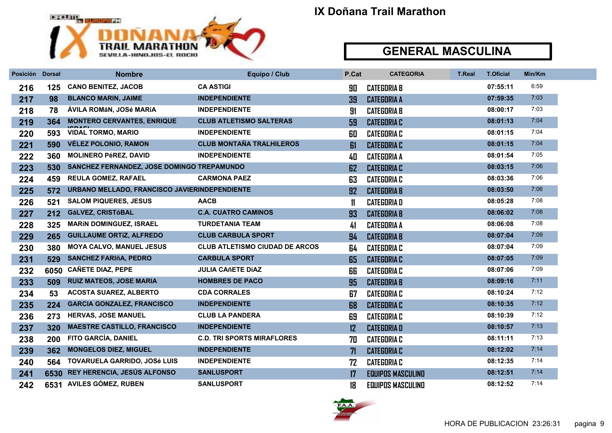

| Posición Dorsal |      | <b>Nombre</b>                                 | Equipo / Club                         | P.Cat | <b>CATEGORIA</b>         | <b>T.Real</b> | <b>T.Oficial</b> | Min/Km |
|-----------------|------|-----------------------------------------------|---------------------------------------|-------|--------------------------|---------------|------------------|--------|
| 216             | 125  | <b>CANO BENITEZ, JACOB</b>                    | <b>CA ASTIGI</b>                      | 90    | <b>CATEGORIA B</b>       |               | 07:55:11         | 6:59   |
| 217             | 98   | <b>BLANCO MARIN, JAIME</b>                    | <b>INDEPENDIENTE</b>                  | 39    | <b>CATEGORIA A</b>       |               | 07:59:35         | 7:03   |
| 218             | 78   | ÁVILA ROMáN, JOSé MARÍA                       | <b>INDEPENDIENTE</b>                  | 91    | <b>CATEGORIA B</b>       |               | 08:00:17         | 7:03   |
| 219             | 364  | <b>MONTERO CERVANTES, ENRIQUE</b>             | <b>CLUB ATLETISMO SALTERAS</b>        | 59    | <b>CATEGORIA C</b>       |               | 08:01:13         | 7:04   |
| 220             | 593  | <b>VIDAL TORMO, MARIO</b>                     | <b>INDEPENDIENTE</b>                  | 60    | <b>CATEGORIA C</b>       |               | 08:01:15         | 7:04   |
| 221             | 590  | <b>VÉLEZ POLONIO, RAMON</b>                   | <b>CLUB MONTAÑA TRALHILEROS</b>       | 61    | <b>CATEGORIA C</b>       |               | 08:01:15         | 7:04   |
| 222             | 360  | <b>MOLINERO PéREZ, DAVID</b>                  | <b>INDEPENDIENTE</b>                  | 40    | <b>CATEGORIA A</b>       |               | 08:01:54         | 7:05   |
| 223             | 530  | SANCHEZ FERNANDEZ, JOSE DOMINGO TREPAMUNDO    |                                       | 62    | <b>CATEGORIA C</b>       |               | 08:03:15         | 7:06   |
| 224             | 459  | <b>REULA GOMEZ, RAFAEL</b>                    | <b>CARMONA PAEZ</b>                   | 63    | <b>CATEGORIA C</b>       |               | 08:03:36         | 7:06   |
| 225             | 572  | URBANO MELLADO, FRANCISCO JAVIERINDEPENDIENTE |                                       | 92    | <b>CATEGORIA B</b>       |               | 08:03:50         | 7:06   |
| 226             | 521  | <b>SALOM PIQUERES, JESUS</b>                  | <b>AACB</b>                           | 11    | <b>CATEGORIAD</b>        |               | 08:05:28         | 7:08   |
| 227             | 212  | GáLVEZ, CRISTóBAL                             | <b>C.A. CUATRO CAMINOS</b>            | 93    | <b>CATEGORIA B</b>       |               | 08:06:02         | 7:08   |
| 228             | 325  | <b>MARÍN DOMINGUEZ, ISRAEL</b>                | <b>TURDETANIA TEAM</b>                | 41    | <b>CATEGORIA A</b>       |               | 08:06:08         | 7:08   |
| 229             | 265  | <b>GUILLAUME ORTIZ, ALFREDO</b>               | <b>CLUB CARBULA SPORT</b>             | 94    | <b>CATEGORIA B</b>       |               | 08:07:04         | 7:09   |
| 230             | 380  | <b>MOYA CALVO, MANUEL JESUS</b>               | <b>CLUB ATLETISMO CIUDAD DE ARCOS</b> | 64    | <b>CATEGORIA C</b>       |               | 08:07:04         | 7:09   |
| 231             | 529  | <b>SANCHEZ FARIñA, PEDRO</b>                  | <b>CARBULA SPORT</b>                  | 65    | <b>CATEGORIA C</b>       |               | 08:07:05         | 7:09   |
| 232             | 6050 | <b>CAÑETE DIAZ, PEPE</b>                      | <b>JULIA CAñETE DÍAZ</b>              | 66    | <b>CATEGORIA C</b>       |               | 08:07:06         | 7:09   |
| 233             | 509  | <b>RUIZ MATEOS, JOSE MARIA</b>                | <b>HOMBRES DE PACO</b>                | 95    | <b>CATEGORIA B</b>       |               | 08:09:16         | 7:11   |
| 234             | 53   | <b>ACOSTA SUAREZ, ALBERTO</b>                 | <b>CDA CORRALES</b>                   | 67    | <b>CATEGORIA C</b>       |               | 08:10:24         | 7:12   |
| 235             | 224  | <b>GARCIA GONZALEZ, FRANCISCO</b>             | <b>INDEPENDIENTE</b>                  | 68    | <b>CATEGORIA C</b>       |               | 08:10:35         | 7:12   |
| 236             | 273  | <b>HERVAS, JOSE MANUEL</b>                    | <b>CLUB LA PANDERA</b>                | 69    | <b>CATEGORIA C</b>       |               | 08:10:39         | 7:12   |
| 237             | 320  | <b>MAESTRE CASTILLO, FRANCISCO</b>            | <b>INDEPENDIENTE</b>                  | 12    | <b>CATEGORIAD</b>        |               | 08:10:57         | 7:13   |
| 238             | 200  | FITO GARCÍA, DANIEL                           | <b>C.D. TRI SPORTS MIRAFLORES</b>     | 70    | <b>CATEGORIA C</b>       |               | 08:11:11         | 7:13   |
| 239             | 362  | <b>MONGELOS DIEZ, MIGUEL</b>                  | <b>INDEPENDIENTE</b>                  | 71    | <b>CATEGORIA C</b>       |               | 08:12:02         | 7:14   |
| 240             | 564  | <b>TOVARUELA GARRIDO, JOSé LUIS</b>           | <b>INDEPENDIENTE</b>                  | 72    | <b>CATEGORIA C</b>       |               | 08:12:35         | 7:14   |
| 241             | 6530 | <b>REY HERENCIA, JESÚS ALFONSO</b>            | <b>SANLUSPORT</b>                     | 17    | <b>EQUIPOS MASCULINO</b> |               | 08:12:51         | 7:14   |
| 242             |      | 6531 AVILES GÓMEZ, RUBEN                      | <b>SANLUSPORT</b>                     | 18    | <b>EQUIPOS MASCULINO</b> |               | 08:12:52         | 7:14   |

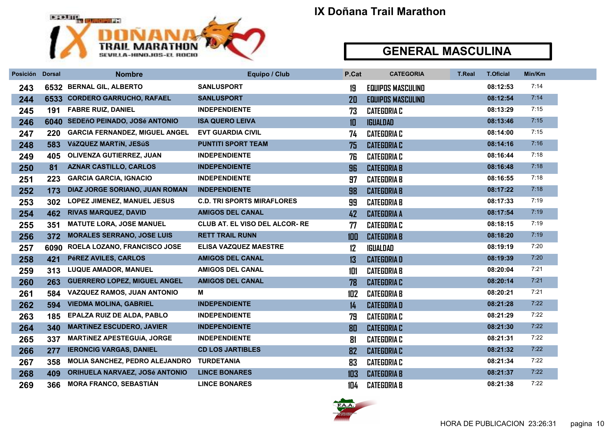

| Posición Dorsal |      | <b>Nombre</b>                         | Equipo / Club                         | P.Cat | <b>CATEGORIA</b>         | <b>T.Real</b> | <b>T.Oficial</b> | Min/Km |
|-----------------|------|---------------------------------------|---------------------------------------|-------|--------------------------|---------------|------------------|--------|
| 243             | 6532 | <b>BERNAL GIL, ALBERTO</b>            | <b>SANLUSPORT</b>                     | 19    | <b>EQUIPOS MASCULINO</b> |               | 08:12:53         | 7:14   |
| 244             |      | 6533 CORDERO GARRUCHO, RAFAEL         | <b>SANLUSPORT</b>                     | 20    | <b>EQUIPOS MASCULINO</b> |               | 08:12:54         | 7:14   |
| 245             | 191  | <b>FABRE RUIZ, DANIEL</b>             | <b>INDEPENDIENTE</b>                  | 73    | <b>CATEGORIA C</b>       |               | 08:13:29         | 7:15   |
| 246             |      | 6040 SEDEñO PEINADO, JOSé ANTONIO     | <b>ISA QUERO LEIVA</b>                | 10    | <b>IGUALDAD</b>          |               | 08:13:46         | 7:15   |
| 247             | 220  | <b>GARCIA FERNANDEZ, MIGUEL ANGEL</b> | <b>EVT GUARDIA CIVIL</b>              | 74    | <b>CATEGORIA C</b>       |               | 08:14:00         | 7:15   |
| 248             | 583  | VáZQUEZ MARTÍN, JESúS                 | <b>PUNTITI SPORT TEAM</b>             | 75    | <b>CATEGORIA C</b>       |               | 08:14:16         | 7:16   |
| 249             | 405  | OLIVENZA GUTIERREZ, JUAN              | <b>INDEPENDIENTE</b>                  | 76    | <b>CATEGORIA C</b>       |               | 08:16:44         | 7:18   |
| 250             | 81   | <b>AZNAR CASTILLO, CARLOS</b>         | <b>INDEPENDIENTE</b>                  | 96    | <b>CATEGORIA B</b>       |               | 08:16:48         | 7:18   |
| 251             | 223  | <b>GARCIA GARCIA, IGNACIO</b>         | <b>INDEPENDIENTE</b>                  | 97    | <b>CATEGORIA B</b>       |               | 08:16:55         | 7:18   |
| 252             | 173  | DIAZ JORGE SORIANO, JUAN ROMAN        | <b>INDEPENDIENTE</b>                  | 98    | <b>CATEGORIA B</b>       |               | 08:17:22         | 7:18   |
| 253             | 302  | <b>LOPEZ JIMENEZ, MANUEL JESUS</b>    | <b>C.D. TRI SPORTS MIRAFLORES</b>     | 99    | <b>CATEGORIA B</b>       |               | 08:17:33         | 7:19   |
| 254             | 462  | <b>RIVAS MARQUEZ, DAVID</b>           | <b>AMIGOS DEL CANAL</b>               | 42    | <b>CATEGORIA A</b>       |               | 08:17:54         | 7:19   |
| 255             | 351  | <b>MATUTE LORA, JOSE MANUEL</b>       | <b>CLUB AT. EL VISO DEL ALCOR- RE</b> | 77    | <b>CATEGORIA C</b>       |               | 08:18:15         | 7:19   |
| 256             | 372  | <b>MORALES SERRANO, JOSE LUIS</b>     | <b>RETT TRAIL RUNN</b>                | 100   | <b>CATEGORIA B</b>       |               | 08:18:20         | 7:19   |
| 257             | 6090 | ROELA LOZANO, FRANCISCO JOSE          | <b>ELISA VAZQUEZ MAESTRE</b>          | 12    | IGUALDAD                 |               | 08:19:19         | 7:20   |
| 258             | 421  | PéREZ AVILES, CARLOS                  | <b>AMIGOS DEL CANAL</b>               | 13    | <b>CATEGORIAD</b>        |               | 08:19:39         | 7:20   |
| 259             | 313  | <b>LUQUE AMADOR, MANUEL</b>           | <b>AMIGOS DEL CANAL</b>               | 101   | <b>CATEGORIA B</b>       |               | 08:20:04         | 7:21   |
| 260             | 263  | <b>GUERRERO LOPEZ, MIGUEL ANGEL</b>   | <b>AMIGOS DEL CANAL</b>               | 78    | <b>CATEGORIA C</b>       |               | 08:20:14         | 7:21   |
| 261             | 584  | VAZQUEZ RAMOS, JUAN ANTONIO           | м                                     | 102   | <b>CATEGORIA B</b>       |               | 08:20:21         | 7:21   |
| 262             | 594  | <b>VIEDMA MOLINA, GABRIEL</b>         | <b>INDEPENDIENTE</b>                  | 14    | <b>CATEGORIAD</b>        |               | 08:21:28         | 7:22   |
| 263             | 185  | EPALZA RUIZ DE ALDA, PABLO            | <b>INDEPENDIENTE</b>                  | 79    | <b>CATEGORIA C</b>       |               | 08:21:29         | 7:22   |
| 264             | 340  | <b>MARTÍNEZ ESCUDERO, JAVIER</b>      | <b>INDEPENDIENTE</b>                  | 80    | <b>CATEGORIA C</b>       |               | 08:21:30         | 7:22   |
| 265             | 337  | <b>MARTÍNEZ APESTEGUÍA, JORGE</b>     | <b>INDEPENDIENTE</b>                  | 81    | <b>CATEGORIA C</b>       |               | 08:21:31         | 7:22   |
| 266             | 277  | <b>IERONCIG VARGAS, DANIEL</b>        | <b>CD LOS JARTIBLES</b>               | 82    | <b>CATEGORIA C</b>       |               | 08:21:32         | 7:22   |
| 267             | 358  | <b>MOLIA SANCHEZ, PEDRO ALEJANDRO</b> | <b>TURDETANIA</b>                     | 83    | <b>CATEGORIA C</b>       |               | 08:21:34         | 7:22   |
| 268             | 409  | ORIHUELA NARVAEZ, JOSé ANTONIO        | <b>LINCE BONARES</b>                  | 103   | <b>CATEGORIA B</b>       |               | 08:21:37         | 7:22   |
| 269             | 366  | <b>MORA FRANCO, SEBASTIÁN</b>         | <b>LINCE BONARES</b>                  | 104   | <b>CATEGORIA B</b>       |               | 08:21:38         | 7:22   |

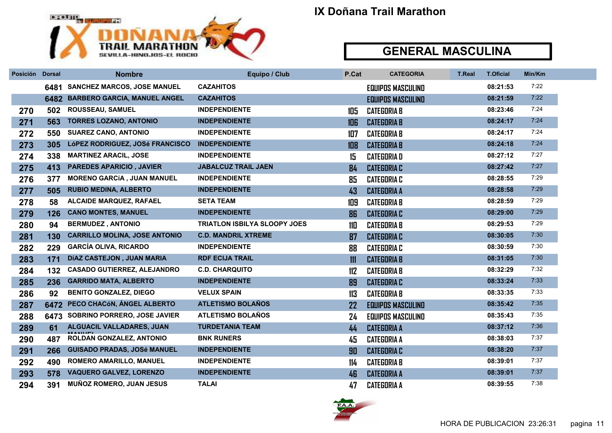

| Posición | <b>Dorsal</b> | <b>Nombre</b>                        | Equipo / Club                       | P.Cat | <b>CATEGORIA</b>         | <b>T.Real</b> | <b>T.Oficial</b> | Min/Km |
|----------|---------------|--------------------------------------|-------------------------------------|-------|--------------------------|---------------|------------------|--------|
|          | 6481          | <b>SANCHEZ MARCOS, JOSE MANUEL</b>   | <b>CAZAHITOS</b>                    |       | <b>EQUIPOS MASCULINO</b> |               | 08:21:53         | 7:22   |
|          | 6482          | <b>BARBERO GARCIA, MANUEL ANGEL</b>  | <b>CAZAHITOS</b>                    |       | <b>EQUIPOS MASCULINO</b> |               | 08:21:59         | 7:22   |
| 270      | 502           | ROUSSEAU, SAMUEL                     | <b>INDEPENDIENTE</b>                | 105   | <b>CATEGORIA B</b>       |               | 08:23:46         | 7:24   |
| 271      | 563           | <b>TORRES LOZANO, ANTONIO</b>        | <b>INDEPENDIENTE</b>                | 106   | <b>CATEGORIA B</b>       |               | 08:24:17         | 7:24   |
| 272      | 550           | <b>SUAREZ CANO, ANTONIO</b>          | <b>INDEPENDIENTE</b>                | 107   | <b>CATEGORIA B</b>       |               | 08:24:17         | 7:24   |
| 273      | 305           | LÓPEZ RODRIGUEZ, JOSé FRANCISCO      | <b>INDEPENDIENTE</b>                | 108   | <b>CATEGORIA B</b>       |               | 08:24:18         | 7:24   |
| 274      | 338           | <b>MARTINEZ ARACIL, JOSE</b>         | <b>INDEPENDIENTE</b>                | 15    | <b>CATEGORIAD</b>        |               | 08:27:12         | 7:27   |
| 275      | 413           | <b>PAREDES APARICIO, JAVIER</b>      | <b>JABALCUZ TRAIL JAEN</b>          | 84    | <b>CATEGORIA C</b>       |               | 08:27:42         | 7:27   |
| 276      | 377           | <b>MORENO GARCÍA, JUAN MANUEL</b>    | <b>INDEPENDIENTE</b>                | 85    | <b>CATEGORIA C</b>       |               | 08:28:55         | 7:29   |
| 277      | 505           | <b>RUBIO MEDINA, ALBERTO</b>         | <b>INDEPENDIENTE</b>                | 43    | <b>CATEGORIA A</b>       |               | 08:28:58         | 7:29   |
| 278      | 58            | <b>ALCAIDE MARQUEZ, RAFAEL</b>       | <b>SETA TEAM</b>                    | 109   | <b>CATEGORIA B</b>       |               | 08:28:59         | 7:29   |
| 279      | 126           | <b>CANO MONTES, MANUEL</b>           | <b>INDEPENDIENTE</b>                | 86    | <b>CATEGORIA C</b>       |               | 08:29:00         | 7:29   |
| 280      | 94            | <b>BERMUDEZ, ANTONIO</b>             | <b>TRIATLON ISBILYA SLOOPY JOES</b> | 110   | <b>CATEGORIA B</b>       |               | 08:29:53         | 7:29   |
| 281      | 130           | <b>CARRILLO MOLINA, JOSE ANTONIO</b> | <b>C.D. MANDRIL XTREME</b>          | 87    | <b>CATEGORIA C</b>       |               | 08:30:05         | 7:30   |
| 282      | 229           | <b>GARCÍA OLIVA, RICARDO</b>         | <b>INDEPENDIENTE</b>                | 88    | <b>CATEGORIA C</b>       |               | 08:30:59         | 7:30   |
| 283      | 171           | DÍAZ CASTEJON, JUAN MARIA            | <b>RDF ECIJA TRAIL</b>              | 111   | <b>CATEGORIA B</b>       |               | 08:31:05         | 7:30   |
| 284      | 132           | <b>CASADO GUTIERREZ, ALEJANDRO</b>   | <b>C.D. CHARQUITO</b>               | 112   | <b>CATEGORIA B</b>       |               | 08:32:29         | 7:32   |
| 285      | 236           | <b>GARRIDO MATA, ALBERTO</b>         | <b>INDEPENDIENTE</b>                | 89    | <b>CATEGORIA C</b>       |               | 08:33:24         | 7:33   |
| 286      | 92            | <b>BENITO GONZALEZ, DIEGO</b>        | <b>VELUX SPAIN</b>                  | 113   | <b>CATEGORIA B</b>       |               | 08:33:35         | 7:33   |
| 287      | 6472          | PECO CHACÓN, ÁNGEL ALBERTO           | <b>ATLETISMO BOLAÑOS</b>            | 22    | <b>EQUIPOS MASCULINO</b> |               | 08:35:42         | 7:35   |
| 288      | 6473          | SOBRINO PORRERO, JOSE JAVIER         | <b>ATLETISMO BOLAÑOS</b>            | 24    | <b>EQUIPOS MASCULINO</b> |               | 08:35:43         | 7:35   |
| 289      | 61            | ALGUACIL VALLADARES, JUAN            | <b>TURDETANIA TEAM</b>              | 44    | <b>CATEGORIA A</b>       |               | 08:37:12         | 7:36   |
| 290      | 487           | ROLDAN GONZALEZ, ANTONIO             | <b>BNK RUNERS</b>                   | 45    | <b>CATEGORIA A</b>       |               | 08:38:03         | 7:37   |
| 291      | 266           | <b>GUISADO PRADAS, JOSé MANUEL</b>   | <b>INDEPENDIENTE</b>                | 90    | <b>CATEGORIA C</b>       |               | 08:38:20         | 7:37   |
| 292      | 490           | <b>ROMERO AMARILLO, MANUEL</b>       | <b>INDEPENDIENTE</b>                | 114   | <b>CATEGORIA B</b>       |               | 08:39:01         | 7:37   |
| 293      | 578           | <b>VAQUERO GALVEZ, LORENZO</b>       | <b>INDEPENDIENTE</b>                | 46    | <b>CATEGORIA A</b>       |               | 08:39:01         | 7:37   |
| 294      | 391           | <b>MUÑOZ ROMERO, JUAN JESUS</b>      | <b>TALAI</b>                        | 47    | <b>CATEGORIA A</b>       |               | 08:39:55         | 7:38   |

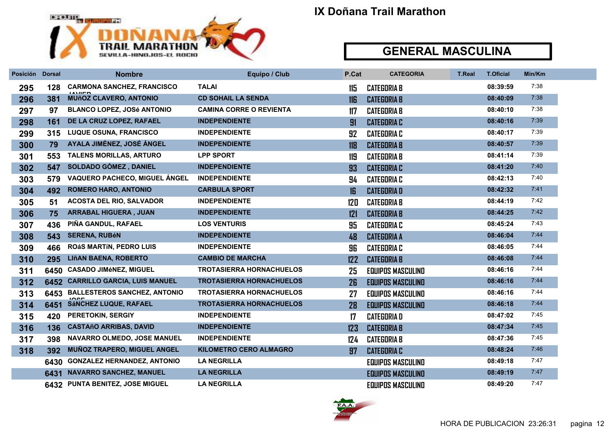

| Posición Dorsal |      | <b>Nombre</b>                      | Equipo / Club                   | P.Cat | <b>CATEGORIA</b>         | <b>T.Real</b> | <b>T.Oficial</b> | Min/Km |
|-----------------|------|------------------------------------|---------------------------------|-------|--------------------------|---------------|------------------|--------|
| 295             | 128  | <b>CARMONA SANCHEZ, FRANCISCO</b>  | <b>TALAI</b>                    | 115   | <b>CATEGORIA B</b>       |               | 08:39:59         | 7:38   |
| 296             | 381  | <b>MUñOZ CLAVERO, ANTONIO</b>      | <b>CD SOHAIL LA SENDA</b>       | 116   | <b>CATEGORIA B</b>       |               | 08:40:09         | 7:38   |
| 297             | 97   | <b>BLANCO LOPEZ, JOSé ANTONIO</b>  | <b>CAMINA CORRE O REVIENTA</b>  | 117   | <b>CATEGORIA B</b>       |               | 08:40:10         | 7:38   |
| 298             | 161  | DE LA CRUZ LOPEZ, RAFAEL           | <b>INDEPENDIENTE</b>            | 91    | <b>CATEGORIA C</b>       |               | 08:40:16         | 7:39   |
| 299             | 315  | <b>LUQUE OSUNA, FRANCISCO</b>      | <b>INDEPENDIENTE</b>            | 92    | <b>CATEGORIA C</b>       |               | 08:40:17         | 7:39   |
| 300             | 79   | AYALA JIMÉNEZ, JOSÉ ÁNGEL          | <b>INDEPENDIENTE</b>            | 118   | <b>CATEGORIA B</b>       |               | 08:40:57         | 7:39   |
| 301             | 553  | <b>TALENS MORILLAS, ARTURO</b>     | <b>LPP SPORT</b>                | 119   | <b>CATEGORIA B</b>       |               | 08:41:14         | 7:39   |
| 302             | 547  | <b>SOLDADO GÓMEZ, DANIEL</b>       | <b>INDEPENDIENTE</b>            | 93    | <b>CATEGORIA C</b>       |               | 08:41:20         | 7:40   |
| 303             | 579  | VAQUERO PACHECO, MIGUEL ÁNGEL      | <b>INDEPENDIENTE</b>            | 94    | <b>CATEGORIA C</b>       |               | 08:42:13         | 7:40   |
| 304             | 492  | <b>ROMERO HARO, ANTONIO</b>        | <b>CARBULA SPORT</b>            | 16    | <b>CATEGORIAD</b>        |               | 08:42:32         | 7.41   |
| 305             | 51   | <b>ACOSTA DEL RIO, SALVADOR</b>    | <b>INDEPENDIENTE</b>            | 120   | <b>CATEGORIA B</b>       |               | 08:44:19         | 7:42   |
| 306             | 75   | <b>ARRABAL HIGUERA, JUAN</b>       | <b>INDEPENDIENTE</b>            | 121   | <b>CATEGORIA B</b>       |               | 08:44:25         | 7:42   |
| 307             | 436  | PIÑA GANDUL, RAFAEL                | <b>LOS VENTURIS</b>             | 95    | <b>CATEGORIA C</b>       |               | 08:45:24         | 7:43   |
| 308             | 543  | <b>SERENA, RUBÉN</b>               | <b>INDEPENDIENTE</b>            | 48    | <b>CATEGORIA A</b>       |               | 08:46:04         | 7.44   |
| 309             | 466  | ROÁS MARTÍN, PEDRO LUIS            | <b>INDEPENDIENTE</b>            | 96    | <b>CATEGORIA C</b>       |               | 08:46:05         | 7:44   |
| 310             | 295  | <b>LIñAN BAENA, ROBERTO</b>        | <b>CAMBIO DE MARCHA</b>         | 122   | <b>CATEGORIA B</b>       |               | 08:46:08         | 7.44   |
| 311             |      | 6450 CASADO JIMéNEZ, MIGUEL        | <b>TROTASIERRA HORNACHUELOS</b> | 25    | <b>EQUIPOS MASCULINO</b> |               | 08:46:16         | 7:44   |
| 312             |      | 6452 CARRILLO GARCIA, LUIS MANUEL  | <b>TROTASIERRA HORNACHUELOS</b> | 26    | <b>EQUIPOS MASCULINO</b> |               | 08:46:16         | 7:44   |
| 313             |      | 6453 BALLESTEROS SANCHEZ, ANTONIO  | <b>TROTASIERRA HORNACHUELOS</b> | 27    | <b>EQUIPOS MASCULINO</b> |               | 08:46:16         | 7:44   |
| 314             | 6451 | <b>SÁNCHEZ LUQUE, RAFAEL</b>       | <b>TROTASIERRA HORNACHUELOS</b> | 28    | <b>EQUIPOS MASCULINO</b> |               | 08:46:18         | 7.44   |
| 315             | 420  | <b>PERETOKIN, SERGIY</b>           | <b>INDEPENDIENTE</b>            | 17    | <b>CATEGORIAD</b>        |               | 08:47:02         | 7:45   |
| 316             | 136  | <b>CASTAñO ARRIBAS, DAVID</b>      | <b>INDEPENDIENTE</b>            | 123   | <b>CATEGORIA B</b>       |               | 08:47:34         | 7:45   |
| 317             | 398  | <b>NAVARRO OLMEDO, JOSE MANUEL</b> | <b>INDEPENDIENTE</b>            | 124   | <b>CATEGORIA B</b>       |               | 08:47:36         | 7:45   |
| 318             | 392  | <b>MUÑOZ TRAPERO, MIGUEL ANGEL</b> | <b>KILOMETRO CERO ALMAGRO</b>   | 97    | <b>CATEGORIA C</b>       |               | 08:48:24         | 7:46   |
|                 | 6430 | <b>GONZALEZ HERNANDEZ, ANTONIO</b> | <b>LA NEGRILLA</b>              |       | <b>EQUIPOS MASCULINO</b> |               | 08:49:18         | 7:47   |
|                 |      | 6431 NAVARRO SANCHEZ, MANUEL       | <b>LA NEGRILLA</b>              |       | <b>EQUIPOS MASCULINO</b> |               | 08:49:19         | 7.47   |
|                 |      | 6432 PUNTA BENITEZ, JOSE MIGUEL    | <b>LA NEGRILLA</b>              |       | <b>EQUIPOS MASCULINO</b> |               | 08:49:20         | 7:47   |

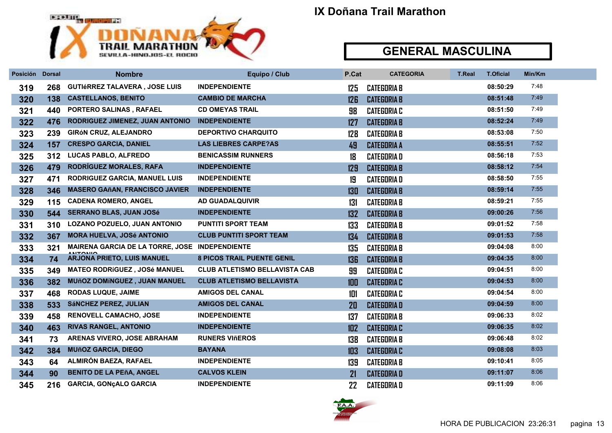

| Posición Dorsal |     | <b>Nombre</b>                                  | Equipo / Club                        | P.Cat | <b>CATEGORIA</b>   | <b>T.Real</b> | <b>T.Oficial</b> | Min/Km |
|-----------------|-----|------------------------------------------------|--------------------------------------|-------|--------------------|---------------|------------------|--------|
| 319             | 268 | <b>GUTIÉRREZ TALAVERA, JOSE LUIS</b>           | <b>INDEPENDIENTE</b>                 | 125   | <b>CATEGORIA B</b> |               | 08:50:29         | 7:48   |
| 320             | 138 | <b>CASTELLANOS, BENITO</b>                     | <b>CAMBIO DE MARCHA</b>              | 126   | <b>CATEGORIA B</b> |               | 08:51:48         | 7:49   |
| 321             | 440 | PORTERO SALINAS, RAFAEL                        | <b>CD OMEYAS TRAIL</b>               | 98    | <b>CATEGORIA C</b> |               | 08:51:50         | 7:49   |
| 322             | 476 | RODRIGUEZ JIMENEZ, JUAN ANTONIO                | <b>INDEPENDIENTE</b>                 | 127   | <b>CATEGORIA B</b> |               | 08:52:24         | 7:49   |
| 323             | 239 | <b>GIRÓN CRUZ, ALEJANDRO</b>                   | <b>DEPORTIVO CHARQUITO</b>           | 128   | <b>CATEGORIA B</b> |               | 08:53:08         | 7:50   |
| 324             | 157 | <b>CRESPO GARCIA, DANIEL</b>                   | <b>LAS LIEBRES CARPE?AS</b>          | 49    | <b>CATEGORIA A</b> |               | 08:55:51         | 7:52   |
| 325             | 312 | LUCAS PABLO, ALFREDO                           | <b>BENICASSIM RUNNERS</b>            | 18    | <b>CATEGORIA D</b> |               | 08:56:18         | 7:53   |
| 326             | 479 | RODRÍGUEZ MORALES, RAFA                        | <b>INDEPENDIENTE</b>                 | 129   | <b>CATEGORIA B</b> |               | 08:58:12         | 7:54   |
| 327             | 471 | <b>RODRIGUEZ GARCIA, MANUEL LUIS</b>           | <b>INDEPENDIENTE</b>                 | 19    | <b>CATEGORIAD</b>  |               | 08:58:50         | 7:55   |
| 328             | 346 | <b>MASERO GAñAN, FRANCISCO JAVIER</b>          | <b>INDEPENDIENTE</b>                 | 130   | <b>CATEGORIA B</b> |               | 08:59:14         | 7:55   |
| 329             | 115 | <b>CADENA ROMERO, ANGEL</b>                    | <b>AD GUADALQUIVIR</b>               | 131   | <b>CATEGORIA B</b> |               | 08:59:21         | 7:55   |
| 330             | 544 | <b>SERRANO BLAS, JUAN JOSé</b>                 | <b>INDEPENDIENTE</b>                 | 132   | <b>CATEGORIA B</b> |               | 09:00:26         | 7:56   |
| 331             | 310 | LOZANO POZUELO, JUAN ANTONIO                   | <b>PUNTITI SPORT TEAM</b>            | 133   | <b>CATEGORIA B</b> |               | 09:01:52         | 7:58   |
| 332             | 367 | <b>MORA HUELVA, JOSé ANTONIO</b>               | <b>CLUB PUNTITI SPORT TEAM</b>       | 134   | <b>CATEGORIA B</b> |               | 09:01:53         | 7:58   |
| 333             | 321 | MAIRENA GARCIA DE LA TORRE, JOSE INDEPENDIENTE |                                      | 135   | <b>CATEGORIA B</b> |               | 09:04:08         | 8:00   |
| 334             | 74  | <b>ARJONA PRIETO, LUIS MANUEL</b>              | <b>8 PICOS TRAIL PUENTE GENIL</b>    | 136   | <b>CATEGORIA B</b> |               | 09:04:35         | 8:00   |
| 335             | 349 | <b>MATEO RODRÍGUEZ, JOSé MANUEL</b>            | <b>CLUB ATLETISMO BELLAVISTA CAB</b> | 99    | <b>CATEGORIA C</b> |               | 09:04:51         | 8:00   |
| 336             | 382 | <b>MUñOZ DOMÍNGUEZ, JUAN MANUEL</b>            | <b>CLUB ATLETISMO BELLAVISTA</b>     | 100   | <b>CATEGORIA C</b> |               | 09:04:53         | 8:00   |
| 337             | 468 | <b>RODAS LUQUE, JAIME</b>                      | <b>AMIGOS DEL CANAL</b>              | 101   | <b>CATEGORIA C</b> |               | 09:04:54         | 8:00   |
| 338             | 533 | <b>SÁNCHEZ PEREZ, JULIAN</b>                   | <b>AMIGOS DEL CANAL</b>              | 20    | <b>CATEGORIAD</b>  |               | 09:04:59         | 8:00   |
| 339             | 458 | <b>RENOVELL CAMACHO, JOSE</b>                  | <b>INDEPENDIENTE</b>                 | 137   | <b>CATEGORIA B</b> |               | 09:06:33         | 8:02   |
| 340             | 463 | <b>RIVAS RANGEL, ANTONIO</b>                   | <b>INDEPENDIENTE</b>                 | 102   | <b>CATEGORIA C</b> |               | 09:06:35         | 8:02   |
| 341             | 73  | <b>ARENAS VIVERO, JOSE ABRAHAM</b>             | <b>RUNERS VIñEROS</b>                | 138   | <b>CATEGORIA B</b> |               | 09:06:48         | 8:02   |
| 342             | 384 | <b>MUñOZ GARCIA, DIEGO</b>                     | <b>BAYANA</b>                        | 103   | <b>CATEGORIA C</b> |               | 09:08:08         | 8:03   |
| 343             | 64  | ALMIRÓN BAEZA, RAFAEL                          | <b>INDEPENDIENTE</b>                 | 139   | <b>CATEGORIA B</b> |               | 09:10:41         | 8:05   |
| 344             | 90  | <b>BENITO DE LA PEñA, ANGEL</b>                | <b>CALVOS KLEIN</b>                  | 21    | <b>CATEGORIAD</b>  |               | 09:11:07         | 8:06   |
| 345             | 216 | <b>GARCIA, GONÇALO GARCIA</b>                  | <b>INDEPENDIENTE</b>                 | 22    | <b>CATEGORIAD</b>  |               | 09:11:09         | 8:06   |

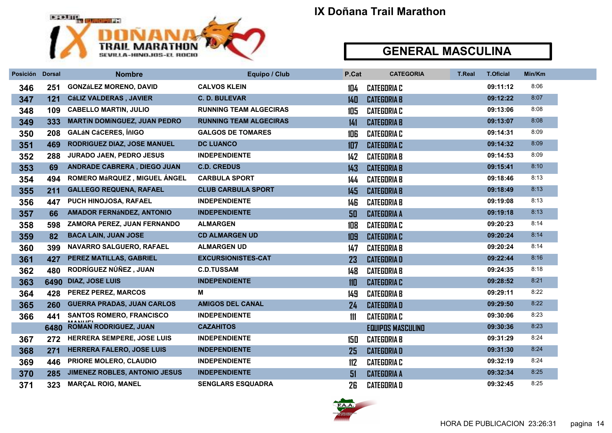

| Posición Dorsal |      | <b>Nombre</b>                       | Equipo / Club                 | P.Cat | <b>CATEGORIA</b>         | <b>T.Real</b> | <b>T.Oficial</b> | Min/Km |
|-----------------|------|-------------------------------------|-------------------------------|-------|--------------------------|---------------|------------------|--------|
| 346             | 251  | <b>GONZÁLEZ MORENO, DAVID</b>       | <b>CALVOS KLEIN</b>           | 104   | <b>CATEGORIA C</b>       |               | 09:11:12         | 8:06   |
| 347             | 121  | <b>CáLIZ VALDERAS, JAVIER</b>       | <b>C. D. BULEVAR</b>          | 140   | <b>CATEGORIA B</b>       |               | 09:12:22         | 8:07   |
| 348             | 109  | <b>CABELLO MARTIN, JULIO</b>        | <b>RUNNING TEAM ALGECIRAS</b> | 105   | <b>CATEGORIA C</b>       |               | 09:13:06         | 8:08   |
| 349             | 333  | <b>MARTÍN DOMÍNGUEZ, JUAN PEDRO</b> | <b>RUNNING TEAM ALGECIRAS</b> | 141   | <b>CATEGORIA B</b>       |               | 09:13:07         | 8:08   |
| 350             | 208  | <b>GALÁN CÁCERES, ÍñIGO</b>         | <b>GALGOS DE TOMARES</b>      | 106   | <b>CATEGORIA C</b>       |               | 09:14:31         | 8:09   |
| 351             | 469  | RODRIGUEZ DIAZ, JOSE MANUEL         | <b>DC LUANCO</b>              | 107   | <b>CATEGORIA C</b>       |               | 09:14:32         | 8:09   |
| 352             | 288  | <b>JURADO JAEN, PEDRO JESUS</b>     | <b>INDEPENDIENTE</b>          | 142   | <b>CATEGORIA B</b>       |               | 09:14:53         | 8:09   |
| 353             | 69   | ANDRADE CABRERA, DIEGO JUAN         | <b>C.D. CREDUS</b>            | 143   | <b>CATEGORIA B</b>       |               | 09:15:41         | 8:10   |
| 354             | 494  | ROMERO MáRQUEZ, MIGUEL ÁNGEL        | <b>CARBULA SPORT</b>          | 144   | <b>CATEGORIA B</b>       |               | 09:18:46         | 8:13   |
| 355             | 211  | <b>GALLEGO REQUENA, RAFAEL</b>      | <b>CLUB CARBULA SPORT</b>     | 145   | <b>CATEGORIA B</b>       |               | 09:18:49         | 8:13   |
| 356             | 447  | PUCH HINOJOSA, RAFAEL               | <b>INDEPENDIENTE</b>          | 146   | <b>CATEGORIA B</b>       |               | 09:19:08         | 8:13   |
| 357             | 66   | <b>AMADOR FERNÁNDEZ, ANTONIO</b>    | <b>INDEPENDIENTE</b>          | 50    | <b>CATEGORIA A</b>       |               | 09:19:18         | 8:13   |
| 358             | 598  | ZAMORA PEREZ, JUAN FERNANDO         | <b>ALMARGEN</b>               | 108   | <b>CATEGORIA C</b>       |               | 09:20:23         | 8:14   |
| 359             | 82   | <b>BACA LAIN, JUAN JOSE</b>         | <b>CD ALMARGEN UD</b>         | 109   | <b>CATEGORIA C</b>       |               | 09:20:24         | 8:14   |
| 360             | 399  | NAVARRO SALGUERO, RAFAEL            | <b>ALMARGEN UD</b>            | 147   | <b>CATEGORIA B</b>       |               | 09:20:24         | 8:14   |
| 361             | 427  | PEREZ MATILLAS, GABRIEL             | <b>EXCURSIONISTES-CAT</b>     | 23    | <b>CATEGORIAD</b>        |               | 09:22:44         | 8:16   |
| 362             | 480  | RODRÍGUEZ NÚÑEZ, JUAN               | <b>C.D.TUSSAM</b>             | 148   | <b>CATEGORIA B</b>       |               | 09:24:35         | 8:18   |
| 363             | 6490 | <b>DIAZ, JOSE LUIS</b>              | <b>INDEPENDIENTE</b>          | 110   | <b>CATEGORIA C</b>       |               | 09:28:52         | 8:21   |
| 364             | 428  | <b>PEREZ PEREZ, MARCOS</b>          | м                             | 149   | <b>CATEGORIA B</b>       |               | 09:29:11         | 8:22   |
| 365             | 260  | <b>GUERRA PRADAS, JUAN CARLOS</b>   | <b>AMIGOS DEL CANAL</b>       | 24    | <b>CATEGORIA D</b>       |               | 09:29:50         | 8:22   |
| 366             | 441  | <b>SANTOS ROMERO, FRANCISCO</b>     | <b>INDEPENDIENTE</b>          | 111   | <b>CATEGORIA C</b>       |               | 09:30:06         | 8:23   |
|                 |      | 6480 ROMAN RODRIGUEZ, JUAN          | <b>CAZAHITOS</b>              |       | <b>EQUIPOS MASCULINO</b> |               | 09:30:36         | 8:23   |
| 367             | 272  | <b>HERRERA SEMPERE, JOSE LUIS</b>   | <b>INDEPENDIENTE</b>          | 150   | <b>CATEGORIA B</b>       |               | 09:31:29         | 8:24   |
| 368             | 271  | <b>HERRERA FALERO, JOSE LUIS</b>    | <b>INDEPENDIENTE</b>          | 25    | <b>CATEGORIAD</b>        |               | 09:31:30         | 8:24   |
| 369             | 446  | PRIORE MOLERO, CLAUDIO              | <b>INDEPENDIENTE</b>          | 112   | <b>CATEGORIA C</b>       |               | 09:32:19         | 8:24   |
| 370             | 285  | JIMENEZ ROBLES, ANTONIO JESUS       | <b>INDEPENDIENTE</b>          | 51    | <b>CATEGORIA A</b>       |               | 09:32:34         | 8:25   |
| 371             | 323  | <b>MARÇAL ROIG, MANEL</b>           | <b>SENGLARS ESQUADRA</b>      | 26    | <b>CATEGORIAD</b>        |               | 09:32:45         | 8:25   |

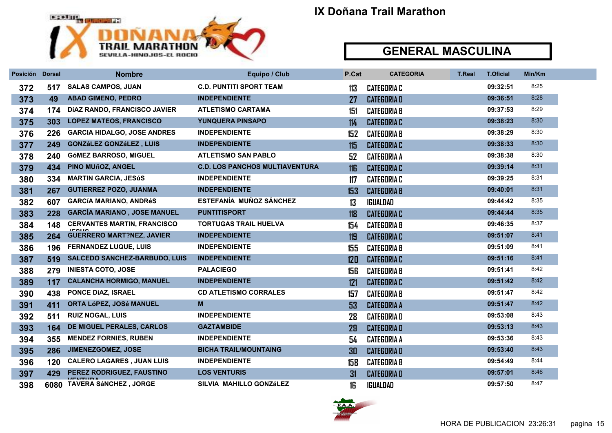

| Posición Dorsal |     | <b>Nombre</b>                        | Equipo / Club                         | P.Cat | <b>CATEGORIA</b>   | <b>T.Real</b> | <b>T.Oficial</b> | Min/Km |
|-----------------|-----|--------------------------------------|---------------------------------------|-------|--------------------|---------------|------------------|--------|
| 372             | 517 | <b>SALAS CAMPOS, JUAN</b>            | <b>C.D. PUNTITI SPORT TEAM</b>        | 113   | <b>CATEGORIA C</b> |               | 09:32:51         | 8:25   |
| 373             | 49  | <b>ABAD GIMENO, PEDRO</b>            | <b>INDEPENDIENTE</b>                  | 27    | <b>CATEGORIAD</b>  |               | 09:36:51         | 8:28   |
| 374             | 174 | DÍAZ RANDO, FRANCISCO JAVIER         | <b>ATLETISMO CARTAMA</b>              | 151   | <b>CATEGORIA B</b> |               | 09:37:53         | 8:29   |
| 375             | 303 | <b>LOPEZ MATEOS, FRANCISCO</b>       | YUNQUERA PINSAPO                      | 114   | <b>CATEGORIA C</b> |               | 09:38:23         | 8:30   |
| 376             | 226 | <b>GARCIA HIDALGO, JOSE ANDRES</b>   | <b>INDEPENDIENTE</b>                  | 152   | <b>CATEGORIA B</b> |               | 09:38:29         | 8:30   |
| 377             | 249 | <b>GONZáLEZ GONZáLEZ, LUIS</b>       | <b>INDEPENDIENTE</b>                  | 115   | <b>CATEGORIA C</b> |               | 09:38:33         | 8:30   |
| 378             | 240 | <b>GÓMEZ BARROSO, MIGUEL</b>         | <b>ATLETISMO SAN PABLO</b>            | 52    | <b>CATEGORIA A</b> |               | 09:38:38         | 8:30   |
| 379             | 434 | <b>PINO MUñOZ, ANGEL</b>             | <b>C.D. LOS PANCHOS MULTIAVENTURA</b> | 116   | <b>CATEGORIA C</b> |               | 09:39:14         | 8:31   |
| 380             | 334 | <b>MARTIN GARCIA, JESúS</b>          | <b>INDEPENDIENTE</b>                  | 117   | <b>CATEGORIA C</b> |               | 09:39:25         | 8:31   |
| 381             | 267 | <b>GUTIERREZ POZO, JUANMA</b>        | <b>INDEPENDIENTE</b>                  | 153   | <b>CATEGORIA B</b> |               | 09:40:01         | 8:31   |
| 382             | 607 | <b>GARCÍA MARIANO, ANDRÉS</b>        | ESTEFANÍA MUÑOZ SÁNCHEZ               | 13    | <b>IGUALDAD</b>    |               | 09:44:42         | 8:35   |
| 383             | 228 | <b>GARCÍA MARIANO, JOSE MANUEL</b>   | <b>PUNTITISPORT</b>                   | 118   | <b>CATEGORIA C</b> |               | 09:44:44         | 8:35   |
| 384             | 148 | <b>CERVANTES MARTIN, FRANCISCO</b>   | <b>TORTUGAS TRAIL HUELVA</b>          | 154   | <b>CATEGORIA B</b> |               | 09:46:35         | 8:37   |
| 385             | 264 | <b>GUERRERO MART?NEZ, JAVIER</b>     | <b>INDEPENDIENTE</b>                  | 119   | <b>CATEGORIA C</b> |               | 09:51:07         | 8:41   |
| 386             | 196 | <b>FERNANDEZ LUQUE, LUIS</b>         | <b>INDEPENDIENTE</b>                  | 155   | <b>CATEGORIA B</b> |               | 09:51:09         | 8:41   |
| 387             | 519 | <b>SALCEDO SANCHEZ-BARBUDO, LUIS</b> | <b>INDEPENDIENTE</b>                  | 120   | <b>CATEGORIA C</b> |               | 09:51:16         | 8:41   |
| 388             | 279 | <b>INIESTA COTO, JOSE</b>            | <b>PALACIEGO</b>                      | 156   | <b>CATEGORIA B</b> |               | 09:51:41         | 8:42   |
| 389             | 117 | <b>CALANCHA HORMIGO, MANUEL</b>      | <b>INDEPENDIENTE</b>                  | 121   | <b>CATEGORIA C</b> |               | 09:51:42         | 8:42   |
| 390             | 438 | <b>PONCE DÍAZ, ISRAEL</b>            | <b>CD ATLETISMO CORRALES</b>          | 157   | <b>CATEGORIA B</b> |               | 09:51:47         | 8:42   |
| 391             | 411 | <b>ORTA LóPEZ, JOSé MANUEL</b>       | M                                     | 53    | <b>CATEGORIA A</b> |               | 09:51:47         | 8:42   |
| 392             | 511 | <b>RUIZ NOGAL, LUIS</b>              | <b>INDEPENDIENTE</b>                  | 28    | <b>CATEGORIAD</b>  |               | 09:53:08         | 8:43   |
| 393             | 164 | DE MIGUEL PERALES, CARLOS            | <b>GAZTAMBIDE</b>                     | 29    | <b>CATEGORIAD</b>  |               | 09:53:13         | 8:43   |
| 394             | 355 | <b>MENDEZ FORNIES, RUBEN</b>         | <b>INDEPENDIENTE</b>                  | 54    | <b>CATEGORIA A</b> |               | 09:53:36         | 8:43   |
| 395             | 286 | <b>JIMENEZGOMEZ, JOSE</b>            | <b>BICHA TRAIL/MOUNTAING</b>          | 30    | <b>CATEGORIAD</b>  |               | 09:53:40         | 8:43   |
| 396             | 120 | <b>CALERO LAGARES, JUAN LUIS</b>     | <b>INDEPENDIENTE</b>                  | 158   | <b>CATEGORIA B</b> |               | 09:54:49         | 8:44   |
| 397             | 429 | PEREZ RODRIGUEZ, FAUSTINO            | <b>LOS VENTURIS</b>                   | 31    | <b>CATEGORIAD</b>  |               | 09:57:01         | 8:46   |
| 398             |     | 6080 TAVERA SáNCHEZ, JORGE           | SILVIA MAHILLO GONZÁLEZ               | 16    | <b>IGUALDAD</b>    |               | 09:57:50         | 8:47   |

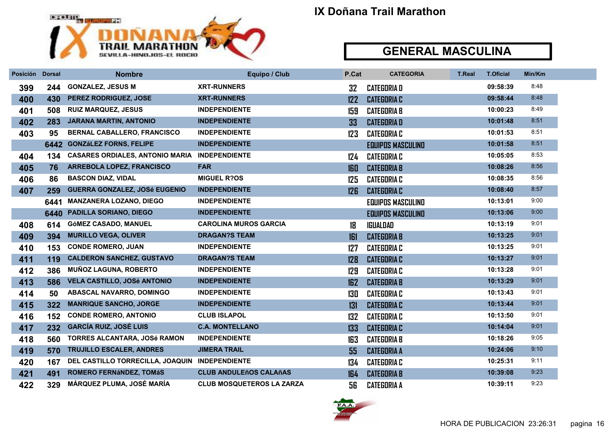

| Posición Dorsal |      | <b>Nombre</b>                                  | Equipo / Club                    | P.Cat           | <b>CATEGORIA</b>         | <b>T.Real</b> | <b>T.Oficial</b> | Min/Km |
|-----------------|------|------------------------------------------------|----------------------------------|-----------------|--------------------------|---------------|------------------|--------|
| 399             | 244  | <b>GONZALEZ, JESUS M</b>                       | <b>XRT-RUNNERS</b>               | 32              | <b>CATEGORIA D</b>       |               | 09:58:39         | 8:48   |
| 400             | 430  | PEREZ RODRIGUEZ, JOSE                          | <b>XRT-RUNNERS</b>               | 122             | <b>CATEGORIA C</b>       |               | 09:58:44         | 8:48   |
| 401             | 508  | <b>RUIZ MARQUEZ, JESUS</b>                     | <b>INDEPENDIENTE</b>             | 159             | <b>CATEGORIA B</b>       |               | 10:00:23         | 8:49   |
| 402             | 283  | <b>JARANA MARTIN, ANTONIO</b>                  | <b>INDEPENDIENTE</b>             | 33              | <b>CATEGORIAD</b>        |               | 10:01:48         | 8:51   |
| 403             | 95   | <b>BERNAL CABALLERO, FRANCISCO</b>             | <b>INDEPENDIENTE</b>             | 123             | <b>CATEGORIA C</b>       |               | 10:01:53         | 8:51   |
|                 | 6442 | <b>GONZáLEZ FORNS, FELIPE</b>                  | <b>INDEPENDIENTE</b>             |                 | <b>EQUIPOS MASCULINO</b> |               | 10:01:58         | 8:51   |
| 404             | 134  | <b>CASARES ORDIALES, ANTONIO MARIA</b>         | <b>INDEPENDIENTE</b>             | 124             | <b>CATEGORIA C</b>       |               | 10:05:05         | 8:53   |
| 405             | 76   | ARREBOLA LOPEZ, FRANCISCO                      | <b>FAR</b>                       | 160             | <b>CATEGORIA B</b>       |               | 10:08:26         | 8:56   |
| 406             | 86   | <b>BASCON DIAZ, VIDAL</b>                      | <b>MIGUEL R?OS</b>               | 125             | <b>CATEGORIA C</b>       |               | 10:08:35         | 8:56   |
| 407             | 259  | <b>GUERRA GONZALEZ, JOSé EUGENIO</b>           | <b>INDEPENDIENTE</b>             | 12 <sub>B</sub> | <b>CATEGORIA C</b>       |               | 10:08:40         | 8:57   |
|                 | 6441 | <b>MANZANERA LOZANO, DIEGO</b>                 | <b>INDEPENDIENTE</b>             |                 | <b>EQUIPOS MASCULINO</b> |               | 10:13:01         | 9:00   |
|                 | 6440 | <b>PADILLA SORIANO, DIEGO</b>                  | <b>INDEPENDIENTE</b>             |                 | <b>EQUIPOS MASCULINO</b> |               | 10:13:06         | 9:00   |
| 408             | 614  | GÓMEZ CASADO, MANUEL                           | <b>CAROLINA MUROS GARCIA</b>     | 18              | <b>IGUALDAD</b>          |               | 10:13:19         | 9:01   |
| 409             | 394  | <b>MURILLO VEGA, OLIVER</b>                    | <b>DRAGAN?S TEAM</b>             | 161             | <b>CATEGORIA B</b>       |               | 10:13:25         | 9:01   |
| 410             | 153  | <b>CONDE ROMERO, JUAN</b>                      | <b>INDEPENDIENTE</b>             | 127             | <b>CATEGORIA C</b>       |               | 10:13:25         | 9:01   |
| 411             | 119  | <b>CALDERON SANCHEZ, GUSTAVO</b>               | <b>DRAGAN?S TEAM</b>             | 128             | <b>CATEGORIA C</b>       |               | 10:13:27         | 9:01   |
| 412             | 386  | <b>MUÑOZ LAGUNA, ROBERTO</b>                   | <b>INDEPENDIENTE</b>             | 129             | <b>CATEGORIA C</b>       |               | 10:13:28         | 9:01   |
| 413             | 586  | <b>VELA CASTILLO, JOSé ANTONIO</b>             | <b>INDEPENDIENTE</b>             | 162             | <b>CATEGORIA B</b>       |               | 10:13:29         | 9:01   |
| 414             | 50   | <b>ABASCAL NAVARRO, DOMINGO</b>                | <b>INDEPENDIENTE</b>             | 130             | <b>CATEGORIA C</b>       |               | 10:13:43         | 9:01   |
| 415             | 322  | <b>MANRIQUE SANCHO, JORGE</b>                  | <b>INDEPENDIENTE</b>             | 131             | <b>CATEGORIA C</b>       |               | 10:13:44         | 9:01   |
| 416             | 152  | <b>CONDE ROMERO, ANTONIO</b>                   | <b>CLUB ISLAPOL</b>              | 132             | <b>CATEGORIA C</b>       |               | 10:13:50         | 9:01   |
| 417             | 232  | <b>GARCÍA RUIZ, JOSÉ LUIS</b>                  | <b>C.A. MONTELLANO</b>           | 133             | <b>CATEGORIA C</b>       |               | 10:14:04         | 9:01   |
| 418             | 560  | TORRES ALCANTARA, JOSé RAMON                   | <b>INDEPENDIENTE</b>             | 163             | <b>CATEGORIA B</b>       |               | 10:18:26         | 9:05   |
| 419             | 570  | <b>TRUJILLO ESCALER, ANDRES</b>                | <b>JIMERA TRAIL</b>              | 55              | <b>CATEGORIA A</b>       |               | 10:24:06         | 9:10   |
| 420             | 167  | DEL CASTILLO TORRECILLA, JOAQUIN INDEPENDIENTE |                                  | 134             | <b>CATEGORIA C</b>       |               | 10:25:31         | 9:11   |
| 421             | 491  | ROMERO FERNÁNDEZ, TOMÁS                        | <b>CLUB ANDULEñOS CALAñAS</b>    | 164             | <b>CATEGORIA B</b>       |               | 10:39:08         | 9:23   |
| 422             | 329  | MÁRQUEZ PLUMA, JOSÉ MARÍA                      | <b>CLUB MOSQUETEROS LA ZARZA</b> | 56              | <b>CATEGORIA A</b>       |               | 10:39:11         | 9:23   |

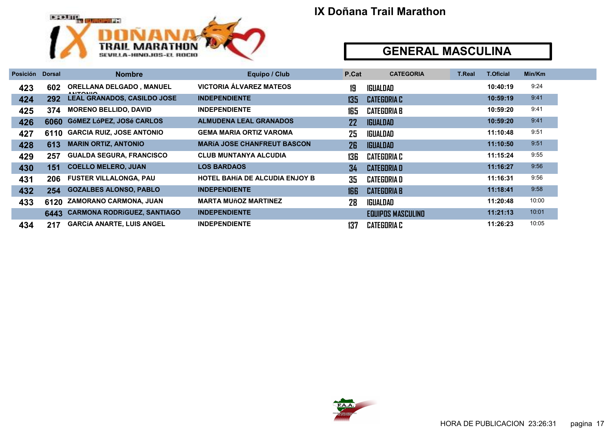

| Posición | <b>Dorsal</b> | <b>Nombre</b>                                       | Equipo / Club                         | P.Cat | <b>CATEGORIA</b>         | <b>T.Real</b> | <b>T.Oficial</b> | Min/Km |
|----------|---------------|-----------------------------------------------------|---------------------------------------|-------|--------------------------|---------------|------------------|--------|
| 423      | 602           | <b>ORELLANA DELGADO, MANUEL</b><br><b>ANITONIIO</b> | <b>VICTORIA ÁLVAREZ MATEOS</b>        | 19    | IGUALDAD                 |               | 10:40:19         | 9:24   |
| 424      | 292           | <b>LEAL GRANADOS, CASILDO JOSE</b>                  | <b>INDEPENDIENTE</b>                  | 135   | <b>CATEGORIA C</b>       |               | 10:59:19         | 9:41   |
| 425      | 374           | <b>MORENO BELLIDO, DAVID</b>                        | <b>INDEPENDIENTE</b>                  | 165   | <b>CATEGORIA B</b>       |               | 10:59:20         | 9:41   |
| 426      | 6060          | GóMEZ LóPEZ, JOSé CARLOS                            | <b>ALMUDENA LEAL GRANADOS</b>         | 22    | <b>IGUALDAD</b>          |               | 10:59:20         | 9:41   |
| 427      | 6110          | <b>GARCIA RUIZ, JOSE ANTONIO</b>                    | <b>GEMA MARIA ORTIZ VAROMA</b>        | 25    | <b>IGUALDAD</b>          |               | 11:10:48         | 9:51   |
| 428      | 613           | <b>MARIN ORTIZ, ANTONIO</b>                         | <b>MARÍA JOSE CHANFREUT BASCON</b>    | 26    | <b>IGUALDAD</b>          |               | 11:10:50         | 9:51   |
| 429      | 257           | <b>GUALDA SEGURA, FRANCISCO</b>                     | <b>CLUB MUNTANYA ALCUDIA</b>          | 136   | <b>CATEGORIA C</b>       |               | 11:15:24         | 9:55   |
| 430      | 151           | <b>COELLO MELERO, JUAN</b>                          | <b>LOS BARDAOS</b>                    | 34    | <b>CATEGORIA D</b>       |               | 11:16:27         | 9:56   |
| 431      | 206           | <b>FUSTER VILLALONGA, PAU</b>                       | <b>HOTEL BAHIA DE ALCUDIA ENJOY B</b> | 35    | <b>CATEGORIA D</b>       |               | 11:16:31         | 9:56   |
| 432      | 254           | <b>GOZALBES ALONSO, PABLO</b>                       | <b>INDEPENDIENTE</b>                  | 166   | <b>CATEGORIA B</b>       |               | 11:18:41         | 9:58   |
| 433      | 6120          | <b>ZAMORANO CARMONA, JUAN</b>                       | <b>MARTA MUñOZ MARTINEZ</b>           | 28    | IGUALDAD                 |               | 11:20:48         | 10:00  |
|          | 6443          | <b>CARMONA RODRÍGUEZ, SANTIAGO</b>                  | <b>INDEPENDIENTE</b>                  |       | <b>EQUIPOS MASCULINO</b> |               | 11:21:13         | 10:01  |
| 434      | 217           | <b>GARCÍA ANARTE, LUIS ANGEL</b>                    | <b>INDEPENDIENTE</b>                  | 137   | <b>CATEGORIA C</b>       |               | 11:26:23         | 10:05  |

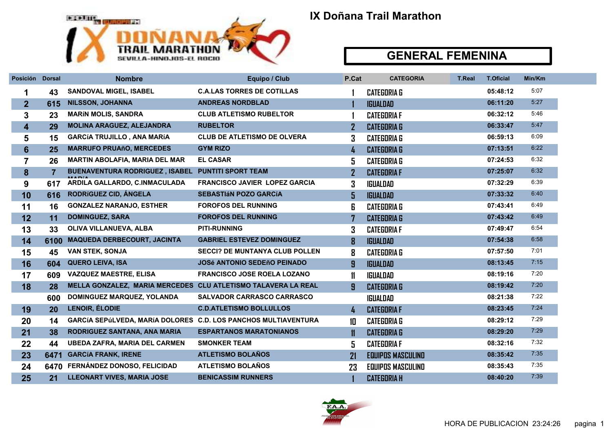

#### GENERAL FEMENINA

| Posición Dorsal |                | <b>Nombre</b>                                                  | Equipo / Club                         | P.Cat         | <b>CATEGORIA</b>         | <b>T.Real</b> | <b>T.Oficial</b> | Min/Km |  |
|-----------------|----------------|----------------------------------------------------------------|---------------------------------------|---------------|--------------------------|---------------|------------------|--------|--|
| 1               | 43             | <b>SANDOVAL MIGEL, ISABEL</b>                                  | <b>C.A.LAS TORRES DE COTILLAS</b>     |               | <b>CATEGORIA G</b>       |               | 05:48:12         | 5:07   |  |
| $\overline{2}$  | 615            | <b>NILSSON, JOHANNA</b>                                        | <b>ANDREAS NORDBLAD</b>               |               | <b>IGUALDAD</b>          |               | 06:11:20         | 5:27   |  |
| 3               | 23             | <b>MARÍN MOLIS, SANDRA</b>                                     | <b>CLUB ATLETISMO RUBELTOR</b>        |               | <b>CATEGORIA F</b>       |               | 06:32:12         | 5:46   |  |
| 4               | 29             | MOLINA ARAGUEZ, ALEJANDRA                                      | <b>RUBELTOR</b>                       |               | <b>CATEGORIA G</b>       |               | 06:33:47         | 5:47   |  |
| 5               | 15             | <b>GARCÍA TRUJILLO, ANA MARÍA</b>                              | <b>CLUB DE ATLETISMO DE OLVERA</b>    | 3             | <b>CATEGORIA G</b>       |               | 06:59:13         | 6:09   |  |
| 6               | 25             | <b>MARRUFO PRUAñO, MERCEDES</b>                                | <b>GYM RIZO</b>                       | 4             | <b>CATEGORIA G</b>       |               | 07:13:51         | 6:22   |  |
| 7               | 26             | <b>MARTIN ABOLAFIA, MARIA DEL MAR</b>                          | <b>EL CASAR</b>                       | 5             | <b>CATEGORIA G</b>       |               | 07:24:53         | 6:32   |  |
| 8               | $\overline{7}$ | <b>BUENAVENTURA RODRIGUEZ, ISABEL</b>                          | <b>PUNTITI SPORT TEAM</b>             |               | <b>CATEGORIA F</b>       |               | 07:25:07         | 6:32   |  |
| 9               | 617            | ARDILA GALLARDO, C.INMACULADA                                  | <b>FRANCISCO JAVIER LOPEZ GARCIA</b>  | 3             | <b>IGUALDAD</b>          |               | 07:32:29         | 6:39   |  |
| 10              | 616            | RODRÍGUEZ CID, ÁNGELA                                          | <b>SEBASTIÁN POZO GARCÍA</b>          | 5             | <b>IGUALDAD</b>          |               | 07:33:32         | 6:40   |  |
| 11              | 16             | <b>GONZALEZ NARANJO, ESTHER</b>                                | <b>FOROFOS DEL RUNNING</b>            | 6             | <b>CATEGORIA G</b>       |               | 07:43:41         | 6:49   |  |
| 12              | 11             | <b>DOMINGUEZ, SARA</b>                                         | <b>FOROFOS DEL RUNNING</b>            |               | <b>CATEGORIA G</b>       |               | 07:43:42         | 6:49   |  |
| 13              | 33             | OLIVA VILLANUEVA, ALBA                                         | <b>PITI-RUNNING</b>                   | 3             | <b>CATEGORIA F</b>       |               | 07:49:47         | 6:54   |  |
| 14              | 6100           | <b>MAQUEDA DERBECOURT, JACINTA</b>                             | <b>GABRIEL ESTEVEZ DOMINGUEZ</b>      | 8             | <b>IGUALDAD</b>          |               | 07:54:38         | 6:58   |  |
| 15              | 45             | <b>VAN STEK, SONJA</b>                                         | <b>SECCI? DE MUNTANYA CLUB POLLEN</b> | 8             | <b>CATEGORIA G</b>       |               | 07:57:50         | 7:01   |  |
| 16              | 604            | <b>QUERO LEIVA, ISA</b>                                        | <b>JOSé ANTONIO SEDEñO PEINADO</b>    | 9             | <b>IGUALDAD</b>          |               | 08:13:45         | 7:15   |  |
| 17              | 609            | <b>VAZQUEZ MAESTRE, ELISA</b>                                  | <b>FRANCISCO JOSE ROELA LOZANO</b>    | $\mathbf{11}$ | <b>IGUALDAD</b>          |               | 08:19:16         | 7:20   |  |
| 18              | 28             | MELLA GONZALEZ, MARIA MERCEDES CLU ATLETISMO TALAVERA LA REAL  |                                       | 9             | <b>CATEGORIA G</b>       |               | 08:19:42         | 7:20   |  |
|                 | 600            | DOMINGUEZ MARQUEZ, YOLANDA                                     | SALVADOR CARRASCO CARRASCO            |               | <b>IGUALDAD</b>          |               | 08:21:38         | 7:22   |  |
| 19              | 20             | <b>LENOIR, ÉLODIE</b>                                          | <b>C.D.ATLETISMO BOLLULLOS</b>        | 4             | <b>CATEGORIA F</b>       |               | 08:23:45         | 7:24   |  |
| 20              | 14             | GARCÍA SEPÚLVEDA, MARÍA DOLORES C.D. LOS PANCHOS MULTIAVENTURA |                                       | 10            | <b>CATEGORIA G</b>       |               | 08:29:12         | 7:29   |  |
| 21              | 38             | RODRIGUEZ SANTANA, ANA MARIA                                   | <b>ESPARTANOS MARATONIANOS</b>        | $\mathbf{11}$ | <b>CATEGORIA G</b>       |               | 08:29:20         | 7:29   |  |
| 22              | 44             | <b>UBEDA ZAFRA, MARIA DEL CARMEN</b>                           | <b>SMONKER TEAM</b>                   | 5             | <b>CATEGORIA F</b>       |               | 08:32:16         | 7:32   |  |
| 23              | 6471           | <b>GARCÍA FRANK, IRENE</b>                                     | <b>ATLETISMO BOLAÑOS</b>              | 21            | <b>EQUIPOS MASCULINO</b> |               | 08:35:42         | 7:35   |  |
| 24              |                | 6470 FERNÁNDEZ DONOSO, FELICIDAD                               | <b>ATLETISMO BOLAÑOS</b>              | 23            | <b>EQUIPOS MASCULINO</b> |               | 08:35:43         | 7:35   |  |
| 25              | 21             | <b>LLEONART VIVES, MARIA JOSE</b>                              | <b>BENICASSIM RUNNERS</b>             |               | <b>CATEGORIA H</b>       |               | 08:40:20         | 7:39   |  |

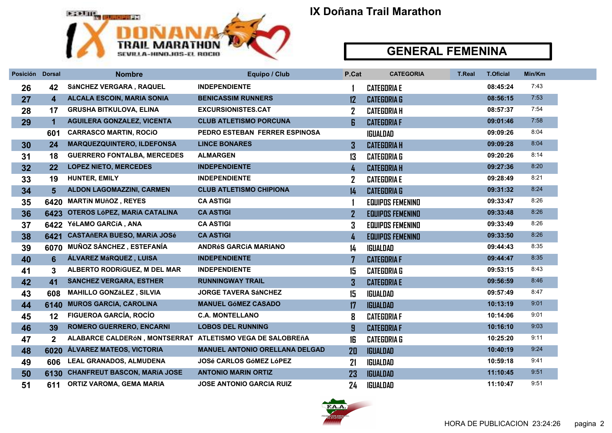

#### GENERAL FEMENINA

| Posición Dorsal |                         | <b>Nombre</b>                                             | <b>Equipo / Club</b>                  | P.Cat          | <b>CATEGORIA</b>        | <b>T.Real</b> | <b>T.Oficial</b> | Min/Km |
|-----------------|-------------------------|-----------------------------------------------------------|---------------------------------------|----------------|-------------------------|---------------|------------------|--------|
| 26              | 42                      | SÁNCHEZ VERGARA, RAQUEL                                   | <b>INDEPENDIENTE</b>                  |                | <b>CATEGORIA E</b>      |               | 08:45:24         | 7:43   |
| 27              | $\overline{\mathbf{4}}$ | <b>ALCALA ESCOIN, MARIA SONIA</b>                         | <b>BENICASSIM RUNNERS</b>             | 12             | <b>CATEGORIA G</b>      |               | 08:56:15         | 7:53   |
| 28              | 17                      | <b>GRUSHA BITKULOVA, ELINA</b>                            | <b>EXCURSIONISTES.CAT</b>             | $\overline{2}$ | <b>CATEGORIA H</b>      |               | 08:57:37         | 7:54   |
| 29              | 1                       | <b>AGUILERA GONZALEZ, VICENTA</b>                         | <b>CLUB ATLETISMO PORCUNA</b>         | 6              | <b>CATEGORIA F</b>      |               | 09:01:46         | 7:58   |
|                 | 601                     | <b>CARRASCO MARTIN, ROCIO</b>                             | PEDRO ESTEBAN FERRER ESPINOSA         |                | IGUALDAD                |               | 09:09:26         | 8:04   |
| 30              | 24                      | <b>MARQUEZQUINTERO, ILDEFONSA</b>                         | <b>LINCE BONARES</b>                  | 3              | <b>CATEGORIA H</b>      |               | 09:09:28         | 8:04   |
| 31              | 18                      | <b>GUERRERO FONTALBA, MERCEDES</b>                        | <b>ALMARGEN</b>                       | 13             | <b>CATEGORIA G</b>      |               | 09:20:26         | 8:14   |
| 32              | 22                      | <b>LOPEZ NIETO, MERCEDES</b>                              | <b>INDEPENDIENTE</b>                  | 4              | <b>CATEGORIA H</b>      |               | 09:27:36         | 8:20   |
| 33              | 19                      | <b>HUNTER, EMILY</b>                                      | <b>INDEPENDIENTE</b>                  | $\overline{2}$ | <b>CATEGORIA E</b>      |               | 09:28:49         | 8:21   |
| 34              | 5                       | <b>ALDON LAGOMAZZINI, CARMEN</b>                          | <b>CLUB ATLETISMO CHIPIONA</b>        | 14             | <b>CATEGORIA G</b>      |               | 09:31:32         | 8:24   |
| 35              |                         | 6420 MARTÍN MUñOZ, REYES                                  | <b>CA ASTIGI</b>                      |                | <b>EQUIPOS FEMENINO</b> |               | 09:33:47         | 8:26   |
| 36              | 6423                    | OTEROS LÓPEZ, MARÍA CATALINA                              | <b>CA ASTIGI</b>                      | $\mathbf{Z}$   | <b>EQUIPOS FEMENINO</b> |               | 09:33:48         | 8:26   |
| 37              | 6422                    | YéLAMO GARCíA, ANA                                        | <b>CA ASTIGI</b>                      | 3              | <b>EQUIPOS FEMENINO</b> |               | 09:33:49         | 8:26   |
| 38              | 6421                    | <b>CASTAñERA BUESO, MARÍA JOSé</b>                        | <b>CA ASTIGI</b>                      | 4              | <b>EQUIPOS FEMENINO</b> |               | 09:33:50         | 8:26   |
| 39              | 6070                    | <b>MUÑOZ SÁNCHEZ , ESTEFANÍA</b>                          | <b>ANDRÉS GARCÍA MARIANO</b>          | 14             | IGUALDAD                |               | 09:44:43         | 8:35   |
| 40              | $6\phantom{1}6$         | ÁLVAREZ MáRQUEZ, LUISA                                    | <b>INDEPENDIENTE</b>                  | 7              | <b>CATEGORIA F</b>      |               | 09:44:47         | 8:35   |
| 41              | 3                       | ALBERTO RODRÍGUEZ, M DEL MAR                              | <b>INDEPENDIENTE</b>                  | 15             | <b>CATEGORIA G</b>      |               | 09:53:15         | 8:43   |
| 42              | 41                      | <b>SANCHEZ VERGARA, ESTHER</b>                            | <b>RUNNINGWAY TRAIL</b>               | $\overline{3}$ | <b>CATEGORIA E</b>      |               | 09:56:59         | 8:46   |
| 43              | 608                     | <b>MAHILLO GONZÁLEZ, SILVIA</b>                           | <b>JORGE TAVERA SÁNCHEZ</b>           | 15             | <b>IGUALDAD</b>         |               | 09:57:49         | 8:47   |
| 44              | 6140                    | <b>MUROS GARCIA, CAROLINA</b>                             | <b>MANUEL GÓMEZ CASADO</b>            | $\mathbf{17}$  | <b>IGUALDAD</b>         |               | 10:13:19         | 9:01   |
| 45              | 12                      | <b>FIGUEROA GARCÍA, ROCÍO</b>                             | <b>C.A. MONTELLANO</b>                | 8              | <b>CATEGORIA F</b>      |               | 10:14:06         | 9:01   |
| 46              | 39                      | <b>ROMERO GUERRERO, ENCARNI</b>                           | <b>LOBOS DEL RUNNING</b>              | 9              | <b>CATEGORIA F</b>      |               | 10:16:10         | 9:03   |
| 47              | $\mathbf{2}$            | ALABARCE CALDERÓN, MONTSERRAT ATLETISMO VEGA DE SALOBREÑA |                                       | 16             | <b>CATEGORIA G</b>      |               | 10:25:20         | 9:11   |
| 48              | 6020                    | <b>ÁLVAREZ MATEOS, VICTORIA</b>                           | <b>MANUEL ANTONIO ORELLANA DELGAD</b> | 20             | <b>IGUALDAD</b>         |               | 10:40:19         | 9:24   |
| 49              | 606                     | <b>LEAL GRANADOS, ALMUDENA</b>                            | <b>JOSé CARLOS GÓMEZ LÓPEZ</b>        | 21             | IGUALDAD                |               | 10:59:18         | 9:41   |
| 50              | 6130                    | <b>CHANFREUT BASCON, MARÍA JOSE</b>                       | <b>ANTONIO MARIN ORTIZ</b>            | 23             | <b>IGUALDAD</b>         |               | 11:10:45         | 9:51   |
| 51              | 611                     | <b>ORTIZ VAROMA, GEMA MARIA</b>                           | <b>JOSE ANTONIO GARCIA RUIZ</b>       | 24             | <b>IGUALDAD</b>         |               | 11:10:47         | 9:51   |

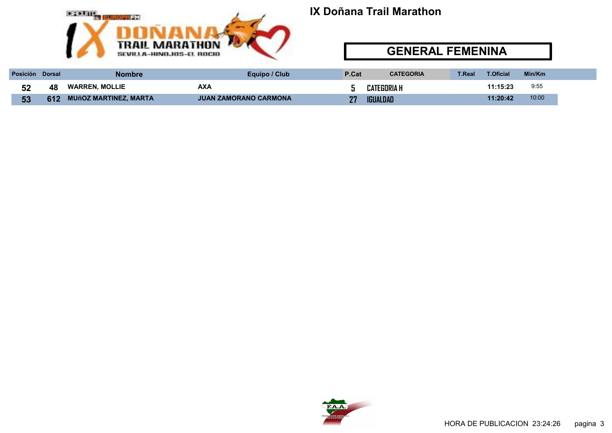

#### GENERAL FEMENINA

| <b>Posición</b> | <b>Dorsal</b> | Nombre                       | Equipo / Club         | P.Cat | <b>CATEGORIA</b>   | T.Real | T.Oficial | Min/Km |  |
|-----------------|---------------|------------------------------|-----------------------|-------|--------------------|--------|-----------|--------|--|
| E0.             | 48            | <b>WARREN, MOLLIE</b>        | <b>AXA</b>            |       | <b>CATEGORIA H</b> |        | 11:15:23  | 9:55   |  |
| 53              | 612           | <b>MUñOZ MARTINEZ, MARTA</b> | JUAN ZAMORANO CARMONA | 77    | <b>IGUALDAD</b>    |        | 11:20:42  | 10:00  |  |

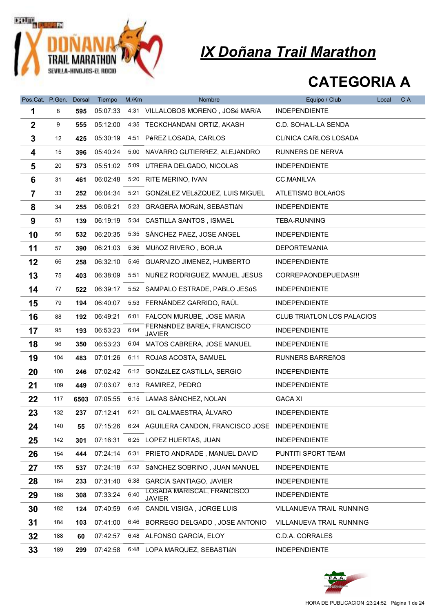

| Pos.Cat. P.Gen. |     | <b>Dorsal</b> | Tiempo   | M./Km | Nombre                                             | Equipo / Club                     | Local | C A |
|-----------------|-----|---------------|----------|-------|----------------------------------------------------|-----------------------------------|-------|-----|
| 1               | 8   | 595           | 05:07:33 |       | 4:31 VILLALOBOS MORENO, JOSé MARÍA                 | <b>INDEPENDIENTE</b>              |       |     |
| $\mathbf 2$     | 9   | 555           | 05:12:00 |       | 4:35 TECKCHANDANI ORTIZ, AKASH                     | C.D. SOHAIL-LA SENDA              |       |     |
| 3               | 12  | 425           | 05:30:19 |       | 4:51 PéREZ LOSADA, CARLOS                          | <b>CLÍNICA CARLOS LOSADA</b>      |       |     |
| 4               | 15  | 396           | 05:40:24 |       | 5:00 NAVARRO GUTIERREZ, ALEJANDRO                  | RUNNERS DE NERVA                  |       |     |
| 5               | 20  | 573           | 05:51:02 |       | 5:09 UTRERA DELGADO, NICOLAS                       | <b>INDEPENDIENTE</b>              |       |     |
| 6               | 31  | 461           | 06:02:48 |       | 5:20 RITE MERINO, IVAN                             | <b>CC.MANILVA</b>                 |       |     |
| $\overline{7}$  | 33  | 252           | 06:04:34 | 5:21  | GONZÁLEZ VELÁZQUEZ, LUIS MIGUEL                    | ATLETISMO BOLAñOS                 |       |     |
| 8               | 34  | 255           | 06:06:21 | 5:23  | GRAGERA MORÁN, SEBASTIÁN                           | <b>INDEPENDIENTE</b>              |       |     |
| 9               | 53  | 139           | 06:19:19 |       | 5:34 CASTILLA SANTOS, ISMAEL                       | <b>TEBA-RUNNING</b>               |       |     |
| 10              | 56  | 532           | 06:20:35 |       | 5:35 SÁNCHEZ PAEZ, JOSE ANGEL                      | <b>INDEPENDIENTE</b>              |       |     |
| 11              | 57  | 390           | 06:21:03 |       | 5:36 MUñOZ RIVERO, BORJA                           | <b>DEPORTEMANIA</b>               |       |     |
| 12              | 66  | 258           | 06:32:10 |       | 5:46 GUARNIZO JIMENEZ, HUMBERTO                    | <b>INDEPENDIENTE</b>              |       |     |
| 13              | 75  | 403           | 06:38:09 | 5:51  | NUÑEZ RODRIGUEZ, MANUEL JESUS                      | CORREPAONDEPUEDAS !!!             |       |     |
| 14              | 77  | 522           | 06:39:17 | 5:52  | SAMPALO ESTRADE, PABLO JESúS                       | <b>INDEPENDIENTE</b>              |       |     |
| 15              | 79  | 194           | 06:40:07 |       | 5:53 FERNÁNDEZ GARRIDO, RAÚL                       | <b>INDEPENDIENTE</b>              |       |     |
| 16              | 88  | 192           | 06:49:21 |       | 6:01 FALCON MURUBE, JOSE MARIA                     | <b>CLUB TRIATLON LOS PALACIOS</b> |       |     |
| 17              | 95  | 193           | 06:53:23 | 6:04  | FERNÁNDEZ BAREA, FRANCISCO<br><b>JAVIER</b>        | <b>INDEPENDIENTE</b>              |       |     |
| 18              | 96  | 350           | 06:53:23 | 6:04  | MATOS CABRERA, JOSE MANUEL                         | <b>INDEPENDIENTE</b>              |       |     |
| 19              | 104 | 483           | 07:01:26 |       | 6:11 ROJAS ACOSTA, SAMUEL                          | <b>RUNNERS BARREñOS</b>           |       |     |
| 20              | 108 | 246           | 07:02:42 |       | 6:12 GONZáLEZ CASTILLA, SERGIO                     | <b>INDEPENDIENTE</b>              |       |     |
| 21              | 109 | 449           | 07:03:07 |       | 6:13 RAMIREZ, PEDRO                                | <b>INDEPENDIENTE</b>              |       |     |
| 22              | 117 | 6503          | 07:05:55 |       | 6:15 LAMAS SÁNCHEZ, NOLAN                          | <b>GACA XI</b>                    |       |     |
| 23              | 132 | 237           | 07:12:41 |       | 6:21 GIL CALMAESTRA, ÁLVARO                        | <b>INDEPENDIENTE</b>              |       |     |
| 24              | 140 | 55            | 07:15:26 |       | 6:24 AGUILERA CANDON, FRANCISCO JOSE INDEPENDIENTE |                                   |       |     |
| 25              | 142 | 301           | 07:16:31 |       | 6:25 LOPEZ HUERTAS, JUAN                           | <b>INDEPENDIENTE</b>              |       |     |
| 26              | 154 | 444           | 07:24:14 |       | 6:31 PRIETO ANDRADE, MANUEL DAVID                  | PUNTITI SPORT TEAM                |       |     |
| 27              | 155 | 537           | 07:24:18 | 6:32  | SÁNCHEZ SOBRINO, JUAN MANUEL                       | <b>INDEPENDIENTE</b>              |       |     |
| 28              | 164 | 233           | 07:31:40 | 6:38  | <b>GARCÍA SANTIAGO, JAVIER</b>                     | <b>INDEPENDIENTE</b>              |       |     |
| 29              | 168 | 308           | 07:33:24 | 6:40  | LOSADA MARISCAL, FRANCISCO<br><b>JAVIER</b>        | <b>INDEPENDIENTE</b>              |       |     |
| 30              | 182 | 124           | 07:40:59 |       | 6:46 CANDIL VISIGA, JORGE LUIS                     | <b>VILLANUEVA TRAIL RUNNING</b>   |       |     |
| 31              | 184 | 103           | 07:41:00 | 6:46  | BORREGO DELGADO, JOSE ANTONIO                      | <b>VILLANUEVA TRAIL RUNNING</b>   |       |     |
| 32              | 188 | 60            | 07:42:57 |       | 6:48 ALFONSO GARCÍA, ELOY                          | C.D.A. CORRALES                   |       |     |
| 33              | 189 | 299           | 07:42:58 |       | 6:48 LOPA MARQUEZ, SEBASTIÁN                       | <b>INDEPENDIENTE</b>              |       |     |

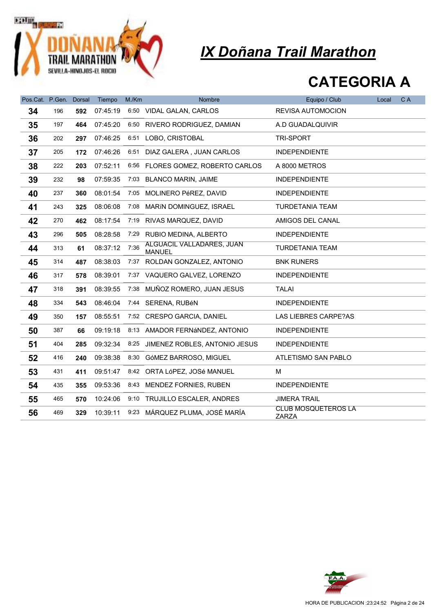

| Pos.Cat. P.Gen. |     | <b>Dorsal</b> | Tiempo   | M/Km | <b>Nombre</b>                              | Equipo / Club                              | Local | C A |
|-----------------|-----|---------------|----------|------|--------------------------------------------|--------------------------------------------|-------|-----|
| 34              | 196 | 592           | 07:45:19 |      | 6:50 VIDAL GALAN, CARLOS                   | <b>REVISA AUTOMOCION</b>                   |       |     |
| 35              | 197 | 464           | 07:45:20 |      | 6:50 RIVERO RODRIGUEZ, DAMIAN              | A.D GUADALQUIVIR                           |       |     |
| 36              | 202 | 297           | 07:46:25 |      | 6:51 LOBO, CRISTOBAL                       | TRI-SPORT                                  |       |     |
| 37              | 205 | 172           | 07:46:26 |      | 6:51 DIAZ GALERA, JUAN CARLOS              | <b>INDEPENDIENTE</b>                       |       |     |
| 38              | 222 | 203           | 07:52:11 |      | 6:56 FLORES GOMEZ, ROBERTO CARLOS          | A 8000 METROS                              |       |     |
| 39              | 232 | 98            | 07:59:35 |      | 7:03 BLANCO MARIN, JAIME                   | <b>INDEPENDIENTE</b>                       |       |     |
| 40              | 237 | 360           | 08:01:54 |      | 7:05 MOLINERO PéREZ, DAVID                 | <b>INDEPENDIENTE</b>                       |       |     |
| 41              | 243 | 325           | 08:06:08 | 7:08 | MARÍN DOMINGUEZ, ISRAEL                    | <b>TURDETANIA TEAM</b>                     |       |     |
| 42              | 270 | 462           | 08:17:54 |      | 7:19 RIVAS MARQUEZ, DAVID                  | AMIGOS DEL CANAL                           |       |     |
| 43              | 296 | 505           | 08:28:58 |      | 7:29 RUBIO MEDINA, ALBERTO                 | <b>INDEPENDIENTE</b>                       |       |     |
| 44              | 313 | 61            | 08:37:12 | 7:36 | ALGUACIL VALLADARES, JUAN<br><b>MANUEL</b> | <b>TURDETANIA TEAM</b>                     |       |     |
| 45              | 314 | 487           | 08:38:03 |      | 7:37 ROLDAN GONZALEZ, ANTONIO              | <b>BNK RUNERS</b>                          |       |     |
| 46              | 317 | 578           | 08:39:01 |      | 7:37 VAQUERO GALVEZ, LORENZO               | <b>INDEPENDIENTE</b>                       |       |     |
| 47              | 318 | 391           | 08:39:55 | 7:38 | MUÑOZ ROMERO, JUAN JESUS                   | TALAI                                      |       |     |
| 48              | 334 | 543           | 08:46:04 | 7:44 | SERENA, RUBéN                              | <b>INDEPENDIENTE</b>                       |       |     |
| 49              | 350 | 157           | 08:55:51 |      | 7:52 CRESPO GARCIA, DANIEL                 | LAS LIEBRES CARPE?AS                       |       |     |
| 50              | 387 | 66            | 09:19:18 |      | 8:13 AMADOR FERNÁNDEZ, ANTONIO             | <b>INDEPENDIENTE</b>                       |       |     |
| 51              | 404 | 285           | 09:32:34 |      | 8:25 JIMENEZ ROBLES, ANTONIO JESUS         | <b>INDEPENDIENTE</b>                       |       |     |
| 52              | 416 | 240           | 09:38:38 |      | 8:30 GóMEZ BARROSO, MIGUEL                 | ATLETISMO SAN PABLO                        |       |     |
| 53              | 431 | 411           | 09:51:47 |      | 8:42 ORTA LóPEZ, JOSé MANUEL               | м                                          |       |     |
| 54              | 435 | 355           | 09:53:36 |      | 8:43 MENDEZ FORNIES, RUBEN                 | <b>INDEPENDIENTE</b>                       |       |     |
| 55              | 465 | 570           | 10:24:06 |      | 9:10 TRUJILLO ESCALER, ANDRES              | <b>JIMERA TRAIL</b>                        |       |     |
| 56              | 469 | 329           | 10:39:11 |      | 9:23 MÁRQUEZ PLUMA, JOSÉ MARÍA             | <b>CLUB MOSQUETEROS LA</b><br><b>ZARZA</b> |       |     |

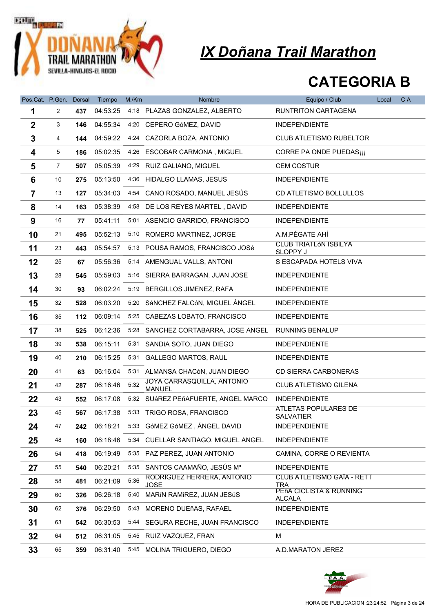

| Pos.Cat. P.Gen. Dorsal |                |     | Tiempo   | M/Km | <b>Nombre</b>                                       | Equipo / Club                            | Local | C A |
|------------------------|----------------|-----|----------|------|-----------------------------------------------------|------------------------------------------|-------|-----|
| 1                      | $\overline{2}$ | 437 | 04:53:25 |      | 4:18 PLAZAS GONZALEZ, ALBERTO                       | RUNTRITON CARTAGENA                      |       |     |
| $\boldsymbol{2}$       | 3              | 146 | 04:55:34 |      | 4:20 CEPERO GóMEZ, DAVID                            | <b>INDEPENDIENTE</b>                     |       |     |
| 3                      | 4              | 144 | 04:59:22 |      | 4:24 CAZORLA BOZA, ANTONIO                          | <b>CLUB ATLETISMO RUBELTOR</b>           |       |     |
| 4                      | 5              | 186 | 05:02:35 |      | 4:26 ESCOBAR CARMONA, MIGUEL                        | CORRE PA ONDE PUEDAS¡¡¡                  |       |     |
| 5                      | $\overline{7}$ | 507 | 05:05:39 |      | 4:29 RUIZ GALIANO, MIGUEL                           | <b>CEM COSTUR</b>                        |       |     |
| 6                      | 10             | 275 | 05:13:50 |      | 4:36 HIDALGO LLAMAS, JESUS                          | <b>INDEPENDIENTE</b>                     |       |     |
| $\overline{7}$         | 13             | 127 | 05:34:03 | 4:54 | CANO ROSADO, MANUEL JESÚS                           | CD ATLETISMO BOLLULLOS                   |       |     |
| 8                      | 14             | 163 | 05:38:39 |      | 4:58 DE LOS REYES MARTEL, DAVID                     | <b>INDEPENDIENTE</b>                     |       |     |
| 9                      | 16             | 77  | 05:41:11 |      | 5:01 ASENCIO GARRIDO, FRANCISCO                     | <b>INDEPENDIENTE</b>                     |       |     |
| 10                     | 21             | 495 | 05:52:13 |      | 5:10 ROMERO MARTINEZ, JORGE                         | A.M.PÉGATE AHÍ                           |       |     |
| 11                     | 23             | 443 | 05:54:57 |      | 5:13 POUSA RAMOS, FRANCISCO JOSé                    | <b>CLUB TRIATLÓN ISBILYA</b><br>SLOPPY J |       |     |
| 12                     | 25             | 67  | 05:56:36 |      | 5:14 AMENGUAL VALLS, ANTONI                         | S ESCAPADA HOTELS VIVA                   |       |     |
| 13                     | 28             | 545 | 05:59:03 |      | 5:16 SIERRA BARRAGAN, JUAN JOSE                     | <b>INDEPENDIENTE</b>                     |       |     |
| 14                     | 30             | 93  | 06:02:24 |      | 5:19 BERGILLOS JIMENEZ, RAFA                        | <b>INDEPENDIENTE</b>                     |       |     |
| 15                     | 32             | 528 | 06:03:20 |      | 5:20 SÁNCHEZ FALCÓN, MIGUEL ÁNGEL                   | <b>INDEPENDIENTE</b>                     |       |     |
| 16                     | 35             | 112 | 06:09:14 |      | 5:25 CABEZAS LOBATO, FRANCISCO                      | <b>INDEPENDIENTE</b>                     |       |     |
| 17                     | 38             | 525 | 06:12:36 |      | 5:28 SANCHEZ CORTABARRA, JOSE ANGEL RUNNING BENALUP |                                          |       |     |
| 18                     | 39             | 538 | 06:15:11 |      | 5:31 SANDÍA SOTO, JUAN DIEGO                        | <b>INDEPENDIENTE</b>                     |       |     |
| 19                     | 40             | 210 | 06:15:25 |      | 5:31 GALLEGO MARTOS, RAUL                           | <b>INDEPENDIENTE</b>                     |       |     |
| 20                     | 41             | 63  | 06:16:04 |      | 5:31 ALMANSA CHACÓN, JUAN DIEGO                     | <b>CD SIERRA CARBONERAS</b>              |       |     |
| 21                     | 42             | 287 | 06:16:46 | 5:32 | JOYA CARRASQUILLA, ANTONIO<br><b>MANUEL</b>         | <b>CLUB ATLETISMO GILENA</b>             |       |     |
| 22                     | 43             | 552 | 06:17:08 |      | 5:32 SUÁREZ PEñAFUERTE, ANGEL MARCO                 | <b>INDEPENDIENTE</b>                     |       |     |
| 23                     | 45             | 567 | 06:17:38 |      | 5:33 TRIGO ROSA, FRANCISCO                          | ATLETAS POPULARES DE<br><b>SALVATIER</b> |       |     |
| 24                     | 47             | 242 | 06:18:21 |      | 5:33 GÓMEZ GÓMEZ, ÁNGEL DAVID                       | <b>INDEPENDIENTE</b>                     |       |     |
| 25                     | 48             | 160 | 06:18:46 |      | 5:34 CUELLAR SANTIAGO, MIGUEL ANGEL                 | <b>INDEPENDIENTE</b>                     |       |     |
| 26                     | 54             | 418 | 06:19:49 |      | 5:35 PAZ PEREZ, JUAN ANTONIO                        | CAMINA, CORRE O REVIENTA                 |       |     |
| 27                     | 55             | 540 | 06:20:21 |      | 5:35 SANTOS CAAMAÑO, JESÚS Mª                       | <b>INDEPENDIENTE</b>                     |       |     |
| 28                     | 58             | 481 | 06:21:09 | 5:36 | RODRIGUEZ HERRERA, ANTONIO<br><b>JOSE</b>           | <b>CLUB ATLETISMO GAÏA - RETT</b><br>TRA |       |     |
| 29                     | 60             | 326 | 06:26:18 | 5:40 | MARÍN RAMÍREZ, JUAN JESÚS                           | PEñA CICLISTA & RUNNING<br><b>ALCALA</b> |       |     |
| 30                     | 62             | 376 | 06:29:50 |      | 5:43 MORENO DUEñAS, RAFAEL                          | <b>INDEPENDIENTE</b>                     |       |     |
| 31                     | 63             | 542 | 06:30:53 |      | 5:44 SEGURA RECHE, JUAN FRANCISCO                   | <b>INDEPENDIENTE</b>                     |       |     |
| 32                     | 64             | 512 | 06:31:05 |      | 5:45 RUIZ VAZQUEZ, FRAN                             | м                                        |       |     |
| 33                     | 65             | 359 | 06:31:40 |      | 5:45 MOLINA TRIGUERO, DIEGO                         | A.D.MARATON JEREZ                        |       |     |

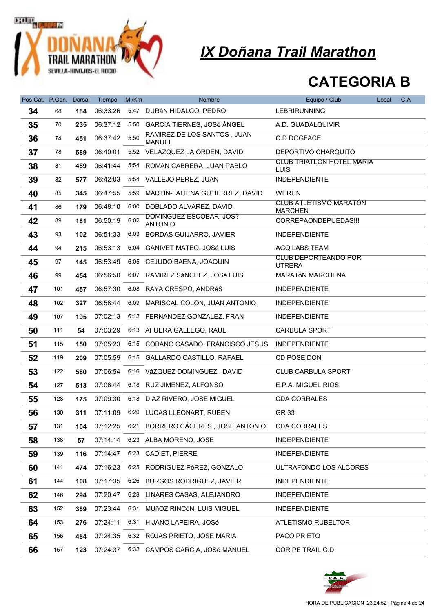

| Pos.Cat. P.Gen. |     | <b>Dorsal</b> | Tiempo   | M./Km | Nombre                                       | Equipo / Club                                   | Local | C A |
|-----------------|-----|---------------|----------|-------|----------------------------------------------|-------------------------------------------------|-------|-----|
| 34              | 68  | 184           | 06:33:26 |       | 5:47 DURÁN HIDALGO, PEDRO                    | <b>LEBRIRUNNING</b>                             |       |     |
| 35              | 70  | 235           | 06:37:12 |       | 5:50 GARCIA TIERNES, JOSé ÁNGEL              | A.D. GUADALQUIVIR                               |       |     |
| 36              | 74  | 451           | 06:37:42 | 5:50  | RAMIREZ DE LOS SANTOS, JUAN<br><b>MANUEL</b> | C.D DOGFACE                                     |       |     |
| 37              | 78  | 589           | 06:40:01 |       | 5:52 VELAZQUEZ LA ORDEN, DAVID               | DEPORTIVO CHARQUITO                             |       |     |
| 38              | 81  | 489           | 06:41:44 |       | 5:54 ROMAN CABRERA, JUAN PABLO               | <b>CLUB TRIATLON HOTEL MARIA</b><br>LUIS        |       |     |
| 39              | 82  | 577           | 06:42:03 |       | 5:54 VALLEJO PEREZ, JUAN                     | <b>INDEPENDIENTE</b>                            |       |     |
| 40              | 85  | 345           | 06:47:55 | 5:59  | MARTIN-LALIENA GUTIERREZ, DAVID              | <b>WERUN</b>                                    |       |     |
| 41              | 86  | 179           | 06:48:10 | 6:00  | DOBLADO ALVAREZ, DAVID                       | <b>CLUB ATLETISMO MARATÓN</b><br><b>MARCHEN</b> |       |     |
| 42              | 89  | 181           | 06:50:19 | 6:02  | DOMINGUEZ ESCOBAR, JOS?<br><b>ANTONIO</b>    | CORREPAONDEPUEDAS !!!                           |       |     |
| 43              | 93  | 102           | 06:51:33 |       | 6:03 BORDAS GUIJARRO, JAVIER                 | <b>INDEPENDIENTE</b>                            |       |     |
| 44              | 94  | 215           | 06:53:13 |       | 6:04 GANIVET MATEO, JOSé LUIS                | AGQ LABS TEAM                                   |       |     |
| 45              | 97  | 145           | 06:53:49 |       | 6:05 CEJUDO BAENA, JOAQUIN                   | <b>CLUB DEPORTEANDO POR</b><br><b>UTRERA</b>    |       |     |
| 46              | 99  | 454           | 06:56:50 |       | 6:07 RAMÍREZ SÁNCHEZ, JOSé LUIS              | <b>MARATÓN MARCHENA</b>                         |       |     |
| 47              | 101 | 457           | 06:57:30 |       | 6:08 RAYA CRESPO, ANDRéS                     | <b>INDEPENDIENTE</b>                            |       |     |
| 48              | 102 | 327           | 06:58:44 |       | 6:09 MARISCAL COLON, JUAN ANTONIO            | <b>INDEPENDIENTE</b>                            |       |     |
| 49              | 107 | 195           | 07:02:13 |       | 6:12 FERNANDEZ GONZALEZ, FRAN                | <b>INDEPENDIENTE</b>                            |       |     |
| 50              | 111 | 54            | 07:03:29 |       | 6:13 AFUERA GALLEGO, RAUL                    | <b>CARBULA SPORT</b>                            |       |     |
| 51              | 115 | 150           | 07:05:23 |       | 6:15 COBANO CASADO, FRANCISCO JESUS          | <b>INDEPENDIENTE</b>                            |       |     |
| 52              | 119 | 209           | 07:05:59 |       | 6:15 GALLARDO CASTILLO, RAFAEL               | CD POSEIDON                                     |       |     |
| 53              | 122 | 580           | 07:06:54 |       | 6:16 VáZQUEZ DOMíNGUEZ, DAVID                | <b>CLUB CARBULA SPORT</b>                       |       |     |
| 54              | 127 | 513           | 07:08:44 |       | 6:18 RUZ JIMENEZ, ALFONSO                    | E.P.A. MIGUEL RIOS                              |       |     |
| 55              | 128 | 175           | 07:09:30 |       | 6:18 DIAZ RIVERO, JOSE MIGUEL                | <b>CDA CORRALES</b>                             |       |     |
| 56              | 130 | 311           | 07:11:09 |       | 6:20 LUCAS LLEONART, RUBEN                   | GR 33                                           |       |     |
| 57              | 131 | 104           | 07:12:25 | 6:21  | BORRERO CÁCERES, JOSE ANTONIO                | <b>CDA CORRALES</b>                             |       |     |
| 58              | 138 | 57            | 07:14:14 |       | 6:23 ALBA MORENO, JOSE                       | <b>INDEPENDIENTE</b>                            |       |     |
| 59              | 139 | 116           | 07:14:47 | 6:23  | <b>CADIET, PIERRE</b>                        | <b>INDEPENDIENTE</b>                            |       |     |
| 60              | 141 | 474           | 07:16:23 | 6:25  | RODRÍGUEZ PéREZ, GONZALO                     | ULTRAFONDO LOS ALCORES                          |       |     |
| 61              | 144 | 108           | 07:17:35 | 6:26  | <b>BURGOS RODRIGUEZ, JAVIER</b>              | <b>INDEPENDIENTE</b>                            |       |     |
| 62              | 146 | 294           | 07:20:47 |       | 6:28 LINARES CASAS, ALEJANDRO                | <b>INDEPENDIENTE</b>                            |       |     |
| 63              | 152 | 389           | 07:23:44 |       | 6:31 MUñOZ RINCóN, LUIS MIGUEL               | <b>INDEPENDIENTE</b>                            |       |     |
| 64              | 153 | 276           | 07:24:11 | 6:31  | HIJANO LAPEIRA, JOSé                         | ATLETISMO RUBELTOR                              |       |     |
| 65              | 156 | 484           | 07:24:35 |       | 6:32 ROJAS PRIETO, JOSE MARIA                | PACO PRIETO                                     |       |     |
| 66              | 157 | 123           | 07:24:37 |       | 6:32 CAMPOS GARCIA, JOSé MANUEL              | CORIPE TRAIL C.D                                |       |     |

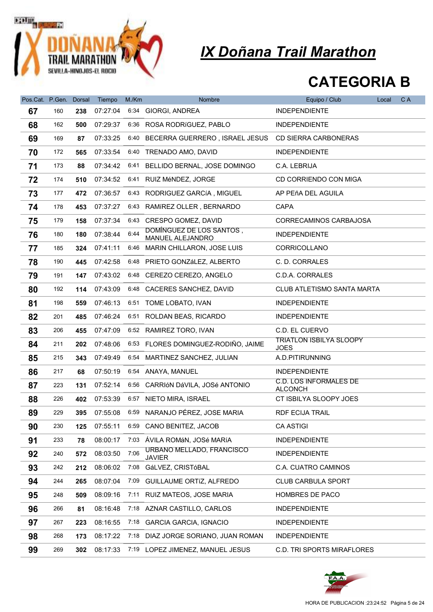

|                              |     |     |                    | M./Km |                                                          |                                                 |       | C A |
|------------------------------|-----|-----|--------------------|-------|----------------------------------------------------------|-------------------------------------------------|-------|-----|
| Pos.Cat. P.Gen. Dorsal<br>67 | 160 | 238 | Tiempo<br>07:27:04 |       | Nombre<br>6:34 GIORGI, ANDREA                            | Equipo / Club<br><b>INDEPENDIENTE</b>           | Local |     |
| 68                           | 162 | 500 | 07:29:37           |       | 6:36 ROSA RODRÍGUEZ, PABLO                               | <b>INDEPENDIENTE</b>                            |       |     |
| 69                           | 169 | 87  | 07:33:25           |       | 6:40 BECERRA GUERRERO, ISRAEL JESUS CD SIERRA CARBONERAS |                                                 |       |     |
| 70                           | 172 | 565 | 07:33:54           |       | 6.40 TRENADO AMO, DAVID                                  | <b>INDEPENDIENTE</b>                            |       |     |
| 71                           | 173 | 88  | 07:34:42           | 6:41  | BELLIDO BERNAL, JOSE DOMINGO                             | C.A. LEBRIJA                                    |       |     |
| 72                           | 174 | 510 | 07:34:52           |       | 6:41 RUIZ MéNDEZ, JORGE                                  | CD CORRIENDO CON MIGA                           |       |     |
| 73                           | 177 | 472 | 07:36:57           |       | 6:43 RODRIGUEZ GARCÍA, MIGUEL                            | AP PEñA DEL AGUILA                              |       |     |
| 74                           | 178 | 453 | 07:37:27           |       | 6:43 RAMIREZ OLLER, BERNARDO                             | <b>CAPA</b>                                     |       |     |
| 75                           | 179 | 158 | 07:37:34           |       | 6:43 CRESPO GOMEZ, DAVID                                 | CORRECAMINOS CARBAJOSA                          |       |     |
| 76                           | 180 | 180 | 07:38:44           | 6:44  | DOMÍNGUEZ DE LOS SANTOS,                                 | <b>INDEPENDIENTE</b>                            |       |     |
| 77                           | 185 | 324 | 07:41:11           |       | MANUEL ALEJANDRO<br>6:46 MARIN CHILLARON, JOSE LUIS      | CORRICOLLANO                                    |       |     |
| 78                           | 190 | 445 | 07:42:58           |       | 6:48 PRIETO GONZáLEZ, ALBERTO                            | C. D. CORRALES                                  |       |     |
| 79                           | 191 | 147 | 07:43:02           |       | 6:48 CEREZO CEREZO, ANGELO                               | C.D.A. CORRALES                                 |       |     |
| 80                           | 192 | 114 | 07:43:09           |       | 6:48 CACERES SANCHEZ, DAVID                              | CLUB ATLETISMO SANTA MARTA                      |       |     |
| 81                           | 198 | 559 | 07:46:13           |       | 6:51 TOME LOBATO, IVAN                                   | <b>INDEPENDIENTE</b>                            |       |     |
| 82                           | 201 | 485 | 07:46:24           |       | 6:51 ROLDAN BEAS, RICARDO                                | <b>INDEPENDIENTE</b>                            |       |     |
| 83                           | 206 | 455 | 07:47:09           |       | 6:52 RAMIREZ TORO, IVAN                                  | C.D. EL CUERVO                                  |       |     |
| 84                           | 211 | 202 | 07:48:06           |       | 6:53 FLORES DOMINGUEZ-RODIÑO, JAIME                      | <b>TRIATLON ISBILYA SLOOPY</b><br><b>JOES</b>   |       |     |
| 85                           | 215 | 343 | 07:49:49           |       | 6:54 MARTINEZ SANCHEZ, JULIAN                            | A.D.PITIRUNNING                                 |       |     |
| 86                           | 217 | 68  | 07:50:19           |       | 6:54 ANAYA, MANUEL                                       | <b>INDEPENDIENTE</b>                            |       |     |
| 87                           | 223 | 131 | 07:52:14           |       | 6:56 CARRIÓN DÁVILA, JOSé ANTONIO                        | <b>C.D. LOS INFORMALES DE</b><br><b>ALCONCH</b> |       |     |
| 88                           | 226 | 402 | 07:53:39           |       | 6:57 NIETO MIRA, ISRAEL                                  | CT ISBILYA SLOOPY JOES                          |       |     |
| 89                           | 229 | 395 | 07:55:08           |       | 6:59 NARANJO PÉREZ, JOSE MARIA                           | <b>RDF ECIJA TRAIL</b>                          |       |     |
| 90                           | 230 | 125 | 07:55:11           | 6:59  | CANO BENITEZ, JACOB                                      | <b>CA ASTIGI</b>                                |       |     |
| 91                           | 233 | 78  | 08:00:17           | 7:03  | ÁVILA ROMáN, JOSé MARÍA                                  | <b>INDEPENDIENTE</b>                            |       |     |
| 92                           | 240 | 572 | 08:03:50           | 7:06  | URBANO MELLADO, FRANCISCO<br><b>JAVIER</b>               | <b>INDEPENDIENTE</b>                            |       |     |
| 93                           | 242 | 212 | 08:06:02           | 7:08  | GáLVEZ, CRISTóBAL                                        | C.A. CUATRO CAMINOS                             |       |     |
| 94                           | 244 | 265 | 08:07:04           | 7:09  | GUILLAUME ORTIZ, ALFREDO                                 | <b>CLUB CARBULA SPORT</b>                       |       |     |
| 95                           | 248 | 509 | 08:09:16           | 7:11  | RUIZ MATEOS, JOSE MARIA                                  | HOMBRES DE PACO                                 |       |     |
| 96                           | 266 | 81  | 08:16:48           |       | 7:18 AZNAR CASTILLO, CARLOS                              | <b>INDEPENDIENTE</b>                            |       |     |
| 97                           | 267 | 223 | 08:16:55           | 7:18  | <b>GARCIA GARCIA, IGNACIO</b>                            | <b>INDEPENDIENTE</b>                            |       |     |
| 98                           | 268 | 173 | 08:17:22           | 7:18  | DIAZ JORGE SORIANO, JUAN ROMAN                           | <b>INDEPENDIENTE</b>                            |       |     |
| 99                           | 269 | 302 | 08:17:33           |       | 7:19 LOPEZ JIMENEZ, MANUEL JESUS                         | <b>C.D. TRI SPORTS MIRAFLORES</b>               |       |     |

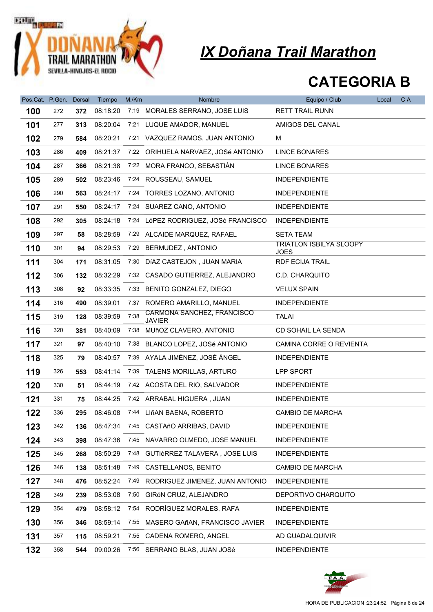

| Pos.Cat. P.Gen. |     | Dorsal | Tiempo   | M/Km | Nombre                                      | Equipo / Club                                 | Local | C A |
|-----------------|-----|--------|----------|------|---------------------------------------------|-----------------------------------------------|-------|-----|
| 100             | 272 | 372    | 08:18:20 |      | 7:19 MORALES SERRANO, JOSE LUIS             | <b>RETT TRAIL RUNN</b>                        |       |     |
| 101             | 277 | 313    | 08:20:04 |      | 7:21 LUQUE AMADOR, MANUEL                   | AMIGOS DEL CANAL                              |       |     |
| 102             | 279 | 584    | 08:20:21 |      | 7:21 VAZQUEZ RAMOS, JUAN ANTONIO            | м                                             |       |     |
| 103             | 286 | 409    | 08:21:37 |      | 7:22 ORIHUELA NARVAEZ, JOSé ANTONIO         | <b>LINCE BONARES</b>                          |       |     |
| 104             | 287 | 366    | 08:21:38 |      | 7:22 MORA FRANCO, SEBASTIÁN                 | <b>LINCE BONARES</b>                          |       |     |
| 105             | 289 | 502    | 08:23:46 |      | 7:24 ROUSSEAU, SAMUEL                       | <b>INDEPENDIENTE</b>                          |       |     |
| 106             | 290 | 563    | 08:24:17 |      | 7:24 TORRES LOZANO, ANTONIO                 | <b>INDEPENDIENTE</b>                          |       |     |
| 107             | 291 | 550    | 08:24:17 |      | 7:24 SUAREZ CANO, ANTONIO                   | <b>INDEPENDIENTE</b>                          |       |     |
| 108             | 292 | 305    | 08:24:18 |      | 7:24 LóPEZ RODRIGUEZ, JOSé FRANCISCO        | <b>INDEPENDIENTE</b>                          |       |     |
| 109             | 297 | 58     | 08:28:59 |      | 7:29 ALCAIDE MARQUEZ, RAFAEL                | <b>SETA TEAM</b>                              |       |     |
| 110             | 301 | 94     | 08:29:53 | 7:29 | BERMUDEZ, ANTONIO                           | <b>TRIATLON ISBILYA SLOOPY</b><br><b>JOES</b> |       |     |
| 111             | 304 | 171    | 08:31:05 |      | 7:30 DÍAZ CASTEJON, JUAN MARIA              | <b>RDF ECIJA TRAIL</b>                        |       |     |
| 112             | 306 | 132    | 08:32:29 |      | 7:32 CASADO GUTIERREZ, ALEJANDRO            | C.D. CHARQUITO                                |       |     |
| 113             | 308 | 92     | 08:33:35 | 7:33 | BENITO GONZALEZ, DIEGO                      | <b>VELUX SPAIN</b>                            |       |     |
| 114             | 316 | 490    | 08:39:01 |      | 7:37 ROMERO AMARILLO, MANUEL                | <b>INDEPENDIENTE</b>                          |       |     |
| 115             | 319 | 128    | 08:39:59 | 7:38 | CARMONA SANCHEZ, FRANCISCO<br><b>JAVIER</b> | <b>TALAI</b>                                  |       |     |
| 116             | 320 | 381    | 08:40:09 | 7:38 | MUñOZ CLAVERO, ANTONIO                      | CD SOHAIL LA SENDA                            |       |     |
| 117             | 321 | 97     | 08:40:10 |      | 7:38 BLANCO LOPEZ, JOSé ANTONIO             | CAMINA CORRE O REVIENTA                       |       |     |
| 118             | 325 | 79     | 08:40:57 |      | 7:39 AYALA JIMÉNEZ, JOSÉ ÁNGEL              | <b>INDEPENDIENTE</b>                          |       |     |
| 119             | 326 | 553    | 08:41:14 |      | 7:39 TALENS MORILLAS, ARTURO                | LPP SPORT                                     |       |     |
| 120             | 330 | 51     | 08:44:19 |      | 7:42 ACOSTA DEL RIO, SALVADOR               | <b>INDEPENDIENTE</b>                          |       |     |
| 121             | 331 | 75     | 08:44:25 |      | 7:42 ARRABAL HIGUERA, JUAN                  | <b>INDEPENDIENTE</b>                          |       |     |
| 122             | 336 | 295    | 08:46:08 |      | 7:44 LIñAN BAENA, ROBERTO                   | <b>CAMBIO DE MARCHA</b>                       |       |     |
| 123             | 342 | 136    | 08:47:34 |      | 7:45 CASTAñO ARRIBAS, DAVID                 | <b>INDEPENDIENTE</b>                          |       |     |
| 124             | 343 | 398    | 08:47:36 |      | 7:45 NAVARRO OLMEDO, JOSE MANUEL            | <b>INDEPENDIENTE</b>                          |       |     |
| 125             | 345 | 268    | 08:50:29 | 7:48 | GUTIéRREZ TALAVERA, JOSE LUIS               | <b>INDEPENDIENTE</b>                          |       |     |
| 126             | 346 | 138    | 08:51:48 | 7:49 | CASTELLANOS, BENITO                         | CAMBIO DE MARCHA                              |       |     |
| 127             | 348 | 476    | 08:52:24 | 7:49 | RODRIGUEZ JIMENEZ, JUAN ANTONIO             | <b>INDEPENDIENTE</b>                          |       |     |
| 128             | 349 | 239    | 08:53:08 | 7:50 | GIRÓN CRUZ, ALEJANDRO                       | DEPORTIVO CHARQUITO                           |       |     |
| 129             | 354 | 479    | 08:58:12 |      | 7:54 RODRÍGUEZ MORALES, RAFA                | <b>INDEPENDIENTE</b>                          |       |     |
| 130             | 356 | 346    | 08:59:14 | 7:55 | MASERO GAñAN, FRANCISCO JAVIER              | <b>INDEPENDIENTE</b>                          |       |     |
| 131             | 357 | 115    | 08:59:21 |      | 7:55 CADENA ROMERO, ANGEL                   | AD GUADALQUIVIR                               |       |     |
| 132             | 358 | 544    | 09:00:26 |      | 7:56 SERRANO BLAS, JUAN JOSé                | <b>INDEPENDIENTE</b>                          |       |     |

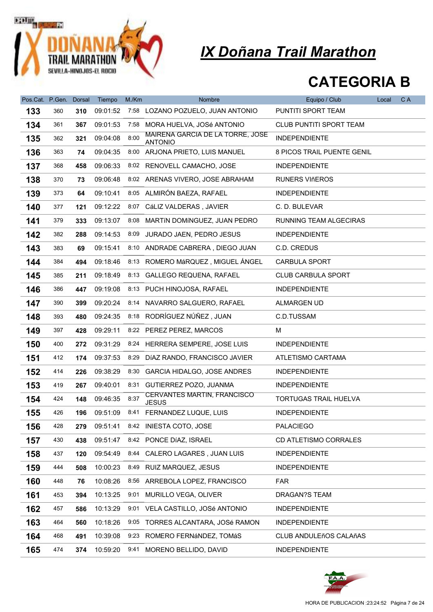

| Pos.Cat. P.Gen. |     | <b>Dorsal</b> | Tiempo   | M/Km | Nombre                                             | Equipo / Club                  | Local | C A |
|-----------------|-----|---------------|----------|------|----------------------------------------------------|--------------------------------|-------|-----|
| 133             | 360 | 310           | 09:01:52 | 7:58 | LOZANO POZUELO, JUAN ANTONIO                       | PUNTITI SPORT TEAM             |       |     |
| 134             | 361 | 367           | 09:01:53 | 7:58 | MORA HUELVA, JOSé ANTONIO                          | <b>CLUB PUNTITI SPORT TEAM</b> |       |     |
| 135             | 362 | 321           | 09:04:08 | 8:00 | MAIRENA GARCIA DE LA TORRE, JOSE<br><b>ANTONIO</b> | <b>INDEPENDIENTE</b>           |       |     |
| 136             | 363 | 74            | 09:04:35 |      | 8:00 ARJONA PRIETO, LUIS MANUEL                    | 8 PICOS TRAIL PUENTE GENIL     |       |     |
| 137             | 368 | 458           | 09:06:33 |      | 8:02 RENOVELL CAMACHO, JOSE                        | <b>INDEPENDIENTE</b>           |       |     |
| 138             | 370 | 73            | 09:06:48 |      | 8:02 ARENAS VIVERO, JOSE ABRAHAM                   | <b>RUNERS VIñEROS</b>          |       |     |
| 139             | 373 | 64            | 09:10:41 |      | 8:05 ALMIRÓN BAEZA, RAFAEL                         | <b>INDEPENDIENTE</b>           |       |     |
| 140             | 377 | 121           | 09:12:22 |      | 8:07 CáLIZ VALDERAS, JAVIER                        | C. D. BULEVAR                  |       |     |
| 141             | 379 | 333           | 09:13:07 |      | 8:08 MARTIN DOMINGUEZ, JUAN PEDRO                  | RUNNING TEAM ALGECIRAS         |       |     |
| 142             | 382 | 288           | 09:14:53 |      | 8:09 JURADO JAEN, PEDRO JESUS                      | <b>INDEPENDIENTE</b>           |       |     |
| 143             | 383 | 69            | 09:15:41 |      | 8:10 ANDRADE CABRERA, DIEGO JUAN                   | C.D. CREDUS                    |       |     |
| 144             | 384 | 494           | 09:18:46 |      | 8:13 ROMERO MáRQUEZ, MIGUEL ÁNGEL                  | <b>CARBULA SPORT</b>           |       |     |
| 145             | 385 | 211           | 09:18:49 |      | 8:13 GALLEGO REQUENA, RAFAEL                       | <b>CLUB CARBULA SPORT</b>      |       |     |
| 146             | 386 | 447           | 09:19:08 |      | 8:13 PUCH HINOJOSA, RAFAEL                         | <b>INDEPENDIENTE</b>           |       |     |
| 147             | 390 | 399           | 09:20:24 | 8:14 | NAVARRO SALGUERO, RAFAEL                           | ALMARGEN UD                    |       |     |
| 148             | 393 | 480           | 09:24:35 |      | 8:18 RODRÍGUEZ NÚÑEZ, JUAN                         | C.D.TUSSAM                     |       |     |
| 149             | 397 | 428           | 09:29:11 |      | 8:22 PEREZ PEREZ, MARCOS                           | м                              |       |     |
| 150             | 400 | 272           | 09:31:29 |      | 8:24 HERRERA SEMPERE, JOSE LUIS                    | <b>INDEPENDIENTE</b>           |       |     |
| 151             | 412 | 174           | 09:37:53 | 8:29 | DÍAZ RANDO, FRANCISCO JAVIER                       | ATLETISMO CARTAMA              |       |     |
| 152             | 414 | 226           | 09:38:29 |      | 8:30 GARCIA HIDALGO, JOSE ANDRES                   | <b>INDEPENDIENTE</b>           |       |     |
| 153             | 419 | 267           | 09:40:01 | 8:31 | GUTIERREZ POZO, JUANMA                             | <b>INDEPENDIENTE</b>           |       |     |
| 154             | 424 | 148           | 09:46:35 | 8:37 | <b>CERVANTES MARTIN, FRANCISCO</b><br><b>JESUS</b> | TORTUGAS TRAIL HUELVA          |       |     |
| 155             | 426 | 196           | 09:51:09 |      | 8:41 FERNANDEZ LUQUE, LUIS                         | <b>INDEPENDIENTE</b>           |       |     |
| 156             | 428 | 279           |          |      | 09:51:41 8:42 INIESTA COTO, JOSE                   | <b>PALACIEGO</b>               |       |     |
| 157             | 430 | 438           | 09:51:47 |      | 8:42 PONCE DÍAZ, ISRAEL                            | CD ATLETISMO CORRALES          |       |     |
| 158             | 437 | 120           | 09:54:49 |      | 8:44 CALERO LAGARES, JUAN LUIS                     | <b>INDEPENDIENTE</b>           |       |     |
| 159             | 444 | 508           | 10:00:23 |      | 8:49 RUIZ MARQUEZ, JESUS                           | <b>INDEPENDIENTE</b>           |       |     |
| 160             | 448 | 76            | 10:08:26 |      | 8:56 ARREBOLA LOPEZ, FRANCISCO                     | FAR                            |       |     |
| 161             | 453 | 394           | 10:13:25 | 9:01 | MURILLO VEGA, OLIVER                               | DRAGAN?S TEAM                  |       |     |
| 162             | 457 | 586           | 10:13:29 |      | 9:01 VELA CASTILLO, JOSé ANTONIO                   | <b>INDEPENDIENTE</b>           |       |     |
| 163             | 464 | 560           | 10:18:26 |      | 9:05 TORRES ALCANTARA, JOSé RAMON                  | <b>INDEPENDIENTE</b>           |       |     |
| 164             | 468 | 491           | 10:39:08 |      | 9:23 ROMERO FERNÁNDEZ, TOMÁS                       | <b>CLUB ANDULEñOS CALAñAS</b>  |       |     |
| 165             | 474 | 374           | 10:59:20 | 9:41 | MORENO BELLIDO, DAVID                              | <b>INDEPENDIENTE</b>           |       |     |

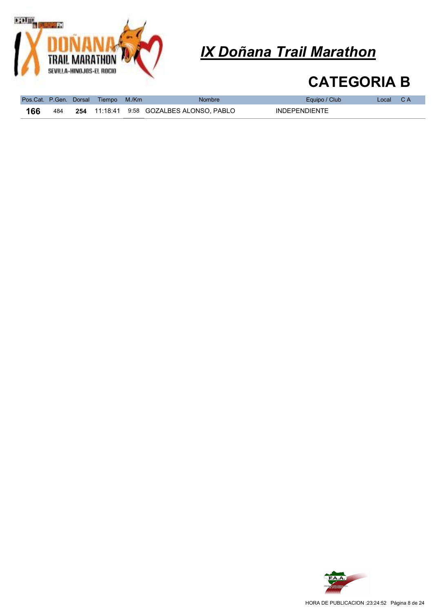

|     |     | Pos.Cat. P.Gen. Dorsal Tiempo M./Km | <b>Nombre</b>                                     | Equipo / Club        | Local CA |  |
|-----|-----|-------------------------------------|---------------------------------------------------|----------------------|----------|--|
| 166 | 484 |                                     | <b>254</b> 11:18:41  9:58  GOZALBES ALONSO. PABLO | <b>INDEPENDIENTE</b> |          |  |

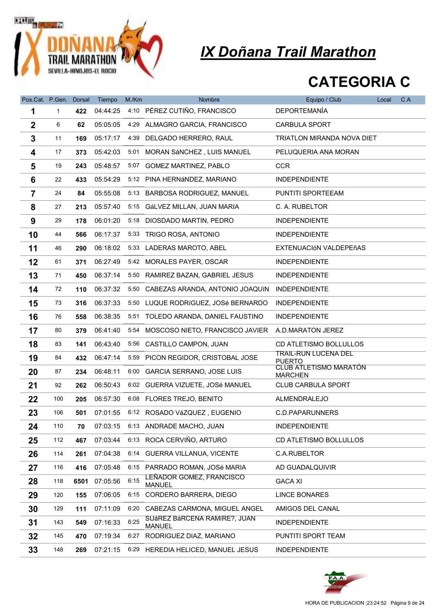

| Pos.Cat. P.Gen. Dorsal |     |      | Tiempo   | M./Km | Nombre                                        | Equipo / Club                                   | Local | C A |
|------------------------|-----|------|----------|-------|-----------------------------------------------|-------------------------------------------------|-------|-----|
| 1                      | 1   | 422  | 04:44:25 |       | 4:10 PÉREZ CUTIÑO, FRANCISCO                  | <b>DEPORTEMANÍA</b>                             |       |     |
| $\boldsymbol{2}$       | 6   | 62   | 05:05:05 |       | 4:29 ALMAGRO GARCIA, FRANCISCO                | <b>CARBULA SPORT</b>                            |       |     |
| 3                      | 11  | 169  | 05:17:17 | 4:39  | DELGADO HERRERO, RAUL                         | TRIATLON MIRANDA NOVA DIET                      |       |     |
| 4                      | 17  | 373  | 05:42:03 |       | 5:01 MORAN SÁNCHEZ, LUIS MANUEL               | PELUQUERIA ANA MORAN                            |       |     |
| 5                      | 19  | 243  | 05:48:57 |       | 5:07 GOMEZ MARTINEZ, PABLO                    | <b>CCR</b>                                      |       |     |
| 6                      | 22  | 433  | 05:54:29 |       | 5:12 PINA HERNÁNDEZ, MARIANO                  | <b>INDEPENDIENTE</b>                            |       |     |
| $\overline{7}$         | 24  | 84   | 05:55:08 | 5:13  | BARBOSA RODRIGUEZ, MANUEL                     | PUNTITI SPORTEEAM                               |       |     |
| 8                      | 27  | 213  | 05:57:40 |       | 5:15 GáLVEZ MILLAN, JUAN MARIA                | C. A. RUBELTOR                                  |       |     |
| 9                      | 29  | 178  | 06:01:20 | 5:18  | DIOSDADO MARTIN, PEDRO                        | <b>INDEPENDIENTE</b>                            |       |     |
| 10                     | 44  | 566  | 06:17:37 |       | 5:33 TRIGO ROSA, ANTONIO                      | <b>INDEPENDIENTE</b>                            |       |     |
| 11                     | 46  | 290  | 06:18:02 |       | 5:33 LADERAS MAROTO, ABEL                     | EXTENUACIÓN VALDEPEñAS                          |       |     |
| 12                     | 61  | 371  | 06:27:49 |       | 5:42 MORALES PAYER, OSCAR                     | <b>INDEPENDIENTE</b>                            |       |     |
| 13                     | 71  | 450  | 06:37:14 | 5:50  | RAMIREZ BAZAN, GABRIEL JESUS                  | <b>INDEPENDIENTE</b>                            |       |     |
| 14                     | 72  | 110  | 06:37:32 | 5:50  | CABEZAS ARANDA, ANTONIO JOAQUÍN               | <b>INDEPENDIENTE</b>                            |       |     |
| 15                     | 73  | 316  | 06:37:33 |       | 5:50 LUQUE RODRÍGUEZ, JOSé BERNARDO           | <b>INDEPENDIENTE</b>                            |       |     |
| 16                     | 76  | 558  | 06:38:35 |       | 5:51 TOLEDO ARANDA, DANIEL FAUSTINO           | <b>INDEPENDIENTE</b>                            |       |     |
| 17                     | 80  | 379  | 06:41:40 | 5:54  | MOSCOSO NIETO, FRANCISCO JAVIER               | A.D.MARATON JEREZ                               |       |     |
| 18                     | 83  | 141  | 06:43:40 |       | 5:56 CASTILLO CAMPON, JUAN                    | CD ATLETISMO BOLLULLOS                          |       |     |
| 19                     | 84  | 432  | 06:47:14 | 5:59  | PICON REGIDOR, CRISTOBAL JOSE                 | <b>TRAIL-RUN LUCENA DEL</b><br><b>PUERTO</b>    |       |     |
| 20                     | 87  | 234  | 06:48:11 | 6:00  | GARCIA SERRANO, JOSE LUIS                     | <b>CLUB ATLETISMO MARATÓN</b><br><b>MARCHEN</b> |       |     |
| 21                     | 92  | 262  | 06:50:43 |       | 6:02 GUERRA VIZUETE, JOSé MANUEL              | <b>CLUB CARBULA SPORT</b>                       |       |     |
| 22                     | 100 | 205  | 06:57:30 | 6:08  | FLORES TREJO, BENITO                          | ALMENDRALEJO                                    |       |     |
| 23                     | 106 | 501  | 07:01:55 |       | 6:12 ROSADO VáZQUEZ, EUGENIO                  | C.D.PAPARUNNERS                                 |       |     |
| 24                     | 110 | 70   | 07:03:15 |       | 6:13 ANDRADE MACHO, JUAN                      | <b>INDEPENDIENTE</b>                            |       |     |
| 25                     | 112 | 467  | 07:03:44 |       | 6:13 ROCA CERVIÑO, ARTURO                     | CD ATLETISMO BOLLULLOS                          |       |     |
| 26                     | 114 | 261  | 07:04:38 | 6:14  | GUERRA VILLANUA, VICENTE                      | C.A.RUBELTOR                                    |       |     |
| 27                     | 116 | 416  | 07:05:48 |       | 6:15 PARRADO ROMAN, JOSé MARIA                | AD GUADALQUIVIR                                 |       |     |
| 28                     | 118 | 6501 | 07:05:56 | 6:15  | LEÑADOR GOMEZ, FRANCISCO<br><b>MANUEL</b>     | <b>GACA XI</b>                                  |       |     |
| 29                     | 120 | 155  | 07:06:05 |       | 6:15 CORDERO BARRERA, DIEGO                   | <b>LINCE BONARES</b>                            |       |     |
| 30                     | 129 | 111  | 07:11:09 |       | 6:20 CABEZAS CARMONA, MIGUEL ANGEL            | AMIGOS DEL CANAL                                |       |     |
| 31                     | 143 | 549  | 07:16:33 | 6:25  | SUÁREZ BÁRCENA RAMÍRE?, JUAN<br><b>MANUEL</b> | <b>INDEPENDIENTE</b>                            |       |     |
| 32                     | 145 | 470  | 07:19:34 | 6:27  | RODRIGUEZ DIAZ, MARIANO                       | PUNTITI SPORT TEAM                              |       |     |
| 33                     | 148 | 269  | 07:21:15 |       | 6:29 HEREDIA HELICED, MANUEL JESUS            | <b>INDEPENDIENTE</b>                            |       |     |

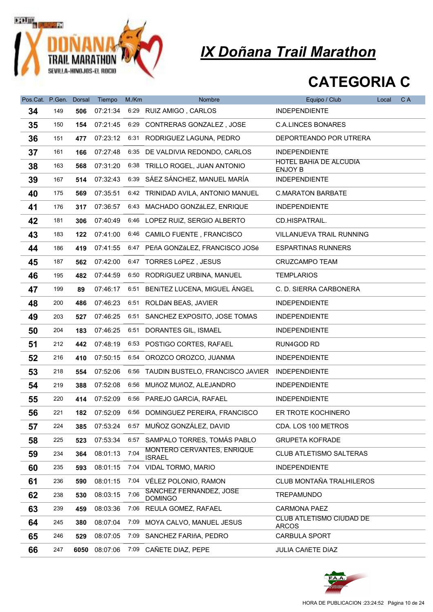

| Pos.Cat. P.Gen. |     | <b>Dorsal</b> | Tiempo        | M./Km | Nombre                                              | Equipo / Club                                   | Local | C A |
|-----------------|-----|---------------|---------------|-------|-----------------------------------------------------|-------------------------------------------------|-------|-----|
| 34              | 149 | 506           | 07:21:34      |       | 6:29 RUIZ AMIGO, CARLOS                             | <b>INDEPENDIENTE</b>                            |       |     |
| 35              | 150 | 154           | 07:21:45      |       | 6:29 CONTRERAS GONZALEZ, JOSE                       | <b>C.A.LINCES BONARES</b>                       |       |     |
| 36              | 151 | 477           | 07:23:12      |       | 6:31 RODRIGUEZ LAGUNA, PEDRO                        | DEPORTEANDO POR UTRERA                          |       |     |
| 37              | 161 | 166           | 07:27:48      |       | 6:35 DE VALDIVIA REDONDO, CARLOS                    | <b>INDEPENDIENTE</b>                            |       |     |
| 38              | 163 | 568           | 07:31:20      |       | 6:38 TRILLO ROGEL, JUAN ANTONIO                     | HOTEL BAHIA DE ALCUDIA<br><b>ENJOY B</b>        |       |     |
| 39              | 167 | 514           | 07:32:43      |       | 6:39 SÁEZ SÁNCHEZ, MANUEL MARÍA                     | <b>INDEPENDIENTE</b>                            |       |     |
| 40              | 175 | 569           | 07:35:51      |       | 6:42 TRINIDAD AVILA, ANTONIO MANUEL                 | <b>C.MARATON BARBATE</b>                        |       |     |
| 41              | 176 | 317           | 07:36:57      |       | 6:43 MACHADO GONZáLEZ, ENRIQUE                      | <b>INDEPENDIENTE</b>                            |       |     |
| 42              | 181 | 306           | 07:40:49      |       | 6:46 LOPEZ RUIZ, SERGIO ALBERTO                     | CD.HISPATRAIL.                                  |       |     |
| 43              | 183 | 122           | 07:41:00      |       | 6:46 CAMILO FUENTE, FRANCISCO                       | VILLANUEVA TRAIL RUNNING                        |       |     |
| 44              | 186 | 419           | 07:41:55      |       | 6:47 PEñA GONZáLEZ, FRANCISCO JOSé                  | <b>ESPARTINAS RUNNERS</b>                       |       |     |
| 45              | 187 | 562           | 07:42:00      |       | 6:47 TORRES LóPEZ, JESUS                            | CRUZCAMPO TEAM                                  |       |     |
| 46              | 195 | 482           | 07:44:59      |       | 6:50 RODRIGUEZ URBINA, MANUEL                       | <b>TEMPLARIOS</b>                               |       |     |
| 47              | 199 | 89            | 07:46:17      | 6:51  | BENITEZ LUCENA, MIGUEL ÁNGEL                        | C. D. SIERRA CARBONERA                          |       |     |
| 48              | 200 | 486           | 07:46:23      |       | 6:51 ROLDÁN BEAS, JAVIER                            | <b>INDEPENDIENTE</b>                            |       |     |
| 49              | 203 | 527           | 07:46:25      |       | 6:51 SANCHEZ EXPOSITO, JOSE TOMAS                   | <b>INDEPENDIENTE</b>                            |       |     |
| 50              | 204 | 183           | 07:46:25      |       | 6:51 DORANTES GIL, ISMAEL                           | <b>INDEPENDIENTE</b>                            |       |     |
| 51              | 212 | 442           | 07:48:19      |       | 6:53 POSTIGO CORTES, RAFAEL                         | RUN4GOD RD                                      |       |     |
| 52              | 216 | 410           | 07:50:15      |       | 6:54 OROZCO OROZCO, JUANMA                          | <b>INDEPENDIENTE</b>                            |       |     |
| 53              | 218 | 554           | 07:52:06      |       | 6:56 TAUDIN BUSTELO, FRANCISCO JAVIER INDEPENDIENTE |                                                 |       |     |
| 54              | 219 | 388           | 07:52:08      |       | 6:56 MUñOZ MUñOZ, ALEJANDRO                         | <b>INDEPENDIENTE</b>                            |       |     |
| 55              | 220 | 414           | 07:52:09      |       | 6:56 PAREJO GARCÍA, RAFAEL                          | <b>INDEPENDIENTE</b>                            |       |     |
| 56              | 221 | 182           | 07:52:09      |       | 6:56 DOMÍNGUEZ PEREIRA, FRANCISCO                   | ER TROTE KOCHINERO                              |       |     |
| 57              | 224 | 385           | 07:53:24      |       | 6:57 MUÑOZ GONZÁLEZ, DAVID                          | CDA. LOS 100 METROS                             |       |     |
| 58              | 225 | 523           | 07:53:34      |       | 6:57 SAMPALO TORRES, TOMÁS PABLO                    | <b>GRUPETA KOFRADE</b>                          |       |     |
| 59              | 234 | 364           | 08:01:13      | 7:04  | MONTERO CERVANTES, ENRIQUE<br><b>ISRAEL</b>         | <b>CLUB ATLETISMO SALTERAS</b>                  |       |     |
| 60              | 235 | 593           | 08:01:15      |       | 7:04 VIDAL TORMO, MARIO                             | <b>INDEPENDIENTE</b>                            |       |     |
| 61              | 236 | 590           | 08:01:15      | 7:04  | VÉLEZ POLONIO, RAMON                                | CLUB MONTAÑA TRALHILEROS                        |       |     |
| 62              | 238 | 530           | 08:03:15      | 7:06  | SANCHEZ FERNANDEZ, JOSE<br><b>DOMINGO</b>           | <b>TREPAMUNDO</b>                               |       |     |
| 63              | 239 | 459           | 08:03:36      | 7:06  | REULA GOMEZ, RAFAEL                                 | <b>CARMONA PAEZ</b>                             |       |     |
| 64              | 245 | 380           | 08:07:04      | 7:09  | MOYA CALVO, MANUEL JESUS                            | <b>CLUB ATLETISMO CIUDAD DE</b><br><b>ARCOS</b> |       |     |
| 65              | 246 | 529           | 08:07:05      | 7:09  | SANCHEZ FARIñA, PEDRO                               | <b>CARBULA SPORT</b>                            |       |     |
| 66              | 247 |               | 6050 08:07:06 | 7:09  | CAÑETE DIAZ, PEPE                                   | <b>JULIA CAñETE DÍAZ</b>                        |       |     |

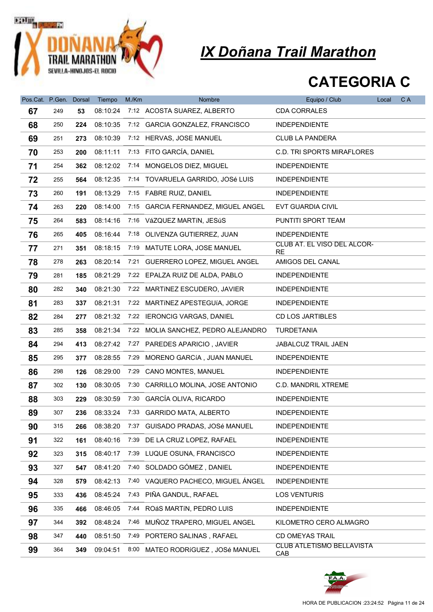

| Pos.Cat. P.Gen. |     | Dorsal | Tiempo   | M./Km | Nombre                              | Equipo / Club                           | Local | C A |
|-----------------|-----|--------|----------|-------|-------------------------------------|-----------------------------------------|-------|-----|
| 67              | 249 | 53     | 08:10:24 |       | 7:12 ACOSTA SUAREZ, ALBERTO         | <b>CDA CORRALES</b>                     |       |     |
| 68              | 250 | 224    | 08:10:35 |       | 7:12 GARCIA GONZALEZ, FRANCISCO     | <b>INDEPENDIENTE</b>                    |       |     |
| 69              | 251 | 273    | 08:10:39 |       | 7:12 HERVAS, JOSE MANUEL            | <b>CLUB LA PANDERA</b>                  |       |     |
| 70              | 253 | 200    | 08:11:11 |       | 7:13 FITO GARCÍA, DANIEL            | <b>C.D. TRI SPORTS MIRAFLORES</b>       |       |     |
| 71              | 254 | 362    | 08:12:02 |       | 7:14 MONGELOS DIEZ, MIGUEL          | <b>INDEPENDIENTE</b>                    |       |     |
| 72              | 255 | 564    | 08:12:35 |       | 7:14 TOVARUELA GARRIDO, JOSé LUIS   | <b>INDEPENDIENTE</b>                    |       |     |
| 73              | 260 | 191    | 08:13:29 |       | 7:15 FABRE RUIZ, DANIEL             | INDEPENDIENTE                           |       |     |
| 74              | 263 | 220    | 08:14:00 |       | 7:15 GARCIA FERNANDEZ, MIGUEL ANGEL | EVT GUARDIA CIVIL                       |       |     |
| 75              | 264 | 583    | 08:14:16 |       | 7:16 VáZQUEZ MARTÍN, JESúS          | PUNTITI SPORT TEAM                      |       |     |
| 76              | 265 | 405    | 08:16:44 |       | 7:18 OLIVENZA GUTIERREZ, JUAN       | <b>INDEPENDIENTE</b>                    |       |     |
| 77              | 271 | 351    | 08:18:15 |       | 7:19 MATUTE LORA, JOSE MANUEL       | CLUB AT. EL VISO DEL ALCOR-<br>RE       |       |     |
| 78              | 278 | 263    | 08:20:14 |       | 7:21 GUERRERO LOPEZ, MIGUEL ANGEL   | AMIGOS DEL CANAL                        |       |     |
| 79              | 281 | 185    | 08:21:29 |       | 7:22 EPALZA RUIZ DE ALDA, PABLO     | <b>INDEPENDIENTE</b>                    |       |     |
| 80              | 282 | 340    | 08:21:30 |       | 7:22 MARTINEZ ESCUDERO, JAVIER      | <b>INDEPENDIENTE</b>                    |       |     |
| 81              | 283 | 337    | 08:21:31 |       | 7:22 MARTINEZ APESTEGUIA, JORGE     | <b>INDEPENDIENTE</b>                    |       |     |
| 82              | 284 | 277    | 08:21:32 |       | 7:22 IERONCIG VARGAS, DANIEL        | <b>CD LOS JARTIBLES</b>                 |       |     |
| 83              | 285 | 358    | 08:21:34 |       | 7:22 MOLIA SANCHEZ, PEDRO ALEJANDRO | <b>TURDETANIA</b>                       |       |     |
| 84              | 294 | 413    | 08:27:42 |       | 7:27 PAREDES APARICIO, JAVIER       | JABALCUZ TRAIL JAEN                     |       |     |
| 85              | 295 | 377    | 08:28:55 | 7:29  | MORENO GARCÍA, JUAN MANUEL          | <b>INDEPENDIENTE</b>                    |       |     |
| 86              | 298 | 126    | 08:29:00 | 7:29  | <b>CANO MONTES, MANUEL</b>          | <b>INDEPENDIENTE</b>                    |       |     |
| 87              | 302 | 130    | 08:30:05 | 7:30  | CARRILLO MOLINA, JOSE ANTONIO       | C.D. MANDRIL XTREME                     |       |     |
| 88              | 303 | 229    | 08:30:59 |       | 7:30 GARCÍA OLIVA, RICARDO          | <b>INDEPENDIENTE</b>                    |       |     |
| 89              | 307 | 236    | 08:33:24 |       | 7:33 GARRIDO MATA, ALBERTO          | <b>INDEPENDIENTE</b>                    |       |     |
| 90              | 315 | 266    | 08:38:20 |       | 7:37 GUISADO PRADAS, JOSé MANUEL    | <b>INDEPENDIENTE</b>                    |       |     |
| 91              | 322 | 161    | 08:40:16 | 7:39  | DE LA CRUZ LOPEZ, RAFAEL            | <b>INDEPENDIENTE</b>                    |       |     |
| 92              | 323 | 315    | 08:40:17 |       | 7:39 LUQUE OSUNA, FRANCISCO         | <b>INDEPENDIENTE</b>                    |       |     |
| 93              | 327 | 547    | 08:41:20 |       | 7:40 SOLDADO GÓMEZ, DANIEL          | <b>INDEPENDIENTE</b>                    |       |     |
| 94              | 328 | 579    | 08:42:13 |       | 7:40 VAQUERO PACHECO, MIGUEL ÁNGEL  | <b>INDEPENDIENTE</b>                    |       |     |
| 95              | 333 | 436    | 08:45:24 |       | 7:43 PIÑA GANDUL, RAFAEL            | <b>LOS VENTURIS</b>                     |       |     |
| 96              | 335 | 466    | 08:46:05 |       | 7:44 ROÁS MARTÍN, PEDRO LUIS        | <b>INDEPENDIENTE</b>                    |       |     |
| 97              | 344 | 392    | 08:48:24 |       | 7:46 MUÑOZ TRAPERO, MIGUEL ANGEL    | KILOMETRO CERO ALMAGRO                  |       |     |
| 98              | 347 | 440    | 08:51:50 |       | 7:49 PORTERO SALINAS, RAFAEL        | <b>CD OMEYAS TRAIL</b>                  |       |     |
| 99              | 364 | 349    | 09:04:51 |       | 8:00 MATEO RODRÍGUEZ, JOSé MANUEL   | <b>CLUB ATLETISMO BELLAVISTA</b><br>CAB |       |     |

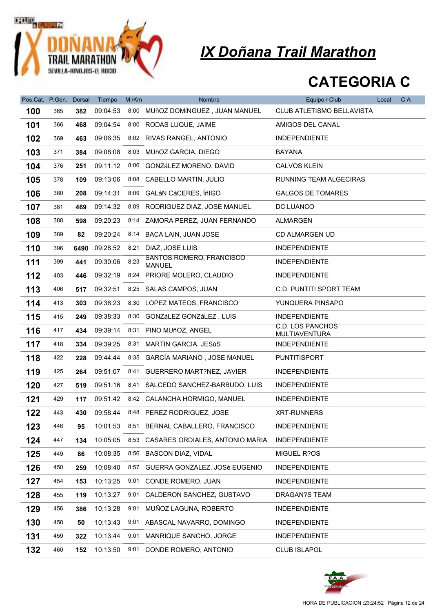

| Pos.Cat. P.Gen. Dorsal |     |      | Tiempo   | M/Km | Nombre                                    | Equipo / Club                            | Local | C A |
|------------------------|-----|------|----------|------|-------------------------------------------|------------------------------------------|-------|-----|
| 100                    | 365 | 382  | 09:04:53 |      | 8:00 MUñOZ DOMÍNGUEZ, JUAN MANUEL         | CLUB ATLETISMO BELLAVISTA                |       |     |
| 101                    | 366 | 468  | 09:04:54 |      | 8:00 RODAS LUQUE, JAIME                   | AMIGOS DEL CANAL                         |       |     |
| 102                    | 369 | 463  | 09:06:35 |      | 8:02 RIVAS RANGEL, ANTONIO                | <b>INDEPENDIENTE</b>                     |       |     |
| 103                    | 371 | 384  | 09:08:08 |      | 8:03 MUñOZ GARCIA, DIEGO                  | <b>BAYANA</b>                            |       |     |
| 104                    | 376 | 251  | 09:11:12 |      | 8:06 GONZáLEZ MORENO, DAVID               | <b>CALVOS KLEIN</b>                      |       |     |
| 105                    | 378 | 109  | 09:13:06 |      | 8:08 CABELLO MARTIN, JULIO                | RUNNING TEAM ALGECIRAS                   |       |     |
| 106                    | 380 | 208  | 09:14:31 | 8:09 | GALáN CáCERES, ÍñIGO                      | <b>GALGOS DE TOMARES</b>                 |       |     |
| 107                    | 381 | 469  | 09:14:32 | 8:09 | RODRIGUEZ DIAZ, JOSE MANUEL               | DC LUANCO                                |       |     |
| 108                    | 388 | 598  | 09:20:23 |      | 8:14 ZAMORA PEREZ, JUAN FERNANDO          | <b>ALMARGEN</b>                          |       |     |
| 109                    | 389 | 82   | 09:20:24 |      | 8:14 BACA LAIN, JUAN JOSE                 | CD ALMARGEN UD                           |       |     |
| 110                    | 396 | 6490 | 09:28:52 |      | 8:21 DIAZ, JOSE LUIS                      | <b>INDEPENDIENTE</b>                     |       |     |
| 111                    | 399 | 441  | 09:30:06 | 8:23 | SANTOS ROMERO, FRANCISCO<br><b>MANUEL</b> | <b>INDEPENDIENTE</b>                     |       |     |
| 112                    | 403 | 446  | 09:32:19 |      | 8:24 PRIORE MOLERO, CLAUDIO               | <b>INDEPENDIENTE</b>                     |       |     |
| 113                    | 406 | 517  | 09:32:51 |      | 8:25 SALAS CAMPOS, JUAN                   | C.D. PUNTITI SPORT TEAM                  |       |     |
| 114                    | 413 | 303  | 09:38:23 |      | 8:30 LOPEZ MATEOS, FRANCISCO              | YUNQUERA PINSAPO                         |       |     |
| 115                    | 415 | 249  | 09:38:33 |      | 8:30 GONZáLEZ GONZáLEZ, LUIS              | <b>INDEPENDIENTE</b>                     |       |     |
| 116                    | 417 | 434  | 09:39:14 |      | 8:31 PINO MUñOZ, ANGEL                    | <b>C.D. LOS PANCHOS</b><br>MULTIAVENTURA |       |     |
| 117                    | 418 | 334  | 09:39:25 |      | 8:31 MARTIN GARCIA, JESúS                 | <b>INDEPENDIENTE</b>                     |       |     |
| 118                    | 422 | 228  | 09:44:44 |      | 8:35 GARCÍA MARIANO, JOSE MANUEL          | <b>PUNTITISPORT</b>                      |       |     |
| 119                    | 425 | 264  | 09:51:07 |      | 8:41 GUERRERO MART?NEZ, JAVIER            | <b>INDEPENDIENTE</b>                     |       |     |
| 120                    | 427 | 519  | 09:51:16 |      | 8:41 SALCEDO SANCHEZ-BARBUDO, LUIS        | <b>INDEPENDIENTE</b>                     |       |     |
| 121                    | 429 | 117  | 09:51:42 |      | 8:42 CALANCHA HORMIGO, MANUEL             | <b>INDEPENDIENTE</b>                     |       |     |
| 122                    | 443 | 430  |          |      | 09:58:44 8:48 PEREZ RODRIGUEZ, JOSE       | <b>XRT-RUNNERS</b>                       |       |     |
| 123                    | 446 | 95   | 10:01:53 |      | 8:51 BERNAL CABALLERO, FRANCISCO          | <b>INDEPENDIENTE</b>                     |       |     |
| 124                    | 447 | 134  | 10:05:05 |      | 8:53 CASARES ORDIALES, ANTONIO MARIA      | <b>INDEPENDIENTE</b>                     |       |     |
| 125                    | 449 | 86   | 10:08:35 |      | 8:56 BASCON DIAZ, VIDAL                   | MIGUEL R?OS                              |       |     |
| 126                    | 450 | 259  | 10:08:40 |      | 8:57 GUERRA GONZALEZ, JOSé EUGENIO        | <b>INDEPENDIENTE</b>                     |       |     |
| 127                    | 454 | 153  | 10:13:25 | 9:01 | CONDE ROMERO, JUAN                        | <b>INDEPENDIENTE</b>                     |       |     |
| 128                    | 455 | 119  | 10:13:27 | 9:01 | CALDERON SANCHEZ, GUSTAVO                 | DRAGAN?S TEAM                            |       |     |
| 129                    | 456 | 386  | 10:13:28 |      | 9:01 MUÑOZ LAGUNA, ROBERTO                | <b>INDEPENDIENTE</b>                     |       |     |
| 130                    | 458 | 50   | 10:13:43 |      | 9:01 ABASCAL NAVARRO, DOMINGO             | <b>INDEPENDIENTE</b>                     |       |     |
| 131                    | 459 | 322  | 10:13:44 | 9:01 | MANRIQUE SANCHO, JORGE                    | <b>INDEPENDIENTE</b>                     |       |     |
| 132                    | 460 | 152  | 10:13:50 |      | 9:01 CONDE ROMERO, ANTONIO                | <b>CLUB ISLAPOL</b>                      |       |     |

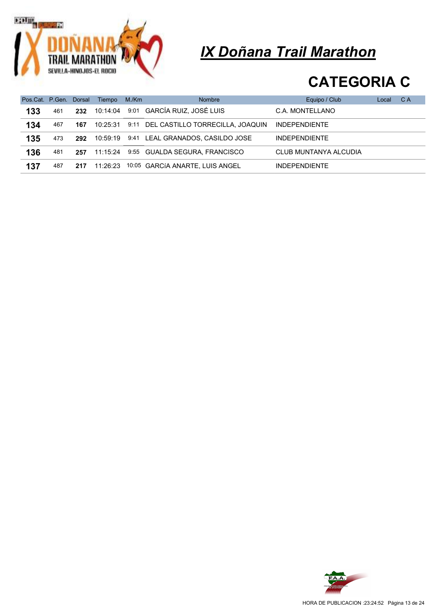

|     |     |     | Pos.Cat. P.Gen. Dorsal Tiempo | M./Km | <b>Nombre</b>                         | Equipo / Club         | Local | C A |
|-----|-----|-----|-------------------------------|-------|---------------------------------------|-----------------------|-------|-----|
| 133 | 461 | 232 | 10:14:04                      |       | 9:01 GARCÍA RUIZ, JOSÉ LUIS           | C.A. MONTELLANO       |       |     |
| 134 | 467 | 167 | 10:25:31                      |       | 9:11 DEL CASTILLO TORRECILLA, JOAQUIN | <b>INDEPENDIENTE</b>  |       |     |
| 135 | 473 | 292 | 10:59:19                      |       | 9:41 LEAL GRANADOS, CASILDO JOSE      | <b>INDEPENDIENTE</b>  |       |     |
| 136 | 481 | 257 | 11:15:24                      |       | 9:55 GUALDA SEGURA, FRANCISCO         | CLUB MUNTANYA ALCUDIA |       |     |
| 137 | 487 | 217 | 11:26:23                      |       | 10:05 GARCIA ANARTE, LUIS ANGEL       | <b>INDEPENDIENTE</b>  |       |     |

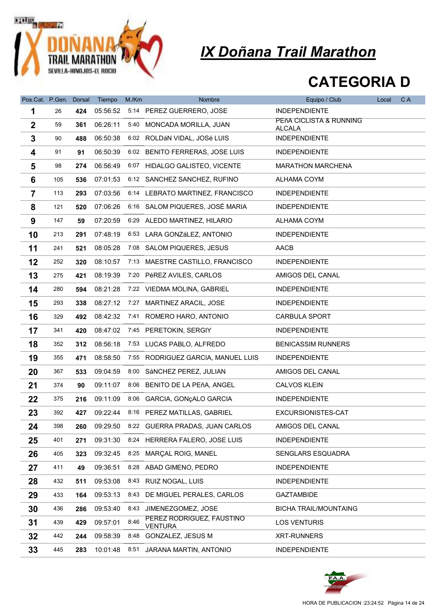

| Pos.Cat. P.Gen. Dorsal |     |     | Tiempo   | M/Km | Nombre                                      | Equipo / Club                            | Local | C A |
|------------------------|-----|-----|----------|------|---------------------------------------------|------------------------------------------|-------|-----|
| 1                      | 26  | 424 | 05:56:52 |      | 5:14 PEREZ GUERRERO, JOSE                   | <b>INDEPENDIENTE</b>                     |       |     |
| $\boldsymbol{2}$       | 59  | 361 | 06:26:11 |      | 5:40 MONCADA MORILLA, JUAN                  | PEñA CICLISTA & RUNNING<br><b>ALCALA</b> |       |     |
| 3                      | 90  | 488 | 06:50:38 |      | 6:02 ROLDÁN VIDAL, JOSé LUIS                | <b>INDEPENDIENTE</b>                     |       |     |
| 4                      | 91  | 91  | 06:50:39 |      | 6:02 BENITO FERRERAS, JOSE LUIS             | <b>INDEPENDIENTE</b>                     |       |     |
| 5                      | 98  | 274 | 06:56:49 |      | 6:07 HIDALGO GALISTEO, VICENTE              | <b>MARATHON MARCHENA</b>                 |       |     |
| 6                      | 105 | 536 | 07:01:53 |      | 6:12 SANCHEZ SANCHEZ, RUFINO                | ALHAMA COYM                              |       |     |
| $\overline{7}$         | 113 | 293 | 07:03:56 |      | 6:14 LEBRATO MARTINEZ, FRANCISCO            | <b>INDEPENDIENTE</b>                     |       |     |
| 8                      | 121 | 520 | 07:06:26 |      | 6:16 SALOM PIQUERES, JOSÉ MARIA             | <b>INDEPENDIENTE</b>                     |       |     |
| 9                      | 147 | 59  | 07:20:59 |      | 6:29 ALEDO MARTINEZ, HILARIO                | ALHAMA COYM                              |       |     |
| 10                     | 213 | 291 | 07:48:19 |      | 6:53 LARA GONZáLEZ, ANTONIO                 | <b>INDEPENDIENTE</b>                     |       |     |
| 11                     | 241 | 521 | 08:05:28 |      | 7:08 SALOM PIQUERES, JESUS                  | AACB                                     |       |     |
| 12                     | 252 | 320 | 08:10:57 |      | 7:13 MAESTRE CASTILLO, FRANCISCO            | <b>INDEPENDIENTE</b>                     |       |     |
| 13                     | 275 | 421 | 08:19:39 |      | 7:20 PéREZ AVILES, CARLOS                   | AMIGOS DEL CANAL                         |       |     |
| 14                     | 280 | 594 | 08:21:28 |      | 7:22 VIEDMA MOLINA, GABRIEL                 | <b>INDEPENDIENTE</b>                     |       |     |
| 15                     | 293 | 338 | 08:27:12 |      | 7:27 MARTINEZ ARACIL, JOSE                  | <b>INDEPENDIENTE</b>                     |       |     |
| 16                     | 329 | 492 | 08:42:32 |      | 7:41 ROMERO HARO, ANTONIO                   | <b>CARBULA SPORT</b>                     |       |     |
| 17                     | 341 | 420 | 08:47:02 |      | 7:45 PERETOKIN, SERGIY                      | <b>INDEPENDIENTE</b>                     |       |     |
| 18                     | 352 | 312 | 08:56:18 |      | 7:53 LUCAS PABLO, ALFREDO                   | <b>BENICASSIM RUNNERS</b>                |       |     |
| 19                     | 355 | 471 | 08:58:50 |      | 7:55 RODRIGUEZ GARCIA, MANUEL LUIS          | <b>INDEPENDIENTE</b>                     |       |     |
| 20                     | 367 | 533 | 09:04:59 |      | 8:00 SÁNCHEZ PEREZ, JULIAN                  | AMIGOS DEL CANAL                         |       |     |
| 21                     | 374 | 90  | 09:11:07 | 8:06 | BENITO DE LA PEñA, ANGEL                    | <b>CALVOS KLEIN</b>                      |       |     |
| 22                     | 375 | 216 | 09:11:09 |      | 8:06 GARCIA, GONçALO GARCIA                 | <b>INDEPENDIENTE</b>                     |       |     |
| 23                     | 392 | 427 |          |      | 09:22:44 8:16 PEREZ MATILLAS, GABRIEL       | EXCURSIONISTES-CAT                       |       |     |
| 24                     | 398 | 260 | 09:29:50 |      | 8:22 GUERRA PRADAS, JUAN CARLOS             | AMIGOS DEL CANAL                         |       |     |
| 25                     | 401 | 271 | 09:31:30 |      | 8:24 HERRERA FALERO, JOSE LUIS              | <b>INDEPENDIENTE</b>                     |       |     |
| 26                     | 405 | 323 | 09:32:45 |      | 8:25 MARCAL ROIG, MANEL                     | SENGLARS ESQUADRA                        |       |     |
| 27                     | 411 | 49  | 09:36:51 |      | 8:28 ABAD GIMENO, PEDRO                     | <b>INDEPENDIENTE</b>                     |       |     |
| 28                     | 432 | 511 | 09:53:08 |      | 8.43 RUIZ NOGAL, LUIS                       | <b>INDEPENDIENTE</b>                     |       |     |
| 29                     | 433 | 164 | 09:53:13 | 8:43 | DE MIGUEL PERALES, CARLOS                   | <b>GAZTAMBIDE</b>                        |       |     |
| 30                     | 436 | 286 | 09:53:40 | 8:43 | JIMENEZGOMEZ, JOSE                          | <b>BICHA TRAIL/MOUNTAING</b>             |       |     |
| 31                     | 439 | 429 | 09:57:01 | 8:46 | PEREZ RODRIGUEZ, FAUSTINO<br><b>VENTURA</b> | <b>LOS VENTURIS</b>                      |       |     |
| 32                     | 442 | 244 | 09:58:39 | 8:48 | GONZALEZ, JESUS M                           | <b>XRT-RUNNERS</b>                       |       |     |
| 33                     | 445 | 283 | 10:01:48 | 8:51 | JARANA MARTIN, ANTONIO                      | <b>INDEPENDIENTE</b>                     |       |     |

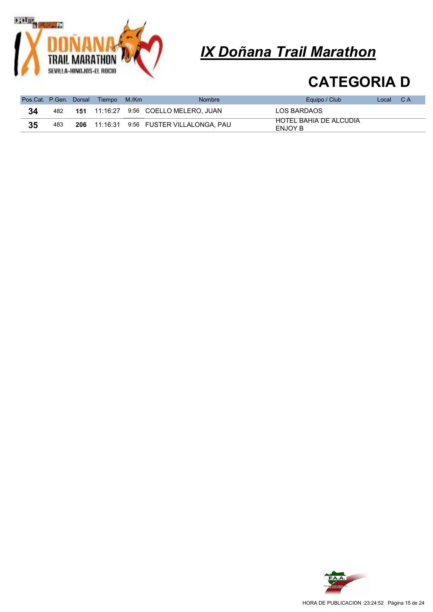

|    |     |     | Pos.Cat. P.Gen. Dorsal Tiempo | M./Km | <b>Nombre</b>                           | Equipo / Club                     | Local | C A |
|----|-----|-----|-------------------------------|-------|-----------------------------------------|-----------------------------------|-------|-----|
| 34 | 482 | 151 |                               |       | 11:16:27    9:56    COELLO MELERO. JUAN | LOS BARDAOS                       |       |     |
| 35 | 483 | 206 | 11:16:31                      |       | 9:56 FUSTER VILLALONGA, PAU             | HOTEL BAHIA DE ALCUDIA<br>ENJOY B |       |     |

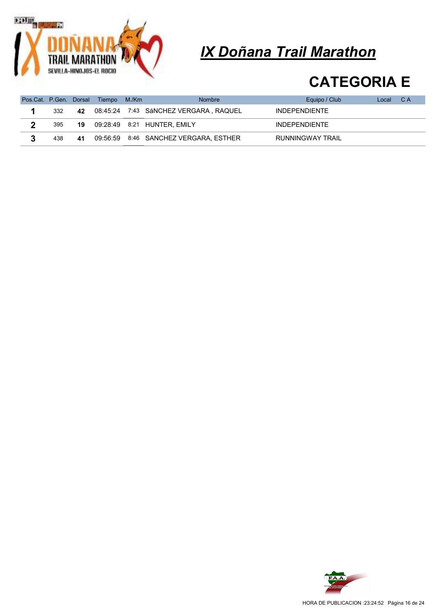

|     |    | Pos.Cat. P.Gen. Dorsal Tiempo | M./Km | <b>Nombre</b>                          | Equipo / Club        | Local | C A |
|-----|----|-------------------------------|-------|----------------------------------------|----------------------|-------|-----|
| 332 | 42 |                               |       | 08:45:24 7:43 SáNCHEZ VERGARA . RAQUEL | <b>INDEPENDIENTE</b> |       |     |
| 395 | 19 |                               |       | 09:28:49  8:21  HUNTER, EMILY          | <b>INDEPENDIENTE</b> |       |     |
| 438 | 41 |                               |       | 09:56:59 8:46 SANCHEZ VERGARA, ESTHER  | RUNNINGWAY TRAIL     |       |     |

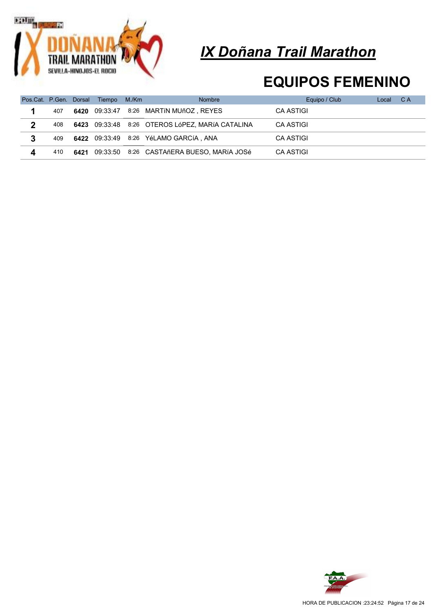

### EQUIPOS FEMENINO

|   |     | Pos.Cat. P.Gen. Dorsal Tiempo | M./Km | <b>Nombre</b>                                   | Equipo / Club | Local | - C A |
|---|-----|-------------------------------|-------|-------------------------------------------------|---------------|-------|-------|
|   | 407 |                               |       | 6420 09:33:47 8:26 MARTIN MUñOZ, REYES          | CA ASTIGI     |       |       |
| 2 | 408 |                               |       | 6423 09:33:48 8:26 OTEROS LóPEZ, MARÍA CATALINA | CA ASTIGI     |       |       |
|   | 409 |                               |       | 6422 09:33:49 8:26 YéLAMO GARCÍA, ANA           | CA ASTIGI     |       |       |
|   | 410 |                               |       | 6421 09:33:50 8:26 CASTAñERA BUESO, MARÍA JOSé  | CA ASTIGI     |       |       |

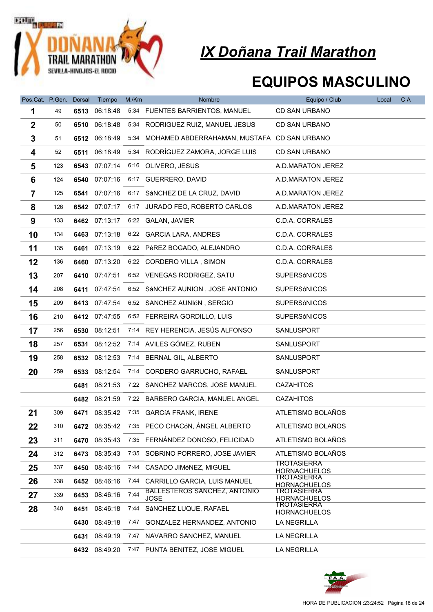

### EQUIPOS MASCULINO

| Pos.Cat. P.Gen. Dorsal |     |      | Tiempo        | M/Km | Nombre                                             | Equipo / Club                             | Local | C A |
|------------------------|-----|------|---------------|------|----------------------------------------------------|-------------------------------------------|-------|-----|
| 1                      | 49  | 6513 | 06:18:48      |      | 5:34 FUENTES BARRIENTOS, MANUEL                    | <b>CD SAN URBANO</b>                      |       |     |
| $\boldsymbol{2}$       | 50  | 6510 | 06:18:48      |      | 5:34 RODRIGUEZ RUIZ, MANUEL JESUS                  | <b>CD SAN URBANO</b>                      |       |     |
| 3                      | 51  |      | 6512 06:18:49 |      | 5:34 MOHAMED ABDERRAHAMAN, MUSTAFA CD SAN URBANO   |                                           |       |     |
| 4                      | 52  | 6511 | 06:18:49      |      | 5:34 RODRÍGUEZ ZAMORA, JORGE LUIS                  | <b>CD SAN URBANO</b>                      |       |     |
| 5                      | 123 | 6543 | 07:07:14      |      | 6:16 OLIVERO, JESUS                                | A.D.MARATON JEREZ                         |       |     |
| 6                      | 124 | 6540 | 07:07:16      |      | 6:17 GUERRERO, DAVID                               | A.D.MARATON JEREZ                         |       |     |
| $\overline{7}$         | 125 | 6541 | 07:07:16      |      | 6:17 SÁNCHEZ DE LA CRUZ, DAVID                     | A.D.MARATON JEREZ                         |       |     |
| 8                      | 126 |      | 6542 07:07:17 |      | 6:17 JURADO FEO, ROBERTO CARLOS                    | A.D.MARATON JEREZ                         |       |     |
| 9                      | 133 |      | 6462 07:13:17 |      | 6:22 GALAN, JAVIER                                 | C.D.A. CORRALES                           |       |     |
| 10                     | 134 |      | 6463 07:13:18 |      | 6:22 GARCIA LARA, ANDRES                           | C.D.A. CORRALES                           |       |     |
| 11                     | 135 | 6461 | 07:13:19      |      | 6:22 PéREZ BOGADO, ALEJANDRO                       | C.D.A. CORRALES                           |       |     |
| 12                     | 136 | 6460 | 07:13:20      |      | 6:22 CORDERO VILLA, SIMON                          | C.D.A. CORRALES                           |       |     |
| 13                     | 207 |      | 6410 07:47:51 |      | 6:52 VENEGAS RODRIGEZ, SATU                        | <b>SUPERSÓNICOS</b>                       |       |     |
| 14                     | 208 |      | 6411 07:47:54 |      | 6:52 SÁNCHEZ AUNION, JOSE ANTONIO                  | <b>SUPERSÓNICOS</b>                       |       |     |
| 15                     | 209 |      | 6413 07:47:54 |      | 6:52 SANCHEZ AUNIÓN, SERGIO                        | <b>SUPERSÓNICOS</b>                       |       |     |
| 16                     | 210 |      | 6412 07:47:55 |      | 6:52 FERREIRA GORDILLO, LUIS                       | <b>SUPERSÓNICOS</b>                       |       |     |
| 17                     | 256 |      | 6530 08:12:51 |      | 7:14 REY HERENCIA, JESÚS ALFONSO                   | SANLUSPORT                                |       |     |
| 18                     | 257 | 6531 | 08:12:52      |      | 7:14 AVILES GÓMEZ, RUBEN                           | SANLUSPORT                                |       |     |
| 19                     | 258 | 6532 | 08:12:53      | 7:14 | BERNAL GIL, ALBERTO                                | SANLUSPORT                                |       |     |
| 20                     | 259 | 6533 | 08:12:54      |      | 7:14 CORDERO GARRUCHO, RAFAEL                      | SANLUSPORT                                |       |     |
|                        |     | 6481 | 08:21:53      |      | 7:22 SANCHEZ MARCOS, JOSE MANUEL                   | <b>CAZAHITOS</b>                          |       |     |
|                        |     | 6482 | 08:21:59      |      | 7:22 BARBERO GARCIA, MANUEL ANGEL                  | <b>CAZAHITOS</b>                          |       |     |
| 21                     | 309 |      | 6471 08:35:42 |      | 7:35 GARCÍA FRANK, IRENE                           | ATLETISMO BOLAÑOS                         |       |     |
| 22                     | 310 | 6472 | 08:35:42      |      | 7:35 PECO CHACóN, ÁNGEL ALBERTO                    | ATLETISMO BOLAÑOS                         |       |     |
| 23                     | 311 | 6470 | 08:35:43      |      | 7:35 FERNÁNDEZ DONOSO, FELICIDAD                   | ATLETISMO BOLAÑOS                         |       |     |
| 24                     | 312 | 6473 | 08:35:43      | 7:35 | SOBRINO PORRERO, JOSE JAVIER                       | ATLETISMO BOLAÑOS                         |       |     |
| 25                     | 337 | 6450 | 08:46:16      | 7:44 | CASADO JIMéNEZ, MIGUEL                             | <b>TROTASIERRA</b><br><b>HORNACHUELOS</b> |       |     |
| 26                     | 338 |      | 6452 08:46:16 | 7.44 | CARRILLO GARCIA, LUIS MANUEL                       | TROTASIERRA<br><b>HORNACHUELOS</b>        |       |     |
| 27                     | 339 | 6453 | 08:46:16      | 7:44 | <b>BALLESTEROS SANCHEZ, ANTONIO</b><br><b>JOSE</b> | <b>TROTASIERRA</b><br><b>HORNACHUELOS</b> |       |     |
| 28                     | 340 | 6451 | 08:46:18      | 7:44 | SÁNCHEZ LUQUE, RAFAEL                              | <b>TROTASIERRA</b><br><b>HORNACHUELOS</b> |       |     |
|                        |     | 6430 | 08:49:18      | 7:47 | GONZALEZ HERNANDEZ, ANTONIO                        | <b>LA NEGRILLA</b>                        |       |     |
|                        |     | 6431 | 08:49:19      |      | 7:47 NAVARRO SANCHEZ, MANUEL                       | <b>LA NEGRILLA</b>                        |       |     |
|                        |     | 6432 | 08:49:20      |      | 7:47 PUNTA BENITEZ, JOSE MIGUEL                    | <b>LA NEGRILLA</b>                        |       |     |

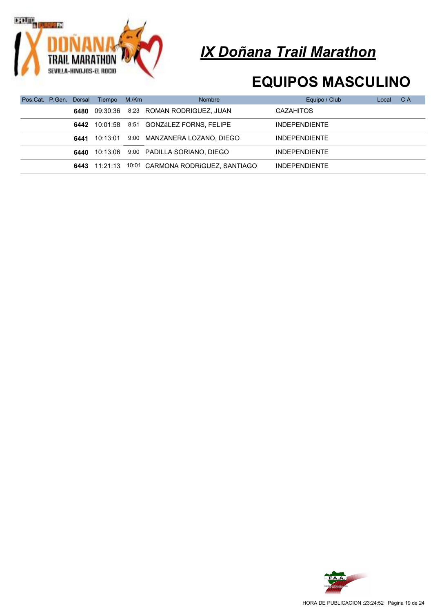

### EQUIPOS MASCULINO

|  |      | Pos.Cat. P.Gen. Dorsal Tiempo M./Km | <b>Nombre</b>                                   | Equipo / Club        | Local | C A |
|--|------|-------------------------------------|-------------------------------------------------|----------------------|-------|-----|
|  |      | <b>6480</b> 09:30:36                | 8:23 ROMAN RODRIGUEZ, JUAN                      | <b>CAZAHITOS</b>     |       |     |
|  | 6442 | 10:01:58                            | 8:51 GONZáLEZ FORNS, FELIPE                     | <b>INDEPENDIENTE</b> |       |     |
|  | 6441 | 10:13:01                            | 9:00 MANZANERA LOZANO, DIEGO                    | <b>INDEPENDIENTE</b> |       |     |
|  | 6440 | 10:13:06                            | 9:00 PADILLA SORIANO, DIEGO                     | <b>INDEPENDIENTE</b> |       |     |
|  |      |                                     | 6443 11:21:13 10:01 CARMONA RODRIGUEZ, SANTIAGO | <b>INDEPENDIENTE</b> |       |     |

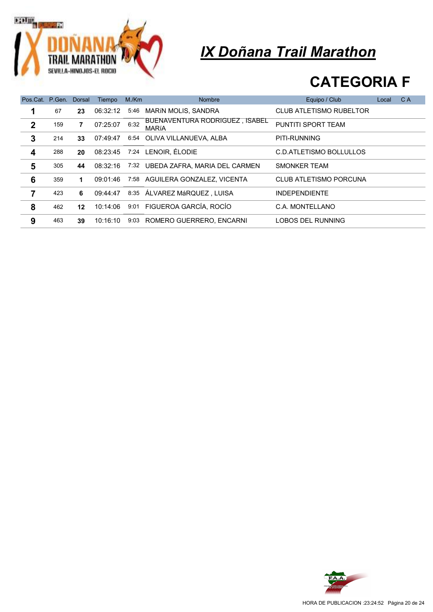

| Pos.Cat. P.Gen. Dorsal |     |    | Tiempo   | M/Km | <b>Nombre</b>                                  | Equipo / Club                  | Local | C A |
|------------------------|-----|----|----------|------|------------------------------------------------|--------------------------------|-------|-----|
| 1                      | 67  | 23 | 06:32:12 | 5:46 | MARÍN MOLIS, SANDRA                            | <b>CLUB ATLETISMO RUBELTOR</b> |       |     |
| $\mathbf{2}$           | 159 | 7  | 07:25:07 | 6:32 | BUENAVENTURA RODRIGUEZ, ISABEL<br><b>MARÍA</b> | PUNTITI SPORT TEAM             |       |     |
| 3                      | 214 | 33 | 07:49:47 |      | 6:54 OLIVA VILLANUEVA, ALBA                    | PITI-RUNNING                   |       |     |
| 4                      | 288 | 20 | 08:23:45 |      | 7:24 LENOIR, ÉLODIE                            | C.D.ATLETISMO BOLLULLOS        |       |     |
| 5                      | 305 | 44 | 08:32:16 |      | 7:32 UBEDA ZAFRA, MARIA DEL CARMEN             | SMONKER TEAM                   |       |     |
| 6                      | 359 | 1  | 09:01:46 |      | 7:58 AGUILERA GONZALEZ, VICENTA                | CLUB ATLETISMO PORCUNA         |       |     |
| 7                      | 423 | 6  | 09:44:47 |      | 8:35 ÁLVAREZ MáRQUEZ, LUISA                    | <b>INDEPENDIENTE</b>           |       |     |
| 8                      | 462 | 12 | 10:14:06 |      | 9:01 FIGUEROA GARCÍA, ROCÍO                    | C.A. MONTELLANO                |       |     |
| 9                      | 463 | 39 | 10:16:10 | 9:03 | ROMERO GUERRERO, ENCARNI                       | LOBOS DEL RUNNING              |       |     |

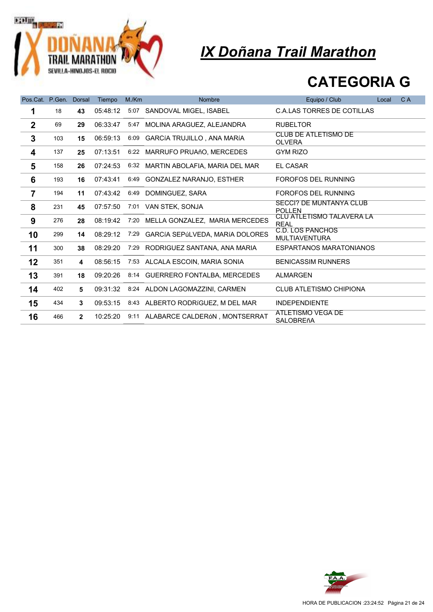

| Pos.Cat. P.Gen. |     | <b>Dorsal</b>  | Tiempo   | M/Km | <b>Nombre</b>                       | Equipo / Club                                   | Local | C A |
|-----------------|-----|----------------|----------|------|-------------------------------------|-------------------------------------------------|-------|-----|
| 1               | 18  | 43             | 05:48:12 | 5:07 | SANDOVAL MIGEL. ISABEL              | <b>C.A.LAS TORRES DE COTILLAS</b>               |       |     |
| $\mathbf{2}$    | 69  | 29             | 06:33:47 | 5:47 | MOLINA ARAGUEZ, ALEJANDRA           | <b>RUBELTOR</b>                                 |       |     |
| 3               | 103 | 15             | 06:59:13 | 6:09 | <b>GARCÍA TRUJILLO, ANA MARÍA</b>   | <b>CLUB DE ATLETISMO DE</b><br><b>OLVERA</b>    |       |     |
| 4               | 137 | 25             | 07:13:51 | 6:22 | MARRUFO PRUAñO, MERCEDES            | <b>GYM RIZO</b>                                 |       |     |
| 5               | 158 | 26             | 07:24:53 |      | 6:32 MARTIN ABOLAFIA, MARIA DEL MAR | <b>EL CASAR</b>                                 |       |     |
| 6               | 193 | 16             | 07:43:41 | 6:49 | <b>GONZALEZ NARANJO, ESTHER</b>     | <b>FOROFOS DEL RUNNING</b>                      |       |     |
| $\overline{7}$  | 194 | 11             | 07:43:42 | 6:49 | DOMINGUEZ, SARA                     | FOROFOS DEL RUNNING                             |       |     |
| 8               | 231 | 45             | 07:57:50 | 7:01 | VAN STEK, SONJA                     | <b>SECCI? DE MUNTANYA CLUB</b><br><b>POLLEN</b> |       |     |
| 9               | 276 | 28             | 08:19:42 | 7:20 | MELLA GONZALEZ, MARIA MERCEDES      | CLU ATLETISMO TALAVERA LA<br><b>REAL</b>        |       |     |
| 10              | 299 | 14             | 08:29:12 | 7:29 | GARCÍA SEPÚLVEDA, MARÍA DOLORES     | C.D. LOS PANCHOS<br><b>MULTIAVENTURA</b>        |       |     |
| 11              | 300 | 38             | 08:29:20 | 7:29 | RODRIGUEZ SANTANA, ANA MARIA        | <b>ESPARTANOS MARATONIANOS</b>                  |       |     |
| 12              | 351 | 4              | 08:56:15 |      | 7:53 ALCALA ESCOIN, MARIA SONIA     | <b>BENICASSIM RUNNERS</b>                       |       |     |
| 13              | 391 | 18             | 09:20:26 |      | 8:14 GUERRERO FONTALBA, MERCEDES    | ALMARGEN                                        |       |     |
| 14              | 402 | 5              | 09:31:32 |      | 8:24 ALDON LAGOMAZZINI, CARMEN      | <b>CLUB ATLETISMO CHIPIONA</b>                  |       |     |
| 15              | 434 | $\mathbf{3}$   | 09:53:15 |      | 8:43 ALBERTO RODRIGUEZ, M DEL MAR   | <b>INDEPENDIENTE</b>                            |       |     |
| 16              | 466 | $\overline{2}$ | 10:25:20 |      | 9:11 ALABARCE CALDERÓN, MONTSERRAT  | ATLETISMO VEGA DE<br><b>SALOBREñA</b>           |       |     |

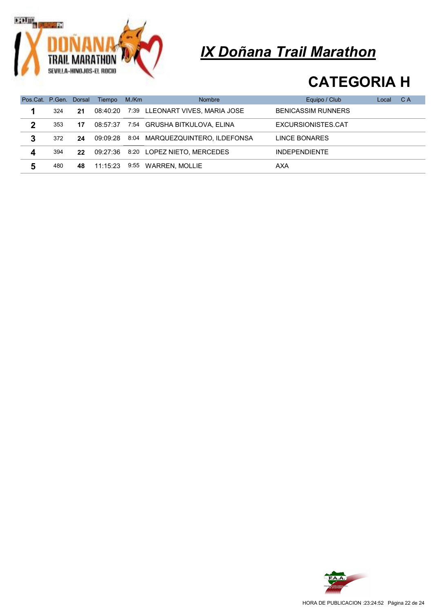

| Pos.Cat. P.Gen. |     | Dorsal            | Tiempo   | M./Km | <b>Nombre</b>                   | Equipo / Club             | Local | C A |
|-----------------|-----|-------------------|----------|-------|---------------------------------|---------------------------|-------|-----|
| 1               | 324 | 21                | 08:40:20 |       | 7:39 LLEONART VIVES, MARIA JOSE | <b>BENICASSIM RUNNERS</b> |       |     |
| 2               | 353 | 17                | 08:57:37 |       | 7:54 GRUSHA BITKULOVA, ELINA    | EXCURSIONISTES.CAT        |       |     |
| 3               | 372 | 24                | 09:09:28 |       | 8:04 MARQUEZQUINTERO, ILDEFONSA | LINCE BONARES             |       |     |
| 4               | 394 | $22 \overline{ }$ | 09:27:36 |       | 8:20 LOPEZ NIETO, MERCEDES      | <b>INDEPENDIENTE</b>      |       |     |
| 5               | 480 | 48                | 11:15:23 | 9:55  | WARREN, MOLLIE                  | AXA                       |       |     |